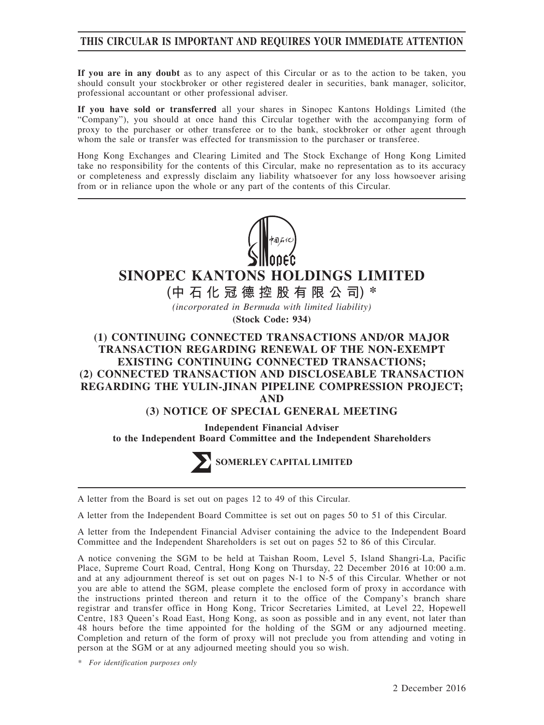# **THIS CIRCULAR IS IMPORTANT AND REQUIRES YOUR IMMEDIATE ATTENTION**

**If you are in any doubt** as to any aspect of this Circular or as to the action to be taken, you should consult your stockbroker or other registered dealer in securities, bank manager, solicitor, professional accountant or other professional adviser.

**If you have sold or transferred** all your shares in Sinopec Kantons Holdings Limited (the "Company"), you should at once hand this Circular together with the accompanying form of proxy to the purchaser or other transferee or to the bank, stockbroker or other agent through whom the sale or transfer was effected for transmission to the purchaser or transferee.

Hong Kong Exchanges and Clearing Limited and The Stock Exchange of Hong Kong Limited take no responsibility for the contents of this Circular, make no representation as to its accuracy or completeness and expressly disclaim any liability whatsoever for any loss howsoever arising from or in reliance upon the whole or any part of the contents of this Circular.



# **SINOPEC KANTONS HOLDINGS LIMITED**

**(中石化冠德控股有限公司) \***

*(incorporated in Bermuda with limited liability)* **(Stock Code: 934)**

# **(1) CONTINUING CONNECTED TRANSACTIONS AND/OR MAJOR TRANSACTION REGARDING RENEWAL OF THE NON-EXEMPT EXISTING CONTINUING CONNECTED TRANSACTIONS; (2) CONNECTED TRANSACTION AND DISCLOSEABLE TRANSACTION REGARDING THE YULIN-JINAN PIPELINE COMPRESSION PROJECT; AND**

## **(3) NOTICE OF SPECIAL GENERAL MEETING**

**Independent Financial Adviser to the Independent Board Committee and the Independent Shareholders**



A letter from the Board is set out on pages 12 to 49 of this Circular.

A letter from the Independent Board Committee is set out on pages 50 to 51 of this Circular.

A letter from the Independent Financial Adviser containing the advice to the Independent Board Committee and the Independent Shareholders is set out on pages 52 to 86 of this Circular.

A notice convening the SGM to be held at Taishan Room, Level 5, Island Shangri-La, Pacific Place, Supreme Court Road, Central, Hong Kong on Thursday, 22 December 2016 at 10:00 a.m. and at any adjournment thereof is set out on pages N-1 to N-5 of this Circular. Whether or not you are able to attend the SGM, please complete the enclosed form of proxy in accordance with the instructions printed thereon and return it to the office of the Company's branch share registrar and transfer office in Hong Kong, Tricor Secretaries Limited, at Level 22, Hopewell Centre, 183 Queen's Road East, Hong Kong, as soon as possible and in any event, not later than 48 hours before the time appointed for the holding of the SGM or any adjourned meeting. Completion and return of the form of proxy will not preclude you from attending and voting in person at the SGM or at any adjourned meeting should you so wish.

*\* For identification purposes only*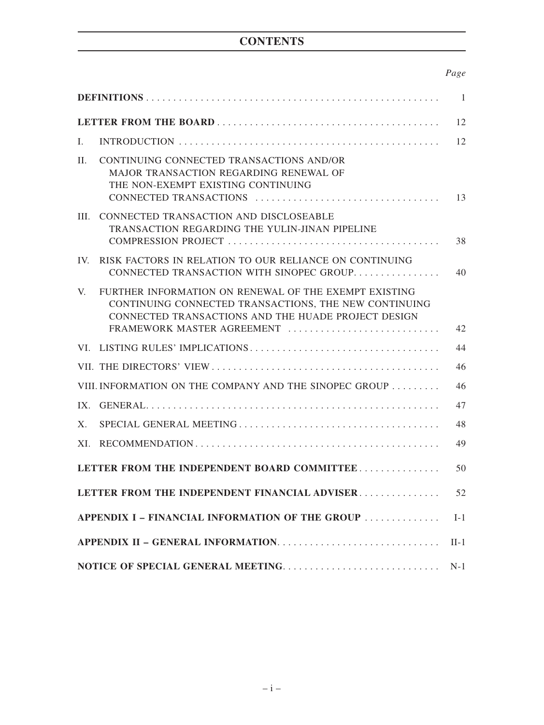# **CONTENTS**

# *Page*

|                |                                                                                                                                                                                                     | -1     |
|----------------|-----------------------------------------------------------------------------------------------------------------------------------------------------------------------------------------------------|--------|
|                |                                                                                                                                                                                                     | 12     |
| $\mathbf{I}$ . |                                                                                                                                                                                                     | 12     |
| II.            | CONTINUING CONNECTED TRANSACTIONS AND/OR<br><b>MAJOR TRANSACTION REGARDING RENEWAL OF</b><br>THE NON-EXEMPT EXISTING CONTINUING                                                                     | 13     |
| HI.            | CONNECTED TRANSACTION AND DISCLOSEABLE<br>TRANSACTION REGARDING THE YULIN-JINAN PIPELINE                                                                                                            | 38     |
| IV.            | RISK FACTORS IN RELATION TO OUR RELIANCE ON CONTINUING<br>CONNECTED TRANSACTION WITH SINOPEC GROUP                                                                                                  | 40     |
| $V_{\cdot}$    | FURTHER INFORMATION ON RENEWAL OF THE EXEMPT EXISTING<br>CONTINUING CONNECTED TRANSACTIONS, THE NEW CONTINUING<br>CONNECTED TRANSACTIONS AND THE HUADE PROJECT DESIGN<br>FRAMEWORK MASTER AGREEMENT | 42     |
|                |                                                                                                                                                                                                     | 44     |
|                |                                                                                                                                                                                                     | 46     |
|                | VIII. INFORMATION ON THE COMPANY AND THE SINOPEC GROUP                                                                                                                                              | 46     |
| IX.            |                                                                                                                                                                                                     | 47     |
| X.             |                                                                                                                                                                                                     | 48     |
| XI.            |                                                                                                                                                                                                     | 49     |
|                | LETTER FROM THE INDEPENDENT BOARD COMMITTEE                                                                                                                                                         | 50     |
|                | LETTER FROM THE INDEPENDENT FINANCIAL ADVISER                                                                                                                                                       | 52     |
|                | APPENDIX I – FINANCIAL INFORMATION OF THE GROUP                                                                                                                                                     | $I-1$  |
|                |                                                                                                                                                                                                     | $II-1$ |
|                |                                                                                                                                                                                                     | $N-1$  |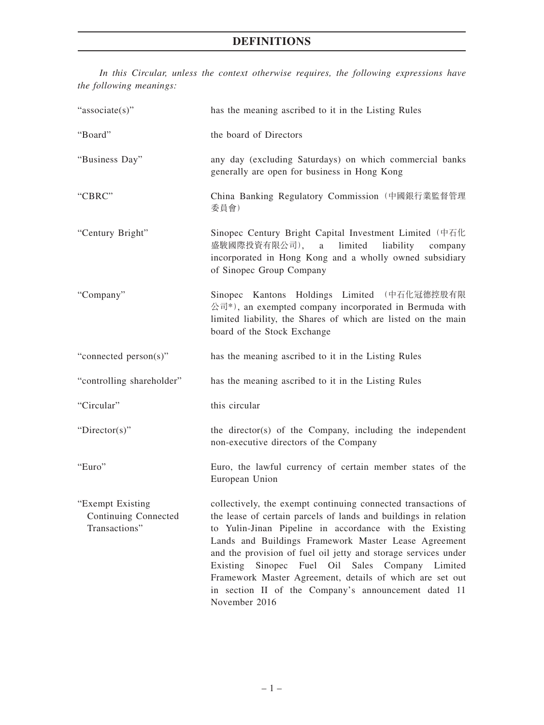*In this Circular, unless the context otherwise requires, the following expressions have the following meanings:*

| "associate(s)"                                            | has the meaning ascribed to it in the Listing Rules                                                                                                                                                                                                                                                                                                                                                                                                                                                              |
|-----------------------------------------------------------|------------------------------------------------------------------------------------------------------------------------------------------------------------------------------------------------------------------------------------------------------------------------------------------------------------------------------------------------------------------------------------------------------------------------------------------------------------------------------------------------------------------|
| "Board"                                                   | the board of Directors                                                                                                                                                                                                                                                                                                                                                                                                                                                                                           |
| "Business Day"                                            | any day (excluding Saturdays) on which commercial banks<br>generally are open for business in Hong Kong                                                                                                                                                                                                                                                                                                                                                                                                          |
| "CBRC"                                                    | China Banking Regulatory Commission (中國銀行業監督管理<br>委員會)                                                                                                                                                                                                                                                                                                                                                                                                                                                           |
| "Century Bright"                                          | Sinopec Century Bright Capital Investment Limited (中石化<br>盛駿國際投資有限公司), a<br>limited<br>liability<br>company<br>incorporated in Hong Kong and a wholly owned subsidiary<br>of Sinopec Group Company                                                                                                                                                                                                                                                                                                               |
| "Company"                                                 | Sinopec Kantons Holdings Limited (中石化冠德控股有限<br>公司*), an exempted company incorporated in Bermuda with<br>limited liability, the Shares of which are listed on the main<br>board of the Stock Exchange                                                                                                                                                                                                                                                                                                            |
| "connected person(s)"                                     | has the meaning ascribed to it in the Listing Rules                                                                                                                                                                                                                                                                                                                                                                                                                                                              |
| "controlling shareholder"                                 | has the meaning ascribed to it in the Listing Rules                                                                                                                                                                                                                                                                                                                                                                                                                                                              |
| "Circular"                                                | this circular                                                                                                                                                                                                                                                                                                                                                                                                                                                                                                    |
| " $Directory$ "                                           | the director(s) of the Company, including the independent<br>non-executive directors of the Company                                                                                                                                                                                                                                                                                                                                                                                                              |
| "Euro"                                                    | Euro, the lawful currency of certain member states of the<br>European Union                                                                                                                                                                                                                                                                                                                                                                                                                                      |
| "Exempt Existing<br>Continuing Connected<br>Transactions" | collectively, the exempt continuing connected transactions of<br>the lease of certain parcels of lands and buildings in relation<br>to Yulin-Jinan Pipeline in accordance with the Existing<br>Lands and Buildings Framework Master Lease Agreement<br>and the provision of fuel oil jetty and storage services under<br>Existing<br>Sinopec Fuel Oil Sales Company Limited<br>Framework Master Agreement, details of which are set out<br>in section II of the Company's announcement dated 11<br>November 2016 |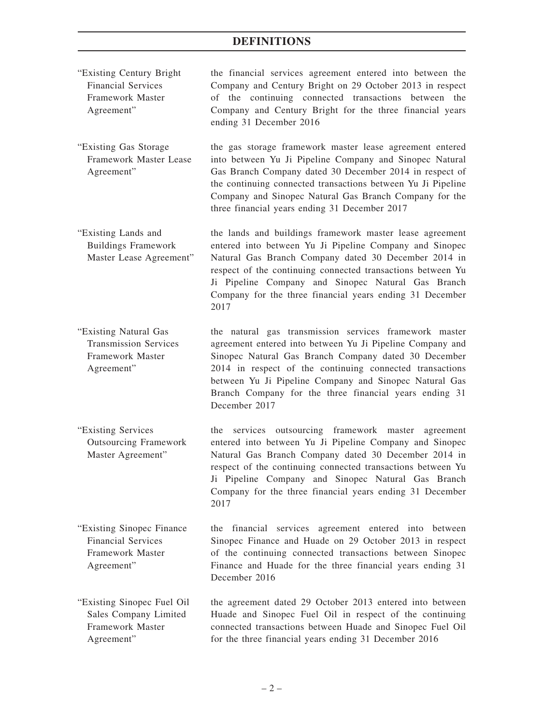- "Existing Century Bright Financial Services Framework Master Agreement" the financial services agreement entered into between the Company and Century Bright on 29 October 2013 in respect of the continuing connected transactions between the Company and Century Bright for the three financial years ending 31 December 2016
- "Existing Gas Storage Framework Master Lease Agreement" the gas storage framework master lease agreement entered into between Yu Ji Pipeline Company and Sinopec Natural Gas Branch Company dated 30 December 2014 in respect of the continuing connected transactions between Yu Ji Pipeline Company and Sinopec Natural Gas Branch Company for the three financial years ending 31 December 2017
- "Existing Lands and Buildings Framework Master Lease Agreement" the lands and buildings framework master lease agreement entered into between Yu Ji Pipeline Company and Sinopec Natural Gas Branch Company dated 30 December 2014 in respect of the continuing connected transactions between Yu Ji Pipeline Company and Sinopec Natural Gas Branch Company for the three financial years ending 31 December 2017
- "Existing Natural Gas Transmission Services Framework Master Agreement" the natural gas transmission services framework master agreement entered into between Yu Ji Pipeline Company and Sinopec Natural Gas Branch Company dated 30 December 2014 in respect of the continuing connected transactions between Yu Ji Pipeline Company and Sinopec Natural Gas Branch Company for the three financial years ending 31 December 2017
- "Existing Services Outsourcing Framework Master Agreement" the services outsourcing framework master agreement entered into between Yu Ji Pipeline Company and Sinopec Natural Gas Branch Company dated 30 December 2014 in respect of the continuing connected transactions between Yu Ji Pipeline Company and Sinopec Natural Gas Branch Company for the three financial years ending 31 December 2017
- "Existing Sinopec Finance Financial Services Framework Master Agreement" the financial services agreement entered into between Sinopec Finance and Huade on 29 October 2013 in respect of the continuing connected transactions between Sinopec Finance and Huade for the three financial years ending 31 December 2016
- "Existing Sinopec Fuel Oil Sales Company Limited Framework Master Agreement" the agreement dated 29 October 2013 entered into between Huade and Sinopec Fuel Oil in respect of the continuing connected transactions between Huade and Sinopec Fuel Oil for the three financial years ending 31 December 2016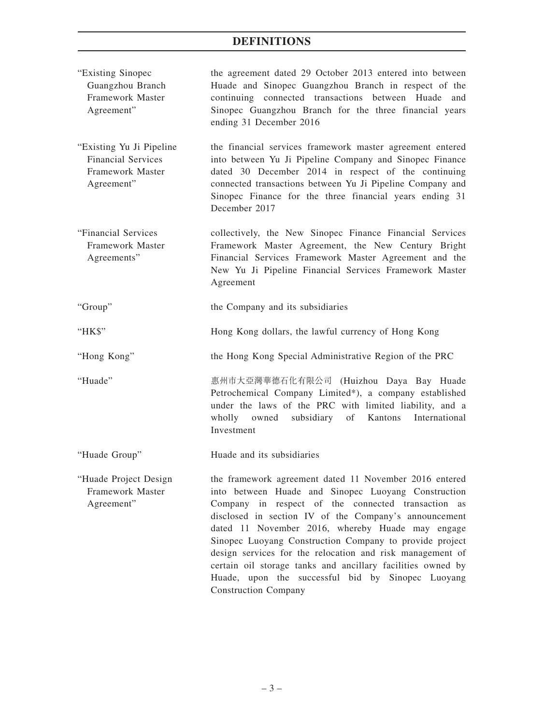| "Existing Sinopec<br>Guangzhou Branch<br>Framework Master<br>Agreement"                  | the agreement dated 29 October 2013 entered into between<br>Huade and Sinopec Guangzhou Branch in respect of the<br>continuing connected transactions between Huade and<br>Sinopec Guangzhou Branch for the three financial years<br>ending 31 December 2016                                                                                                                                                                                                                                                                                                |
|------------------------------------------------------------------------------------------|-------------------------------------------------------------------------------------------------------------------------------------------------------------------------------------------------------------------------------------------------------------------------------------------------------------------------------------------------------------------------------------------------------------------------------------------------------------------------------------------------------------------------------------------------------------|
| "Existing Yu Ji Pipeline"<br><b>Financial Services</b><br>Framework Master<br>Agreement" | the financial services framework master agreement entered<br>into between Yu Ji Pipeline Company and Sinopec Finance<br>dated 30 December 2014 in respect of the continuing<br>connected transactions between Yu Ji Pipeline Company and<br>Sinopec Finance for the three financial years ending 31<br>December 2017                                                                                                                                                                                                                                        |
| "Financial Services<br>Framework Master<br>Agreements"                                   | collectively, the New Sinopec Finance Financial Services<br>Framework Master Agreement, the New Century Bright<br>Financial Services Framework Master Agreement and the<br>New Yu Ji Pipeline Financial Services Framework Master<br>Agreement                                                                                                                                                                                                                                                                                                              |
| "Group"                                                                                  | the Company and its subsidiaries                                                                                                                                                                                                                                                                                                                                                                                                                                                                                                                            |
| "HK\$"                                                                                   | Hong Kong dollars, the lawful currency of Hong Kong                                                                                                                                                                                                                                                                                                                                                                                                                                                                                                         |
| "Hong Kong"                                                                              | the Hong Kong Special Administrative Region of the PRC                                                                                                                                                                                                                                                                                                                                                                                                                                                                                                      |
| "Huade"                                                                                  | 惠州市大亞灣華德石化有限公司 (Huizhou Daya Bay Huade<br>Petrochemical Company Limited*), a company established<br>under the laws of the PRC with limited liability, and a<br>wholly owned subsidiary of Kantons International<br>Investment                                                                                                                                                                                                                                                                                                                               |
| "Huade Group"                                                                            | Huade and its subsidiaries                                                                                                                                                                                                                                                                                                                                                                                                                                                                                                                                  |
| "Huade Project Design<br>Framework Master<br>Agreement"                                  | the framework agreement dated 11 November 2016 entered<br>into between Huade and Sinopec Luoyang Construction<br>Company in respect of the connected transaction as<br>disclosed in section IV of the Company's announcement<br>dated 11 November 2016, whereby Huade may engage<br>Sinopec Luoyang Construction Company to provide project<br>design services for the relocation and risk management of<br>certain oil storage tanks and ancillary facilities owned by<br>Huade, upon the successful bid by Sinopec Luoyang<br><b>Construction Company</b> |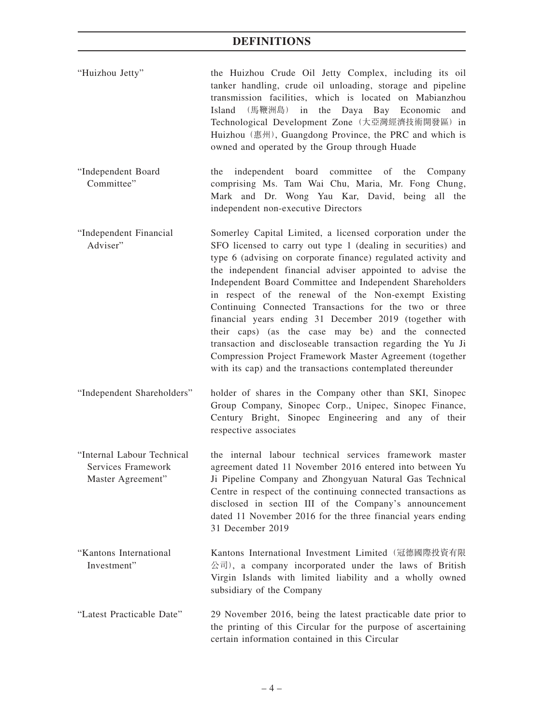- "Huizhou Jetty" the Huizhou Crude Oil Jetty Complex, including its oil tanker handling, crude oil unloading, storage and pipeline transmission facilities, which is located on Mabianzhou Island (馬鞭洲島) in the Daya Bay Economic and Technological Development Zone (大亞灣經濟技術開發區) in Huizhou (惠州), Guangdong Province, the PRC and which is owned and operated by the Group through Huade
- "Independent Board Committee" the independent board committee of the Company comprising Ms. Tam Wai Chu, Maria, Mr. Fong Chung, Mark and Dr. Wong Yau Kar, David, being all the independent non-executive Directors
- "Independent Financial Adviser" Somerley Capital Limited, a licensed corporation under the SFO licensed to carry out type 1 (dealing in securities) and type 6 (advising on corporate finance) regulated activity and the independent financial adviser appointed to advise the Independent Board Committee and Independent Shareholders in respect of the renewal of the Non-exempt Existing Continuing Connected Transactions for the two or three financial years ending 31 December 2019 (together with their caps) (as the case may be) and the connected transaction and discloseable transaction regarding the Yu Ji Compression Project Framework Master Agreement (together with its cap) and the transactions contemplated thereunder
- "Independent Shareholders" holder of shares in the Company other than SKI, Sinopec Group Company, Sinopec Corp., Unipec, Sinopec Finance, Century Bright, Sinopec Engineering and any of their respective associates
- "Internal Labour Technical Services Framework Master Agreement" the internal labour technical services framework master agreement dated 11 November 2016 entered into between Yu Ji Pipeline Company and Zhongyuan Natural Gas Technical Centre in respect of the continuing connected transactions as disclosed in section III of the Company's announcement dated 11 November 2016 for the three financial years ending 31 December 2019
- "Kantons International Investment" Kantons International Investment Limited(冠德國際投資有限 公司), a company incorporated under the laws of British Virgin Islands with limited liability and a wholly owned subsidiary of the Company
- "Latest Practicable Date" 29 November 2016, being the latest practicable date prior to the printing of this Circular for the purpose of ascertaining certain information contained in this Circular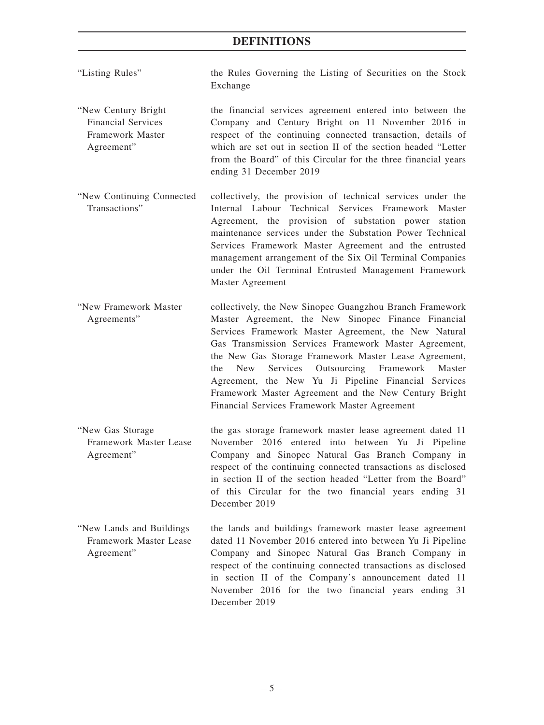- "Listing Rules" the Rules Governing the Listing of Securities on the Stock Exchange
- "New Century Bright Financial Services Framework Master Agreement" the financial services agreement entered into between the Company and Century Bright on 11 November 2016 in respect of the continuing connected transaction, details of which are set out in section II of the section headed "Letter from the Board" of this Circular for the three financial years ending 31 December 2019
- "New Continuing Connected Transactions" collectively, the provision of technical services under the Internal Labour Technical Services Framework Master Agreement, the provision of substation power station maintenance services under the Substation Power Technical Services Framework Master Agreement and the entrusted management arrangement of the Six Oil Terminal Companies under the Oil Terminal Entrusted Management Framework Master Agreement
- "New Framework Master Agreements" collectively, the New Sinopec Guangzhou Branch Framework Master Agreement, the New Sinopec Finance Financial Services Framework Master Agreement, the New Natural Gas Transmission Services Framework Master Agreement, the New Gas Storage Framework Master Lease Agreement, the New Services Outsourcing Framework Master Agreement, the New Yu Ji Pipeline Financial Services Framework Master Agreement and the New Century Bright Financial Services Framework Master Agreement
- "New Gas Storage Framework Master Lease Agreement" the gas storage framework master lease agreement dated 11 November 2016 entered into between Yu Ji Pipeline Company and Sinopec Natural Gas Branch Company in respect of the continuing connected transactions as disclosed in section II of the section headed "Letter from the Board" of this Circular for the two financial years ending 31 December 2019
- "New Lands and Buildings Framework Master Lease Agreement" the lands and buildings framework master lease agreement dated 11 November 2016 entered into between Yu Ji Pipeline Company and Sinopec Natural Gas Branch Company in respect of the continuing connected transactions as disclosed in section II of the Company's announcement dated 11 November 2016 for the two financial years ending 31 December 2019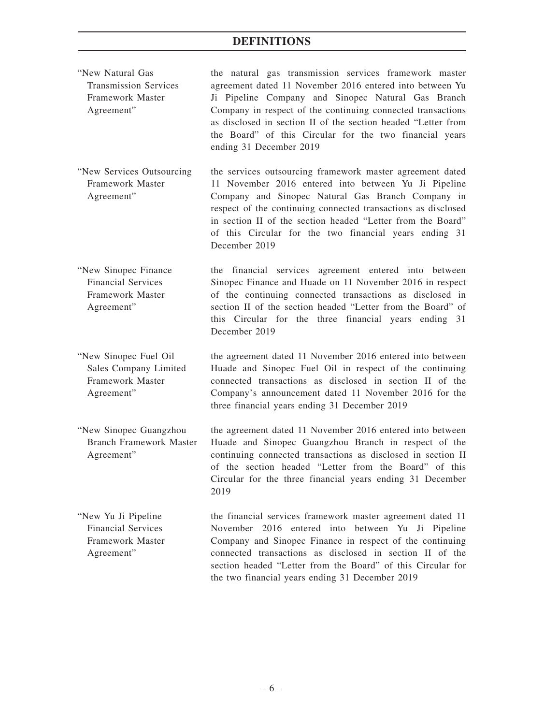| "New Natural Gas<br><b>Transmission Services</b><br>Framework Master<br>Agreement"  | the natural gas transmission services framework master<br>agreement dated 11 November 2016 entered into between Yu<br>Ji Pipeline Company and Sinopec Natural Gas Branch<br>Company in respect of the continuing connected transactions<br>as disclosed in section II of the section headed "Letter from<br>the Board" of this Circular for the two financial years<br>ending 31 December 2019 |
|-------------------------------------------------------------------------------------|------------------------------------------------------------------------------------------------------------------------------------------------------------------------------------------------------------------------------------------------------------------------------------------------------------------------------------------------------------------------------------------------|
| "New Services Outsourcing"<br>Framework Master<br>Agreement"                        | the services outsourcing framework master agreement dated<br>11 November 2016 entered into between Yu Ji Pipeline<br>Company and Sinopec Natural Gas Branch Company in<br>respect of the continuing connected transactions as disclosed<br>in section II of the section headed "Letter from the Board"<br>of this Circular for the two financial years ending 31<br>December 2019              |
| "New Sinopec Finance<br><b>Financial Services</b><br>Framework Master<br>Agreement" | the financial services agreement entered into between<br>Sinopec Finance and Huade on 11 November 2016 in respect<br>of the continuing connected transactions as disclosed in<br>section II of the section headed "Letter from the Board" of<br>this Circular for the three financial years ending 31<br>December 2019                                                                         |
| "New Sinopec Fuel Oil"<br>Sales Company Limited<br>Framework Master<br>Agreement"   | the agreement dated 11 November 2016 entered into between<br>Huade and Sinopec Fuel Oil in respect of the continuing<br>connected transactions as disclosed in section II of the<br>Company's announcement dated 11 November 2016 for the<br>three financial years ending 31 December 2019                                                                                                     |
| "New Sinopec Guangzhou<br><b>Branch Framework Master</b><br>Agreement"              | the agreement dated 11 November 2016 entered into between<br>Huade and Sinopec Guangzhou Branch in respect of the<br>continuing connected transactions as disclosed in section II<br>of the section headed "Letter from the Board" of this<br>Circular for the three financial years ending 31 December<br>2019                                                                                |
| "New Yu Ji Pipeline<br><b>Financial Services</b><br>Framework Master<br>Agreement"  | the financial services framework master agreement dated 11<br>November 2016 entered into between Yu Ji Pipeline<br>Company and Sinopec Finance in respect of the continuing<br>connected transactions as disclosed in section II of the<br>section headed "Letter from the Board" of this Circular for                                                                                         |

the two financial years ending 31 December 2019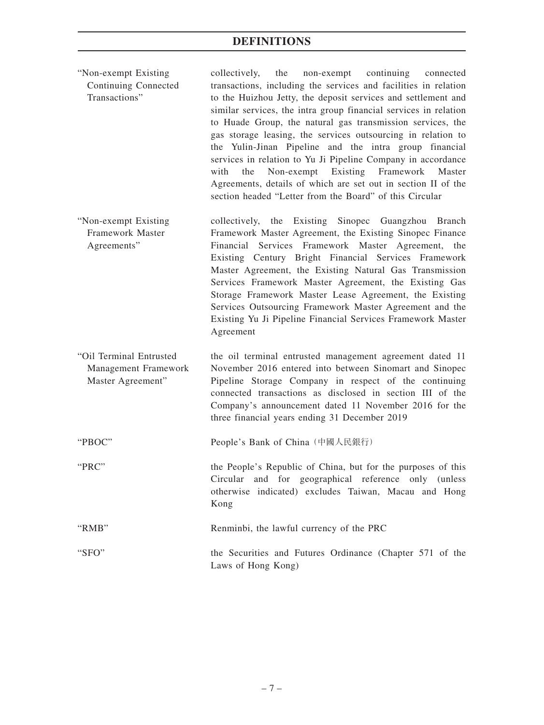- "Non-exempt Existing Continuing Connected Transactions" collectively, the non-exempt continuing connected transactions, including the services and facilities in relation to the Huizhou Jetty, the deposit services and settlement and similar services, the intra group financial services in relation to Huade Group, the natural gas transmission services, the gas storage leasing, the services outsourcing in relation to the Yulin-Jinan Pipeline and the intra group financial services in relation to Yu Ji Pipeline Company in accordance with the Non-exempt Existing Framework Master Agreements, details of which are set out in section II of the section headed "Letter from the Board" of this Circular
- "Non-exempt Existing Framework Master Agreements" collectively, the Existing Sinopec Guangzhou Branch Framework Master Agreement, the Existing Sinopec Finance Financial Services Framework Master Agreement, the Existing Century Bright Financial Services Framework Master Agreement, the Existing Natural Gas Transmission Services Framework Master Agreement, the Existing Gas Storage Framework Master Lease Agreement, the Existing Services Outsourcing Framework Master Agreement and the Existing Yu Ji Pipeline Financial Services Framework Master Agreement
- "Oil Terminal Entrusted Management Framework Master Agreement" the oil terminal entrusted management agreement dated 11 November 2016 entered into between Sinomart and Sinopec Pipeline Storage Company in respect of the continuing connected transactions as disclosed in section III of the Company's announcement dated 11 November 2016 for the three financial years ending 31 December 2019
- "PBOC" People's Bank of China(中國人民銀行)
- "PRC" the People's Republic of China, but for the purposes of this Circular and for geographical reference only (unless otherwise indicated) excludes Taiwan, Macau and Hong Kong
- "RMB" Renminbi, the lawful currency of the PRC "SFO" the Securities and Futures Ordinance (Chapter 571 of the Laws of Hong Kong)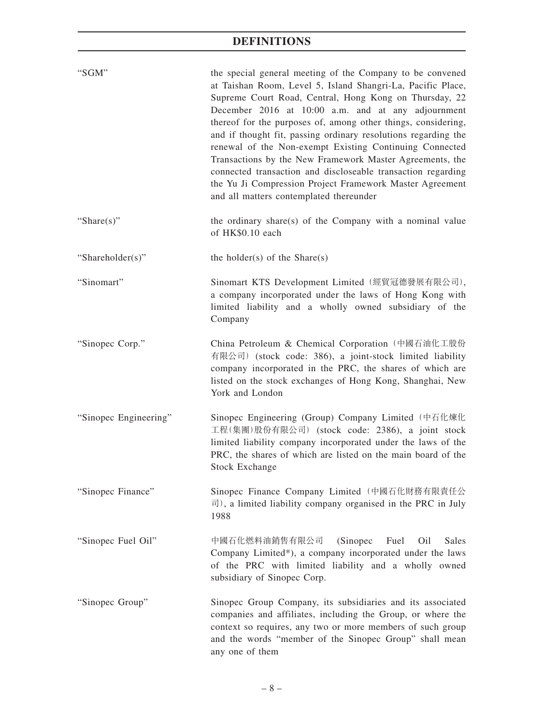| "SGM"                 | the special general meeting of the Company to be convened<br>at Taishan Room, Level 5, Island Shangri-La, Pacific Place,<br>Supreme Court Road, Central, Hong Kong on Thursday, 22<br>December 2016 at 10:00 a.m. and at any adjournment<br>thereof for the purposes of, among other things, considering,<br>and if thought fit, passing ordinary resolutions regarding the<br>renewal of the Non-exempt Existing Continuing Connected<br>Transactions by the New Framework Master Agreements, the<br>connected transaction and discloseable transaction regarding<br>the Yu Ji Compression Project Framework Master Agreement<br>and all matters contemplated thereunder |
|-----------------------|---------------------------------------------------------------------------------------------------------------------------------------------------------------------------------------------------------------------------------------------------------------------------------------------------------------------------------------------------------------------------------------------------------------------------------------------------------------------------------------------------------------------------------------------------------------------------------------------------------------------------------------------------------------------------|
| "Share $(s)$ "        | the ordinary share(s) of the Company with a nominal value<br>of HK\$0.10 each                                                                                                                                                                                                                                                                                                                                                                                                                                                                                                                                                                                             |
| "Shareholder(s)"      | the holder(s) of the $Share(s)$                                                                                                                                                                                                                                                                                                                                                                                                                                                                                                                                                                                                                                           |
| "Sinomart"            | Sinomart KTS Development Limited (經貿冠德發展有限公司),<br>a company incorporated under the laws of Hong Kong with<br>limited liability and a wholly owned subsidiary of the<br>Company                                                                                                                                                                                                                                                                                                                                                                                                                                                                                            |
| "Sinopec Corp."       | China Petroleum & Chemical Corporation (中國石油化工股份<br>有限公司) (stock code: 386), a joint-stock limited liability<br>company incorporated in the PRC, the shares of which are<br>listed on the stock exchanges of Hong Kong, Shanghai, New<br>York and London                                                                                                                                                                                                                                                                                                                                                                                                                  |
| "Sinopec Engineering" | Sinopec Engineering (Group) Company Limited (中石化煉化<br>工程(集團)股份有限公司) (stock code: 2386), a joint stock<br>limited liability company incorporated under the laws of the<br>PRC, the shares of which are listed on the main board of the<br><b>Stock Exchange</b>                                                                                                                                                                                                                                                                                                                                                                                                            |
| "Sinopec Finance"     | Sinopec Finance Company Limited (中國石化財務有限責任公<br>$\overline{\mathbb{E}}$ ), a limited liability company organised in the PRC in July<br>1988                                                                                                                                                                                                                                                                                                                                                                                                                                                                                                                               |
| "Sinopec Fuel Oil"    | 中國石化燃料油銷售有限公司<br>(Sinopec<br>Fuel<br>Oil<br>Sales<br>Company Limited*), a company incorporated under the laws<br>of the PRC with limited liability and a wholly owned<br>subsidiary of Sinopec Corp.                                                                                                                                                                                                                                                                                                                                                                                                                                                                      |
| "Sinopec Group"       | Sinopec Group Company, its subsidiaries and its associated<br>companies and affiliates, including the Group, or where the<br>context so requires, any two or more members of such group<br>and the words "member of the Sinopec Group" shall mean<br>any one of them                                                                                                                                                                                                                                                                                                                                                                                                      |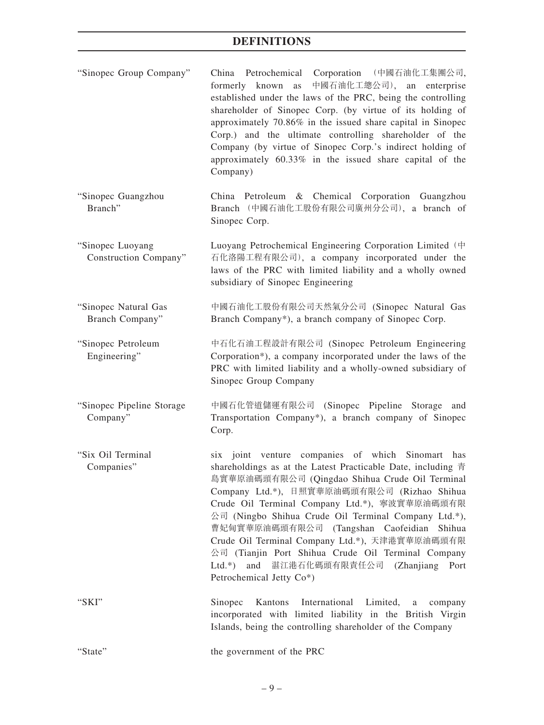- "Sinopec Group Company" China Petrochemical Corporation (中國石油化工集團公司, formerly known as 中國石油化工總公司), an enterprise established under the laws of the PRC, being the controlling shareholder of Sinopec Corp. (by virtue of its holding of approximately 70.86% in the issued share capital in Sinopec Corp.) and the ultimate controlling shareholder of the Company (by virtue of Sinopec Corp.'s indirect holding of approximately 60.33% in the issued share capital of the Company)
- "Sinopec Guangzhou Branch" China Petroleum & Chemical Corporation Guangzhou Branch (中國石油化工股份有限公司廣州分公司), a branch of Sinopec Corp.
- "Sinopec Luoyang Construction Company" Luoyang Petrochemical Engineering Corporation Limited (中 石化洛陽工程有限公司), a company incorporated under the laws of the PRC with limited liability and a wholly owned subsidiary of Sinopec Engineering
- "Sinopec Natural Gas Branch Company" 中國石油化工股份有限公司天然氣分公司 (Sinopec Natural Gas Branch Company\*), a branch company of Sinopec Corp.
- "Sinopec Petroleum Engineering" 中石化石油工程設計有限公司 (Sinopec Petroleum Engineering Corporation\*), a company incorporated under the laws of the PRC with limited liability and a wholly-owned subsidiary of Sinopec Group Company
- "Sinopec Pipeline Storage Company" 中國石化管道儲運有限公司 (Sinopec Pipeline Storage and Transportation Company\*), a branch company of Sinopec Corp.
- "Six Oil Terminal Companies" six joint venture companies of which Sinomart has shareholdings as at the Latest Practicable Date, including 青 島實華原油碼頭有限公司 (Qingdao Shihua Crude Oil Terminal Company Ltd.\*), 日照實華原油碼頭有限公司 (Rizhao Shihua Crude Oil Terminal Company Ltd.\*), 寧波實華原油碼頭有限 公司 (Ningbo Shihua Crude Oil Terminal Company Ltd.\*), 曹妃甸實華原油碼頭有限公司 (Tangshan Caofeidian Shihua Crude Oil Terminal Company Ltd.\*), 天津港實華原油碼頭有限 公司 (Tianjin Port Shihua Crude Oil Terminal Company Ltd.\*) and 湛江港石化碼頭有限責任公司 (Zhanjiang Port Petrochemical Jetty Co\*)
- "SKI" Sinopec Kantons International Limited, a company incorporated with limited liability in the British Virgin Islands, being the controlling shareholder of the Company

| "State" | the government of the PRC |  |
|---------|---------------------------|--|
|         |                           |  |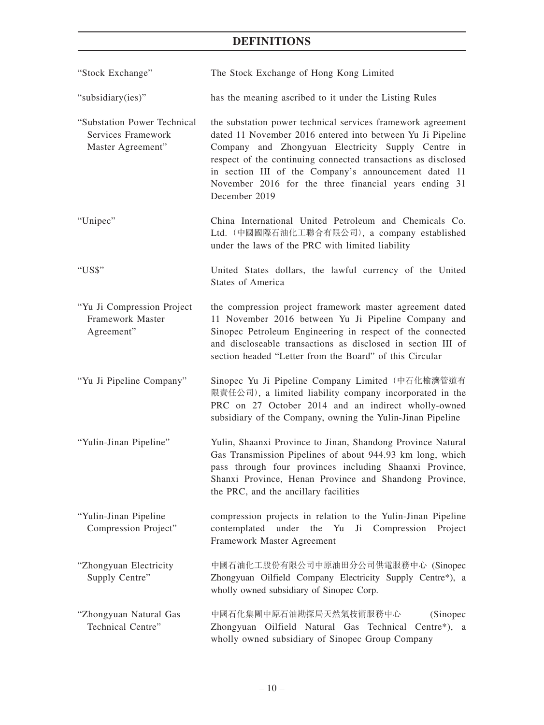| "Stock Exchange"                                                       | The Stock Exchange of Hong Kong Limited                                                                                                                                                                                                                                                                                                                                             |
|------------------------------------------------------------------------|-------------------------------------------------------------------------------------------------------------------------------------------------------------------------------------------------------------------------------------------------------------------------------------------------------------------------------------------------------------------------------------|
| "subsidiary(ies)"                                                      | has the meaning ascribed to it under the Listing Rules                                                                                                                                                                                                                                                                                                                              |
| "Substation Power Technical<br>Services Framework<br>Master Agreement" | the substation power technical services framework agreement<br>dated 11 November 2016 entered into between Yu Ji Pipeline<br>Company and Zhongyuan Electricity Supply Centre in<br>respect of the continuing connected transactions as disclosed<br>in section III of the Company's announcement dated 11<br>November 2016 for the three financial years ending 31<br>December 2019 |
| "Unipec"                                                               | China International United Petroleum and Chemicals Co.<br>Ltd. (中國國際石油化工聯合有限公司), a company established<br>under the laws of the PRC with limited liability                                                                                                                                                                                                                          |
| "US\$"                                                                 | United States dollars, the lawful currency of the United<br><b>States of America</b>                                                                                                                                                                                                                                                                                                |
| "Yu Ji Compression Project<br>Framework Master<br>Agreement"           | the compression project framework master agreement dated<br>11 November 2016 between Yu Ji Pipeline Company and<br>Sinopec Petroleum Engineering in respect of the connected<br>and discloseable transactions as disclosed in section III of<br>section headed "Letter from the Board" of this Circular                                                                             |
| "Yu Ji Pipeline Company"                                               | Sinopec Yu Ji Pipeline Company Limited (中石化榆濟管道有<br>限責任公司), a limited liability company incorporated in the<br>PRC on 27 October 2014 and an indirect wholly-owned<br>subsidiary of the Company, owning the Yulin-Jinan Pipeline                                                                                                                                                    |
| "Yulin-Jinan Pipeline"                                                 | Yulin, Shaanxi Province to Jinan, Shandong Province Natural<br>Gas Transmission Pipelines of about 944.93 km long, which<br>pass through four provinces including Shaanxi Province,<br>Shanxi Province, Henan Province and Shandong Province,<br>the PRC, and the ancillary facilities                                                                                              |
| "Yulin-Jinan Pipeline<br>Compression Project"                          | compression projects in relation to the Yulin-Jinan Pipeline<br>contemplated under the Yu<br>Ji Compression<br>Project<br>Framework Master Agreement                                                                                                                                                                                                                                |
| "Zhongyuan Electricity<br>Supply Centre"                               | 中國石油化工股份有限公司中原油田分公司供電服務中心 (Sinopec<br>Zhongyuan Oilfield Company Electricity Supply Centre*), a<br>wholly owned subsidiary of Sinopec Corp.                                                                                                                                                                                                                                         |
| "Zhongyuan Natural Gas<br>Technical Centre"                            | 中國石化集團中原石油勘探局天然氣技術服務中心<br>(Sinopec)<br>Zhongyuan Oilfield Natural Gas Technical<br>Centre*), $a$<br>wholly owned subsidiary of Sinopec Group Company                                                                                                                                                                                                                                |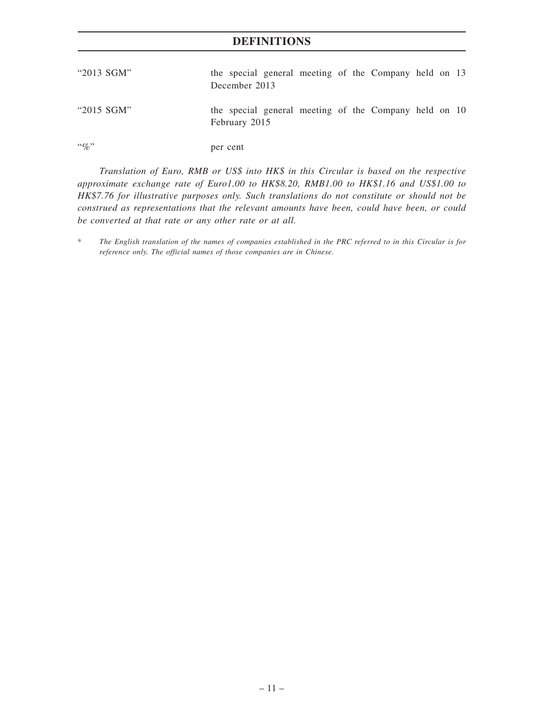| "2013 SGM"    | the special general meeting of the Company held on 13<br>December 2013 |
|---------------|------------------------------------------------------------------------|
| " $2015$ SGM" | the special general meeting of the Company held on 10<br>February 2015 |
| $``\%"$       | per cent                                                               |

*Translation of Euro, RMB or US\$ into HK\$ in this Circular is based on the respective approximate exchange rate of Euro1.00 to HK\$8.20, RMB1.00 to HK\$1.16 and US\$1.00 to HK\$7.76 for illustrative purposes only. Such translations do not constitute or should not be construed as representations that the relevant amounts have been, could have been, or could be converted at that rate or any other rate or at all.*

<sup>\*</sup> *The English translation of the names of companies established in the PRC referred to in this Circular is for reference only. The official names of those companies are in Chinese.*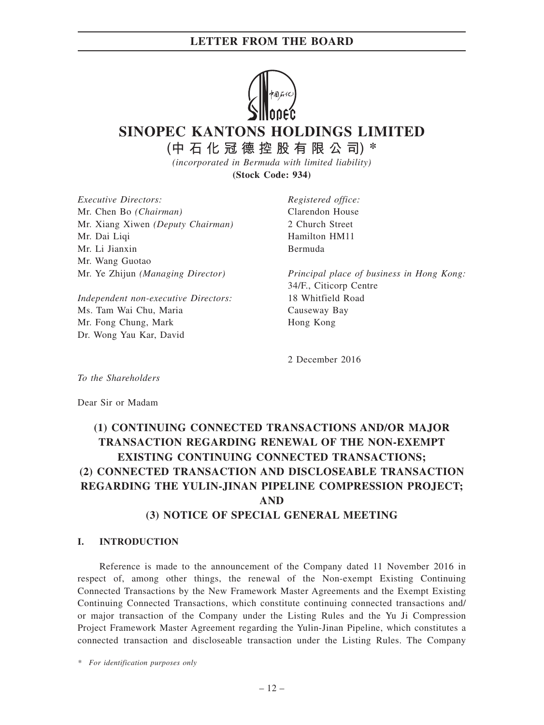

**SINOPEC KANTONS HOLDINGS LIMITED**

**(中石化冠德控股有限公司) \***

*(incorporated in Bermuda with limited liability)* **(Stock Code: 934)**

*Executive Directors:* Mr. Chen Bo *(Chairman)* Mr. Xiang Xiwen *(Deputy Chairman)* Mr. Dai Liqi Mr. Li Jianxin Mr. Wang Guotao Mr. Ye Zhijun *(Managing Director)*

*Independent non-executive Directors:* Ms. Tam Wai Chu, Maria Mr. Fong Chung, Mark Dr. Wong Yau Kar, David

*Registered office:* Clarendon House 2 Church Street Hamilton HM11 Bermuda

*Principal place of business in Hong Kong:* 34/F., Citicorp Centre 18 Whitfield Road Causeway Bay Hong Kong

2 December 2016

*To the Shareholders*

Dear Sir or Madam

# **(1) CONTINUING CONNECTED TRANSACTIONS AND/OR MAJOR TRANSACTION REGARDING RENEWAL OF THE NON-EXEMPT EXISTING CONTINUING CONNECTED TRANSACTIONS; (2) CONNECTED TRANSACTION AND DISCLOSEABLE TRANSACTION REGARDING THE YULIN-JINAN PIPELINE COMPRESSION PROJECT; AND**

## **(3) NOTICE OF SPECIAL GENERAL MEETING**

### **I. INTRODUCTION**

Reference is made to the announcement of the Company dated 11 November 2016 in respect of, among other things, the renewal of the Non-exempt Existing Continuing Connected Transactions by the New Framework Master Agreements and the Exempt Existing Continuing Connected Transactions, which constitute continuing connected transactions and/ or major transaction of the Company under the Listing Rules and the Yu Ji Compression Project Framework Master Agreement regarding the Yulin-Jinan Pipeline, which constitutes a connected transaction and discloseable transaction under the Listing Rules. The Company

*\* For identification purposes only*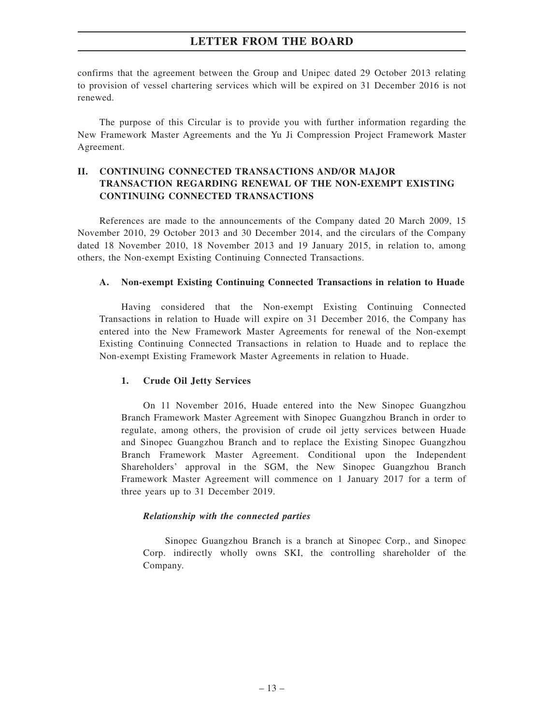confirms that the agreement between the Group and Unipec dated 29 October 2013 relating to provision of vessel chartering services which will be expired on 31 December 2016 is not renewed.

The purpose of this Circular is to provide you with further information regarding the New Framework Master Agreements and the Yu Ji Compression Project Framework Master Agreement.

### **II. CONTINUING CONNECTED TRANSACTIONS AND/OR MAJOR TRANSACTION REGARDING RENEWAL OF THE NON-EXEMPT EXISTING CONTINUING CONNECTED TRANSACTIONS**

References are made to the announcements of the Company dated 20 March 2009, 15 November 2010, 29 October 2013 and 30 December 2014, and the circulars of the Company dated 18 November 2010, 18 November 2013 and 19 January 2015, in relation to, among others, the Non-exempt Existing Continuing Connected Transactions.

#### **A. Non-exempt Existing Continuing Connected Transactions in relation to Huade**

Having considered that the Non-exempt Existing Continuing Connected Transactions in relation to Huade will expire on 31 December 2016, the Company has entered into the New Framework Master Agreements for renewal of the Non-exempt Existing Continuing Connected Transactions in relation to Huade and to replace the Non-exempt Existing Framework Master Agreements in relation to Huade.

### **1. Crude Oil Jetty Services**

On 11 November 2016, Huade entered into the New Sinopec Guangzhou Branch Framework Master Agreement with Sinopec Guangzhou Branch in order to regulate, among others, the provision of crude oil jetty services between Huade and Sinopec Guangzhou Branch and to replace the Existing Sinopec Guangzhou Branch Framework Master Agreement. Conditional upon the Independent Shareholders' approval in the SGM, the New Sinopec Guangzhou Branch Framework Master Agreement will commence on 1 January 2017 for a term of three years up to 31 December 2019.

#### *Relationship with the connected parties*

Sinopec Guangzhou Branch is a branch at Sinopec Corp., and Sinopec Corp. indirectly wholly owns SKI, the controlling shareholder of the Company.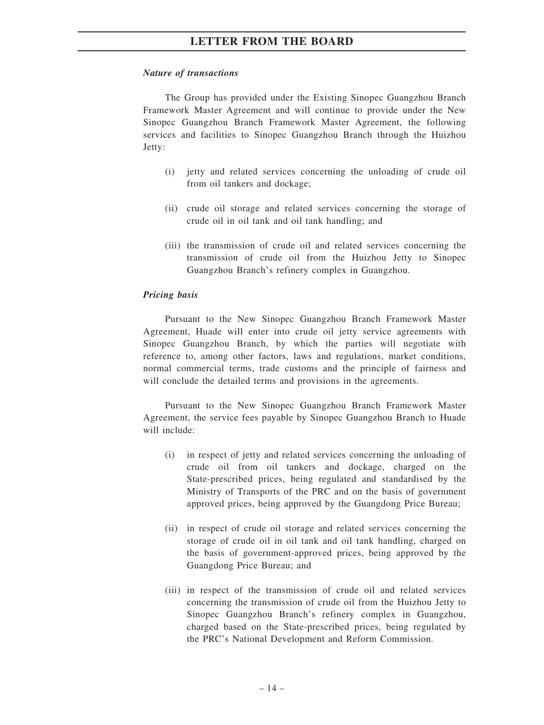#### *Nature of transactions*

The Group has provided under the Existing Sinopec Guangzhou Branch Framework Master Agreement and will continue to provide under the New Sinopec Guangzhou Branch Framework Master Agreement, the following services and facilities to Sinopec Guangzhou Branch through the Huizhou Jetty:

- (i) jetty and related services concerning the unloading of crude oil from oil tankers and dockage;
- (ii) crude oil storage and related services concerning the storage of crude oil in oil tank and oil tank handling; and
- (iii) the transmission of crude oil and related services concerning the transmission of crude oil from the Huizhou Jetty to Sinopec Guangzhou Branch's refinery complex in Guangzhou.

#### *Pricing basis*

Pursuant to the New Sinopec Guangzhou Branch Framework Master Agreement, Huade will enter into crude oil jetty service agreements with Sinopec Guangzhou Branch, by which the parties will negotiate with reference to, among other factors, laws and regulations, market conditions, normal commercial terms, trade customs and the principle of fairness and will conclude the detailed terms and provisions in the agreements.

Pursuant to the New Sinopec Guangzhou Branch Framework Master Agreement, the service fees payable by Sinopec Guangzhou Branch to Huade will include:

- (i) in respect of jetty and related services concerning the unloading of crude oil from oil tankers and dockage, charged on the State-prescribed prices, being regulated and standardised by the Ministry of Transports of the PRC and on the basis of government approved prices, being approved by the Guangdong Price Bureau;
- (ii) in respect of crude oil storage and related services concerning the storage of crude oil in oil tank and oil tank handling, charged on the basis of government-approved prices, being approved by the Guangdong Price Bureau; and
- (iii) in respect of the transmission of crude oil and related services concerning the transmission of crude oil from the Huizhou Jetty to Sinopec Guangzhou Branch's refinery complex in Guangzhou, charged based on the State-prescribed prices, being regulated by the PRC's National Development and Reform Commission.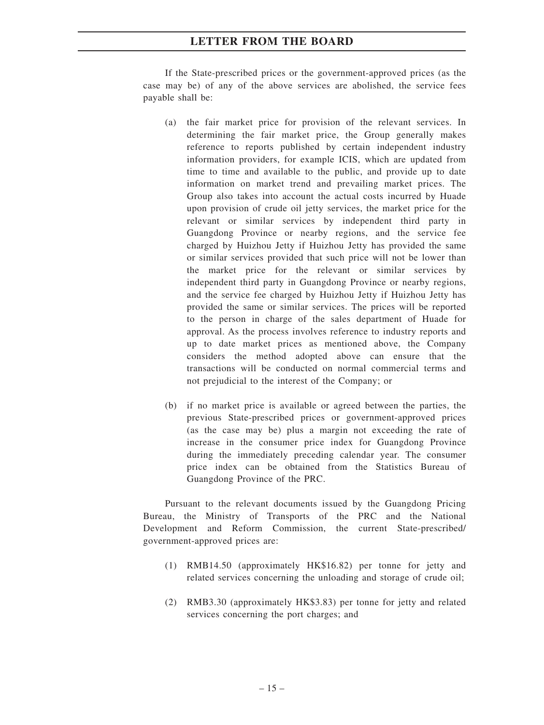If the State-prescribed prices or the government-approved prices (as the case may be) of any of the above services are abolished, the service fees payable shall be:

- (a) the fair market price for provision of the relevant services. In determining the fair market price, the Group generally makes reference to reports published by certain independent industry information providers, for example ICIS, which are updated from time to time and available to the public, and provide up to date information on market trend and prevailing market prices. The Group also takes into account the actual costs incurred by Huade upon provision of crude oil jetty services, the market price for the relevant or similar services by independent third party in Guangdong Province or nearby regions, and the service fee charged by Huizhou Jetty if Huizhou Jetty has provided the same or similar services provided that such price will not be lower than the market price for the relevant or similar services by independent third party in Guangdong Province or nearby regions, and the service fee charged by Huizhou Jetty if Huizhou Jetty has provided the same or similar services. The prices will be reported to the person in charge of the sales department of Huade for approval. As the process involves reference to industry reports and up to date market prices as mentioned above, the Company considers the method adopted above can ensure that the transactions will be conducted on normal commercial terms and not prejudicial to the interest of the Company; or
- (b) if no market price is available or agreed between the parties, the previous State-prescribed prices or government-approved prices (as the case may be) plus a margin not exceeding the rate of increase in the consumer price index for Guangdong Province during the immediately preceding calendar year. The consumer price index can be obtained from the Statistics Bureau of Guangdong Province of the PRC.

Pursuant to the relevant documents issued by the Guangdong Pricing Bureau, the Ministry of Transports of the PRC and the National Development and Reform Commission, the current State-prescribed/ government-approved prices are:

- (1) RMB14.50 (approximately HK\$16.82) per tonne for jetty and related services concerning the unloading and storage of crude oil;
- (2) RMB3.30 (approximately HK\$3.83) per tonne for jetty and related services concerning the port charges; and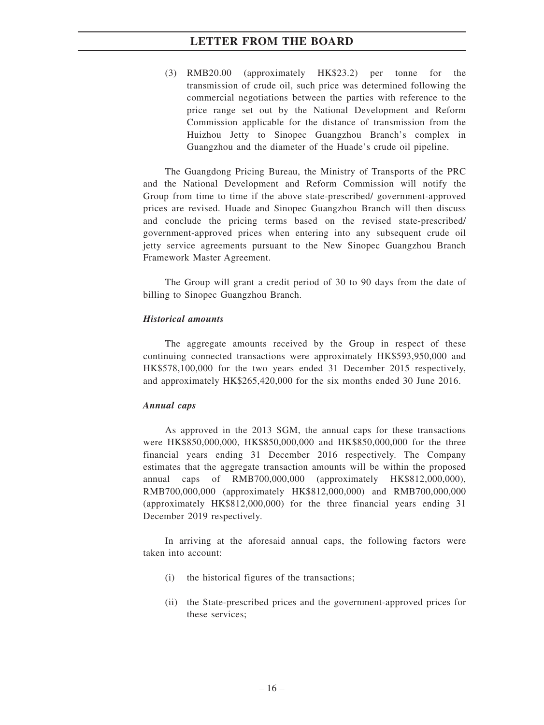(3) RMB20.00 (approximately HK\$23.2) per tonne for the transmission of crude oil, such price was determined following the commercial negotiations between the parties with reference to the price range set out by the National Development and Reform Commission applicable for the distance of transmission from the Huizhou Jetty to Sinopec Guangzhou Branch's complex in Guangzhou and the diameter of the Huade's crude oil pipeline.

The Guangdong Pricing Bureau, the Ministry of Transports of the PRC and the National Development and Reform Commission will notify the Group from time to time if the above state-prescribed/ government-approved prices are revised. Huade and Sinopec Guangzhou Branch will then discuss and conclude the pricing terms based on the revised state-prescribed/ government-approved prices when entering into any subsequent crude oil jetty service agreements pursuant to the New Sinopec Guangzhou Branch Framework Master Agreement.

The Group will grant a credit period of 30 to 90 days from the date of billing to Sinopec Guangzhou Branch.

#### *Historical amounts*

The aggregate amounts received by the Group in respect of these continuing connected transactions were approximately HK\$593,950,000 and HK\$578,100,000 for the two years ended 31 December 2015 respectively, and approximately HK\$265,420,000 for the six months ended 30 June 2016.

#### *Annual caps*

As approved in the 2013 SGM, the annual caps for these transactions were HK\$850,000,000, HK\$850,000,000 and HK\$850,000,000 for the three financial years ending 31 December 2016 respectively. The Company estimates that the aggregate transaction amounts will be within the proposed annual caps of RMB700,000,000 (approximately HK\$812,000,000), RMB700,000,000 (approximately HK\$812,000,000) and RMB700,000,000 (approximately HK\$812,000,000) for the three financial years ending 31 December 2019 respectively.

In arriving at the aforesaid annual caps, the following factors were taken into account:

- (i) the historical figures of the transactions;
- (ii) the State-prescribed prices and the government-approved prices for these services;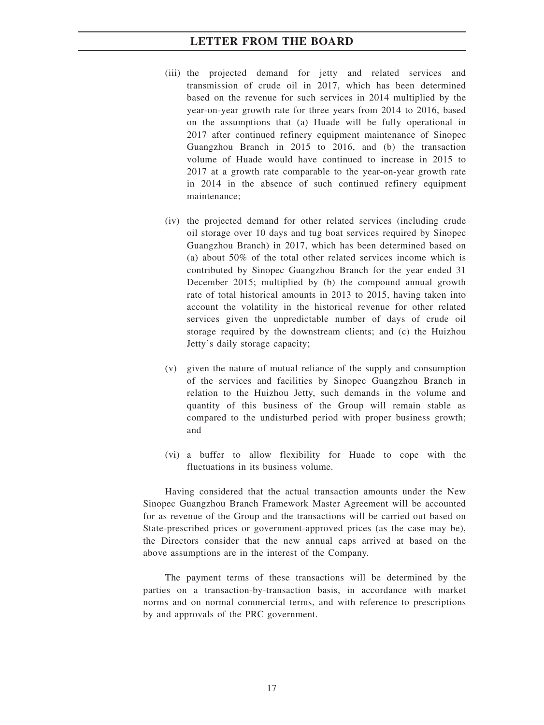- (iii) the projected demand for jetty and related services and transmission of crude oil in 2017, which has been determined based on the revenue for such services in 2014 multiplied by the year-on-year growth rate for three years from 2014 to 2016, based on the assumptions that (a) Huade will be fully operational in 2017 after continued refinery equipment maintenance of Sinopec Guangzhou Branch in 2015 to 2016, and (b) the transaction volume of Huade would have continued to increase in 2015 to 2017 at a growth rate comparable to the year-on-year growth rate in 2014 in the absence of such continued refinery equipment maintenance;
- (iv) the projected demand for other related services (including crude oil storage over 10 days and tug boat services required by Sinopec Guangzhou Branch) in 2017, which has been determined based on (a) about 50% of the total other related services income which is contributed by Sinopec Guangzhou Branch for the year ended 31 December 2015; multiplied by (b) the compound annual growth rate of total historical amounts in 2013 to 2015, having taken into account the volatility in the historical revenue for other related services given the unpredictable number of days of crude oil storage required by the downstream clients; and (c) the Huizhou Jetty's daily storage capacity;
- (v) given the nature of mutual reliance of the supply and consumption of the services and facilities by Sinopec Guangzhou Branch in relation to the Huizhou Jetty, such demands in the volume and quantity of this business of the Group will remain stable as compared to the undisturbed period with proper business growth; and
- (vi) a buffer to allow flexibility for Huade to cope with the fluctuations in its business volume.

Having considered that the actual transaction amounts under the New Sinopec Guangzhou Branch Framework Master Agreement will be accounted for as revenue of the Group and the transactions will be carried out based on State-prescribed prices or government-approved prices (as the case may be), the Directors consider that the new annual caps arrived at based on the above assumptions are in the interest of the Company.

The payment terms of these transactions will be determined by the parties on a transaction-by-transaction basis, in accordance with market norms and on normal commercial terms, and with reference to prescriptions by and approvals of the PRC government.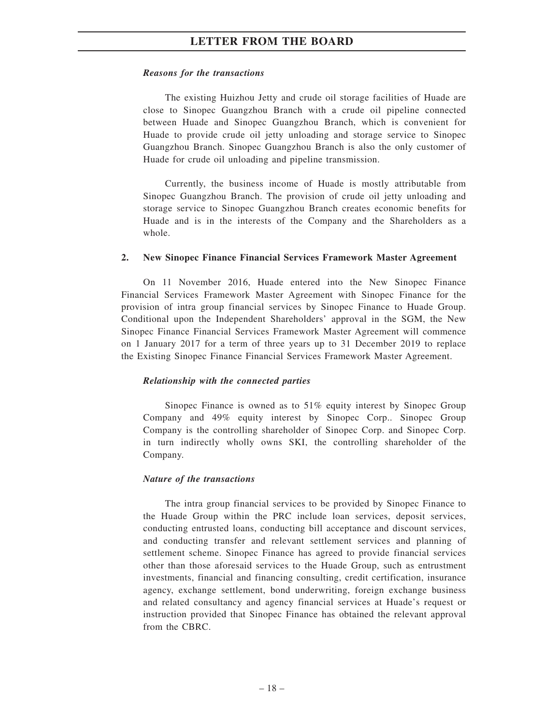#### *Reasons for the transactions*

The existing Huizhou Jetty and crude oil storage facilities of Huade are close to Sinopec Guangzhou Branch with a crude oil pipeline connected between Huade and Sinopec Guangzhou Branch, which is convenient for Huade to provide crude oil jetty unloading and storage service to Sinopec Guangzhou Branch. Sinopec Guangzhou Branch is also the only customer of Huade for crude oil unloading and pipeline transmission.

Currently, the business income of Huade is mostly attributable from Sinopec Guangzhou Branch. The provision of crude oil jetty unloading and storage service to Sinopec Guangzhou Branch creates economic benefits for Huade and is in the interests of the Company and the Shareholders as a whole.

#### **2. New Sinopec Finance Financial Services Framework Master Agreement**

On 11 November 2016, Huade entered into the New Sinopec Finance Financial Services Framework Master Agreement with Sinopec Finance for the provision of intra group financial services by Sinopec Finance to Huade Group. Conditional upon the Independent Shareholders' approval in the SGM, the New Sinopec Finance Financial Services Framework Master Agreement will commence on 1 January 2017 for a term of three years up to 31 December 2019 to replace the Existing Sinopec Finance Financial Services Framework Master Agreement.

### *Relationship with the connected parties*

Sinopec Finance is owned as to 51% equity interest by Sinopec Group Company and 49% equity interest by Sinopec Corp.. Sinopec Group Company is the controlling shareholder of Sinopec Corp. and Sinopec Corp. in turn indirectly wholly owns SKI, the controlling shareholder of the Company.

#### *Nature of the transactions*

The intra group financial services to be provided by Sinopec Finance to the Huade Group within the PRC include loan services, deposit services, conducting entrusted loans, conducting bill acceptance and discount services, and conducting transfer and relevant settlement services and planning of settlement scheme. Sinopec Finance has agreed to provide financial services other than those aforesaid services to the Huade Group, such as entrustment investments, financial and financing consulting, credit certification, insurance agency, exchange settlement, bond underwriting, foreign exchange business and related consultancy and agency financial services at Huade's request or instruction provided that Sinopec Finance has obtained the relevant approval from the CBRC.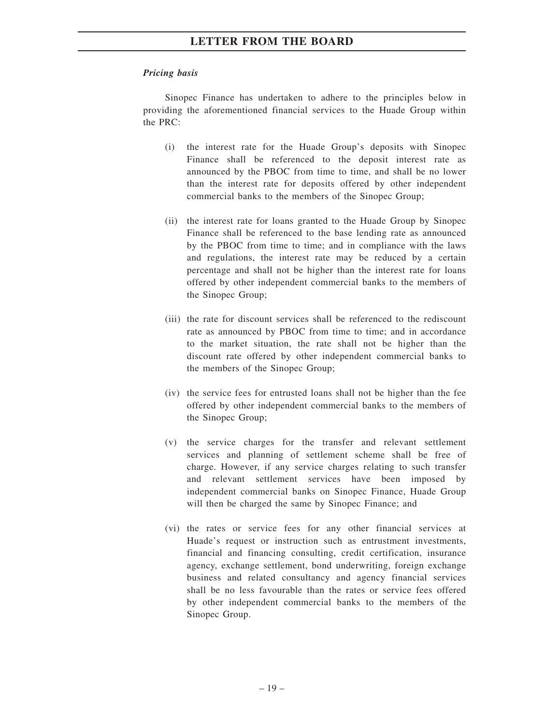### *Pricing basis*

Sinopec Finance has undertaken to adhere to the principles below in providing the aforementioned financial services to the Huade Group within the PRC:

- (i) the interest rate for the Huade Group's deposits with Sinopec Finance shall be referenced to the deposit interest rate as announced by the PBOC from time to time, and shall be no lower than the interest rate for deposits offered by other independent commercial banks to the members of the Sinopec Group;
- (ii) the interest rate for loans granted to the Huade Group by Sinopec Finance shall be referenced to the base lending rate as announced by the PBOC from time to time; and in compliance with the laws and regulations, the interest rate may be reduced by a certain percentage and shall not be higher than the interest rate for loans offered by other independent commercial banks to the members of the Sinopec Group;
- (iii) the rate for discount services shall be referenced to the rediscount rate as announced by PBOC from time to time; and in accordance to the market situation, the rate shall not be higher than the discount rate offered by other independent commercial banks to the members of the Sinopec Group;
- (iv) the service fees for entrusted loans shall not be higher than the fee offered by other independent commercial banks to the members of the Sinopec Group;
- (v) the service charges for the transfer and relevant settlement services and planning of settlement scheme shall be free of charge. However, if any service charges relating to such transfer and relevant settlement services have been imposed by independent commercial banks on Sinopec Finance, Huade Group will then be charged the same by Sinopec Finance; and
- (vi) the rates or service fees for any other financial services at Huade's request or instruction such as entrustment investments, financial and financing consulting, credit certification, insurance agency, exchange settlement, bond underwriting, foreign exchange business and related consultancy and agency financial services shall be no less favourable than the rates or service fees offered by other independent commercial banks to the members of the Sinopec Group.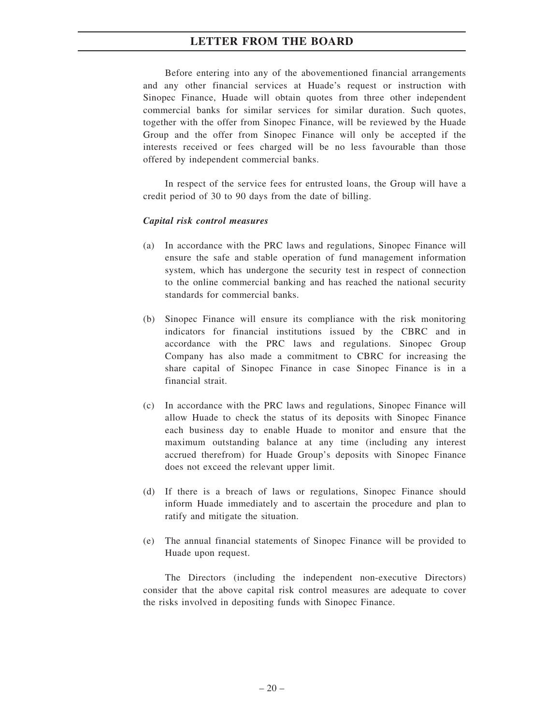Before entering into any of the abovementioned financial arrangements and any other financial services at Huade's request or instruction with Sinopec Finance, Huade will obtain quotes from three other independent commercial banks for similar services for similar duration. Such quotes, together with the offer from Sinopec Finance, will be reviewed by the Huade Group and the offer from Sinopec Finance will only be accepted if the interests received or fees charged will be no less favourable than those offered by independent commercial banks.

In respect of the service fees for entrusted loans, the Group will have a credit period of 30 to 90 days from the date of billing.

#### *Capital risk control measures*

- (a) In accordance with the PRC laws and regulations, Sinopec Finance will ensure the safe and stable operation of fund management information system, which has undergone the security test in respect of connection to the online commercial banking and has reached the national security standards for commercial banks.
- (b) Sinopec Finance will ensure its compliance with the risk monitoring indicators for financial institutions issued by the CBRC and in accordance with the PRC laws and regulations. Sinopec Group Company has also made a commitment to CBRC for increasing the share capital of Sinopec Finance in case Sinopec Finance is in a financial strait.
- (c) In accordance with the PRC laws and regulations, Sinopec Finance will allow Huade to check the status of its deposits with Sinopec Finance each business day to enable Huade to monitor and ensure that the maximum outstanding balance at any time (including any interest accrued therefrom) for Huade Group's deposits with Sinopec Finance does not exceed the relevant upper limit.
- (d) If there is a breach of laws or regulations, Sinopec Finance should inform Huade immediately and to ascertain the procedure and plan to ratify and mitigate the situation.
- (e) The annual financial statements of Sinopec Finance will be provided to Huade upon request.

The Directors (including the independent non-executive Directors) consider that the above capital risk control measures are adequate to cover the risks involved in depositing funds with Sinopec Finance.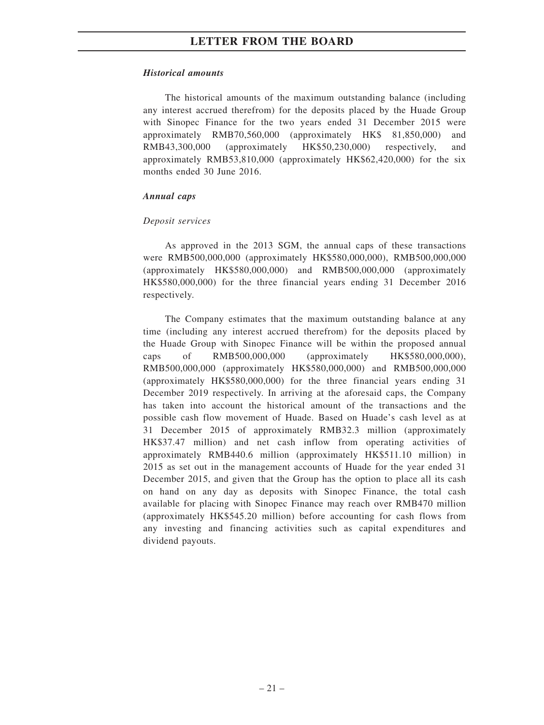#### *Historical amounts*

The historical amounts of the maximum outstanding balance (including any interest accrued therefrom) for the deposits placed by the Huade Group with Sinopec Finance for the two years ended 31 December 2015 were approximately RMB70,560,000 (approximately HK\$ 81,850,000) and RMB43,300,000 (approximately HK\$50,230,000) respectively, and approximately RMB53,810,000 (approximately HK\$62,420,000) for the six months ended 30 June 2016.

#### *Annual caps*

#### *Deposit services*

As approved in the 2013 SGM, the annual caps of these transactions were RMB500,000,000 (approximately HK\$580,000,000), RMB500,000,000 (approximately HK\$580,000,000) and RMB500,000,000 (approximately HK\$580,000,000) for the three financial years ending 31 December 2016 respectively.

The Company estimates that the maximum outstanding balance at any time (including any interest accrued therefrom) for the deposits placed by the Huade Group with Sinopec Finance will be within the proposed annual caps of RMB500,000,000 (approximately HK\$580,000,000), RMB500,000,000 (approximately HK\$580,000,000) and RMB500,000,000 (approximately HK\$580,000,000) for the three financial years ending 31 December 2019 respectively. In arriving at the aforesaid caps, the Company has taken into account the historical amount of the transactions and the possible cash flow movement of Huade. Based on Huade's cash level as at 31 December 2015 of approximately RMB32.3 million (approximately HK\$37.47 million) and net cash inflow from operating activities of approximately RMB440.6 million (approximately HK\$511.10 million) in 2015 as set out in the management accounts of Huade for the year ended 31 December 2015, and given that the Group has the option to place all its cash on hand on any day as deposits with Sinopec Finance, the total cash available for placing with Sinopec Finance may reach over RMB470 million (approximately HK\$545.20 million) before accounting for cash flows from any investing and financing activities such as capital expenditures and dividend payouts.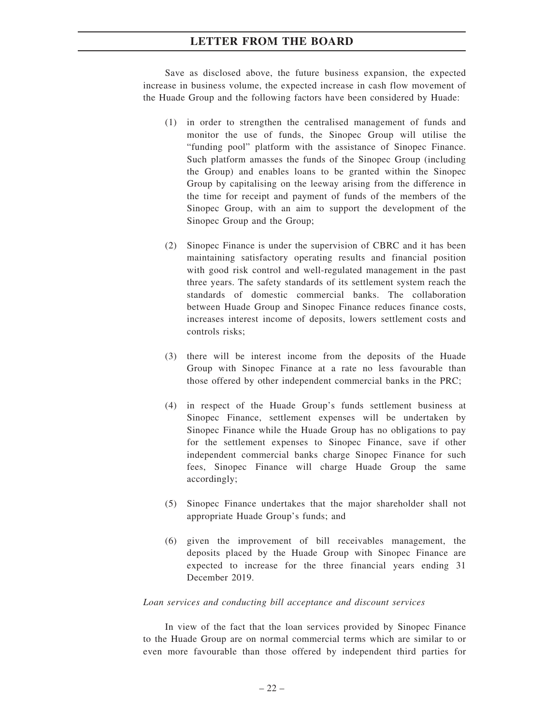Save as disclosed above, the future business expansion, the expected increase in business volume, the expected increase in cash flow movement of the Huade Group and the following factors have been considered by Huade:

- (1) in order to strengthen the centralised management of funds and monitor the use of funds, the Sinopec Group will utilise the "funding pool" platform with the assistance of Sinopec Finance. Such platform amasses the funds of the Sinopec Group (including the Group) and enables loans to be granted within the Sinopec Group by capitalising on the leeway arising from the difference in the time for receipt and payment of funds of the members of the Sinopec Group, with an aim to support the development of the Sinopec Group and the Group;
- (2) Sinopec Finance is under the supervision of CBRC and it has been maintaining satisfactory operating results and financial position with good risk control and well-regulated management in the past three years. The safety standards of its settlement system reach the standards of domestic commercial banks. The collaboration between Huade Group and Sinopec Finance reduces finance costs, increases interest income of deposits, lowers settlement costs and controls risks;
- (3) there will be interest income from the deposits of the Huade Group with Sinopec Finance at a rate no less favourable than those offered by other independent commercial banks in the PRC;
- (4) in respect of the Huade Group's funds settlement business at Sinopec Finance, settlement expenses will be undertaken by Sinopec Finance while the Huade Group has no obligations to pay for the settlement expenses to Sinopec Finance, save if other independent commercial banks charge Sinopec Finance for such fees, Sinopec Finance will charge Huade Group the same accordingly;
- (5) Sinopec Finance undertakes that the major shareholder shall not appropriate Huade Group's funds; and
- (6) given the improvement of bill receivables management, the deposits placed by the Huade Group with Sinopec Finance are expected to increase for the three financial years ending 31 December 2019.

#### *Loan services and conducting bill acceptance and discount services*

In view of the fact that the loan services provided by Sinopec Finance to the Huade Group are on normal commercial terms which are similar to or even more favourable than those offered by independent third parties for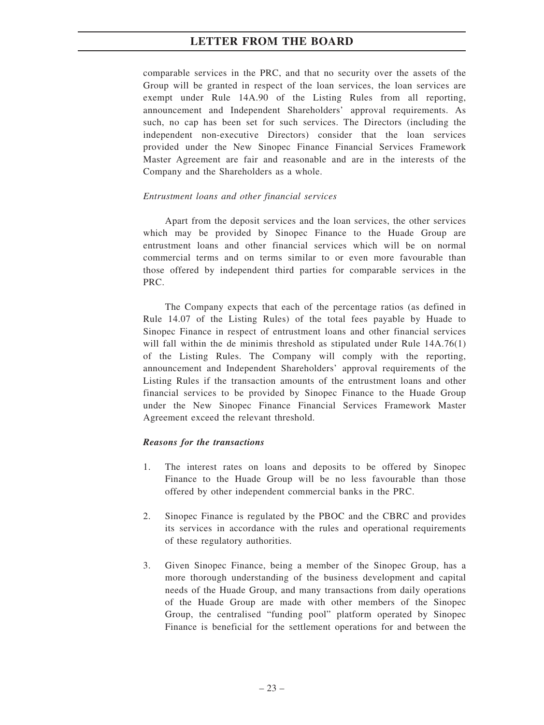comparable services in the PRC, and that no security over the assets of the Group will be granted in respect of the loan services, the loan services are exempt under Rule 14A.90 of the Listing Rules from all reporting, announcement and Independent Shareholders' approval requirements. As such, no cap has been set for such services. The Directors (including the independent non-executive Directors) consider that the loan services provided under the New Sinopec Finance Financial Services Framework Master Agreement are fair and reasonable and are in the interests of the Company and the Shareholders as a whole.

#### *Entrustment loans and other financial services*

Apart from the deposit services and the loan services, the other services which may be provided by Sinopec Finance to the Huade Group are entrustment loans and other financial services which will be on normal commercial terms and on terms similar to or even more favourable than those offered by independent third parties for comparable services in the PRC.

The Company expects that each of the percentage ratios (as defined in Rule 14.07 of the Listing Rules) of the total fees payable by Huade to Sinopec Finance in respect of entrustment loans and other financial services will fall within the de minimis threshold as stipulated under Rule 14A.76(1) of the Listing Rules. The Company will comply with the reporting, announcement and Independent Shareholders' approval requirements of the Listing Rules if the transaction amounts of the entrustment loans and other financial services to be provided by Sinopec Finance to the Huade Group under the New Sinopec Finance Financial Services Framework Master Agreement exceed the relevant threshold.

#### *Reasons for the transactions*

- 1. The interest rates on loans and deposits to be offered by Sinopec Finance to the Huade Group will be no less favourable than those offered by other independent commercial banks in the PRC.
- 2. Sinopec Finance is regulated by the PBOC and the CBRC and provides its services in accordance with the rules and operational requirements of these regulatory authorities.
- 3. Given Sinopec Finance, being a member of the Sinopec Group, has a more thorough understanding of the business development and capital needs of the Huade Group, and many transactions from daily operations of the Huade Group are made with other members of the Sinopec Group, the centralised "funding pool" platform operated by Sinopec Finance is beneficial for the settlement operations for and between the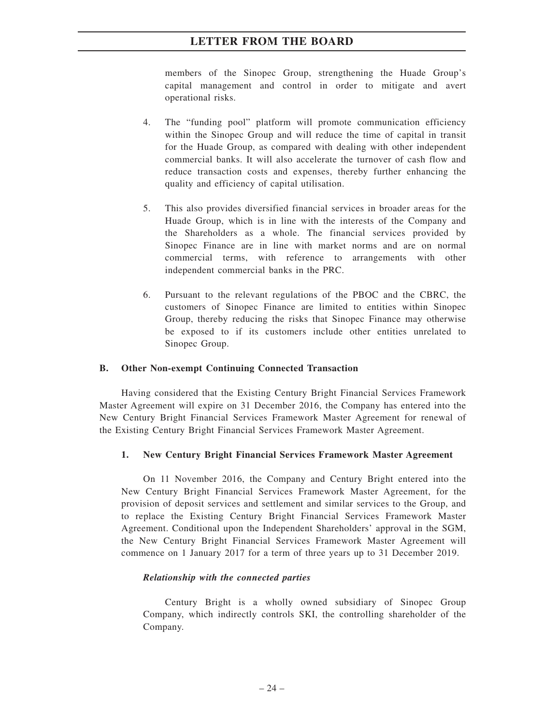members of the Sinopec Group, strengthening the Huade Group's capital management and control in order to mitigate and avert operational risks.

- 4. The "funding pool" platform will promote communication efficiency within the Sinopec Group and will reduce the time of capital in transit for the Huade Group, as compared with dealing with other independent commercial banks. It will also accelerate the turnover of cash flow and reduce transaction costs and expenses, thereby further enhancing the quality and efficiency of capital utilisation.
- 5. This also provides diversified financial services in broader areas for the Huade Group, which is in line with the interests of the Company and the Shareholders as a whole. The financial services provided by Sinopec Finance are in line with market norms and are on normal commercial terms, with reference to arrangements with other independent commercial banks in the PRC.
- 6. Pursuant to the relevant regulations of the PBOC and the CBRC, the customers of Sinopec Finance are limited to entities within Sinopec Group, thereby reducing the risks that Sinopec Finance may otherwise be exposed to if its customers include other entities unrelated to Sinopec Group.

#### **B. Other Non-exempt Continuing Connected Transaction**

Having considered that the Existing Century Bright Financial Services Framework Master Agreement will expire on 31 December 2016, the Company has entered into the New Century Bright Financial Services Framework Master Agreement for renewal of the Existing Century Bright Financial Services Framework Master Agreement.

#### **1. New Century Bright Financial Services Framework Master Agreement**

On 11 November 2016, the Company and Century Bright entered into the New Century Bright Financial Services Framework Master Agreement, for the provision of deposit services and settlement and similar services to the Group, and to replace the Existing Century Bright Financial Services Framework Master Agreement. Conditional upon the Independent Shareholders' approval in the SGM, the New Century Bright Financial Services Framework Master Agreement will commence on 1 January 2017 for a term of three years up to 31 December 2019.

#### *Relationship with the connected parties*

Century Bright is a wholly owned subsidiary of Sinopec Group Company, which indirectly controls SKI, the controlling shareholder of the Company.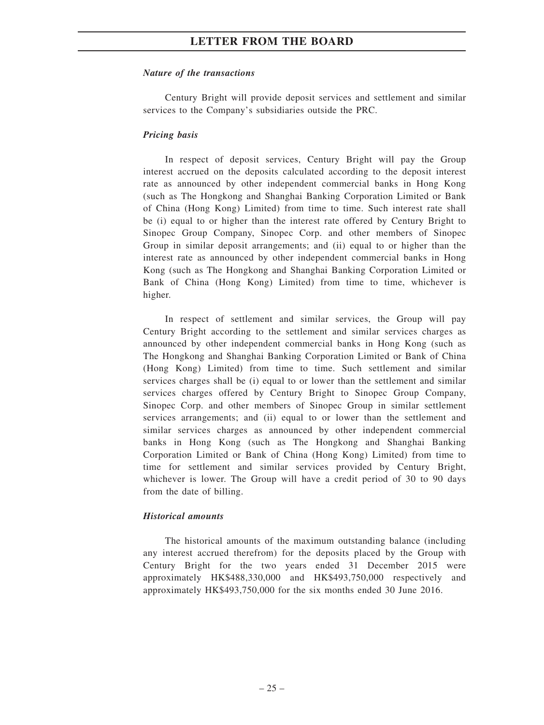#### *Nature of the transactions*

Century Bright will provide deposit services and settlement and similar services to the Company's subsidiaries outside the PRC.

#### *Pricing basis*

In respect of deposit services, Century Bright will pay the Group interest accrued on the deposits calculated according to the deposit interest rate as announced by other independent commercial banks in Hong Kong (such as The Hongkong and Shanghai Banking Corporation Limited or Bank of China (Hong Kong) Limited) from time to time. Such interest rate shall be (i) equal to or higher than the interest rate offered by Century Bright to Sinopec Group Company, Sinopec Corp. and other members of Sinopec Group in similar deposit arrangements; and (ii) equal to or higher than the interest rate as announced by other independent commercial banks in Hong Kong (such as The Hongkong and Shanghai Banking Corporation Limited or Bank of China (Hong Kong) Limited) from time to time, whichever is higher.

In respect of settlement and similar services, the Group will pay Century Bright according to the settlement and similar services charges as announced by other independent commercial banks in Hong Kong (such as The Hongkong and Shanghai Banking Corporation Limited or Bank of China (Hong Kong) Limited) from time to time. Such settlement and similar services charges shall be (i) equal to or lower than the settlement and similar services charges offered by Century Bright to Sinopec Group Company, Sinopec Corp. and other members of Sinopec Group in similar settlement services arrangements; and (ii) equal to or lower than the settlement and similar services charges as announced by other independent commercial banks in Hong Kong (such as The Hongkong and Shanghai Banking Corporation Limited or Bank of China (Hong Kong) Limited) from time to time for settlement and similar services provided by Century Bright, whichever is lower. The Group will have a credit period of 30 to 90 days from the date of billing.

#### *Historical amounts*

The historical amounts of the maximum outstanding balance (including any interest accrued therefrom) for the deposits placed by the Group with Century Bright for the two years ended 31 December 2015 were approximately HK\$488,330,000 and HK\$493,750,000 respectively and approximately HK\$493,750,000 for the six months ended 30 June 2016.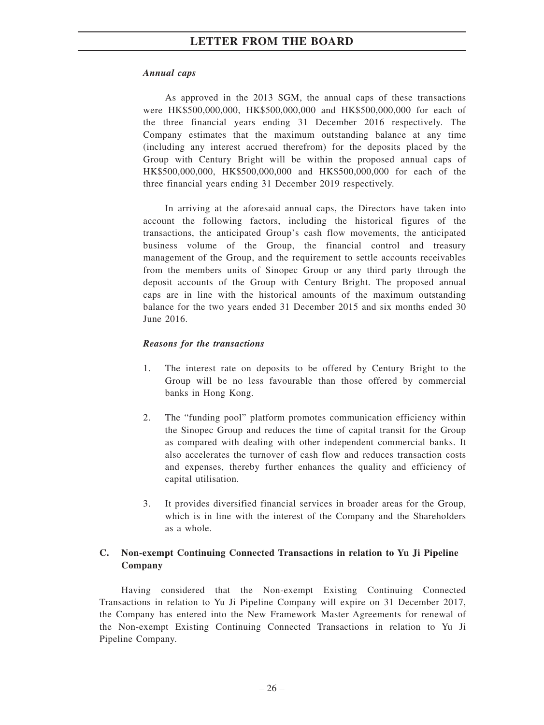#### *Annual caps*

As approved in the 2013 SGM, the annual caps of these transactions were HK\$500,000,000, HK\$500,000,000 and HK\$500,000,000 for each of the three financial years ending 31 December 2016 respectively. The Company estimates that the maximum outstanding balance at any time (including any interest accrued therefrom) for the deposits placed by the Group with Century Bright will be within the proposed annual caps of HK\$500,000,000, HK\$500,000,000 and HK\$500,000,000 for each of the three financial years ending 31 December 2019 respectively.

In arriving at the aforesaid annual caps, the Directors have taken into account the following factors, including the historical figures of the transactions, the anticipated Group's cash flow movements, the anticipated business volume of the Group, the financial control and treasury management of the Group, and the requirement to settle accounts receivables from the members units of Sinopec Group or any third party through the deposit accounts of the Group with Century Bright. The proposed annual caps are in line with the historical amounts of the maximum outstanding balance for the two years ended 31 December 2015 and six months ended 30 June 2016.

#### *Reasons for the transactions*

- 1. The interest rate on deposits to be offered by Century Bright to the Group will be no less favourable than those offered by commercial banks in Hong Kong.
- 2. The "funding pool" platform promotes communication efficiency within the Sinopec Group and reduces the time of capital transit for the Group as compared with dealing with other independent commercial banks. It also accelerates the turnover of cash flow and reduces transaction costs and expenses, thereby further enhances the quality and efficiency of capital utilisation.
- 3. It provides diversified financial services in broader areas for the Group, which is in line with the interest of the Company and the Shareholders as a whole.

### **C. Non-exempt Continuing Connected Transactions in relation to Yu Ji Pipeline Company**

Having considered that the Non-exempt Existing Continuing Connected Transactions in relation to Yu Ji Pipeline Company will expire on 31 December 2017, the Company has entered into the New Framework Master Agreements for renewal of the Non-exempt Existing Continuing Connected Transactions in relation to Yu Ji Pipeline Company.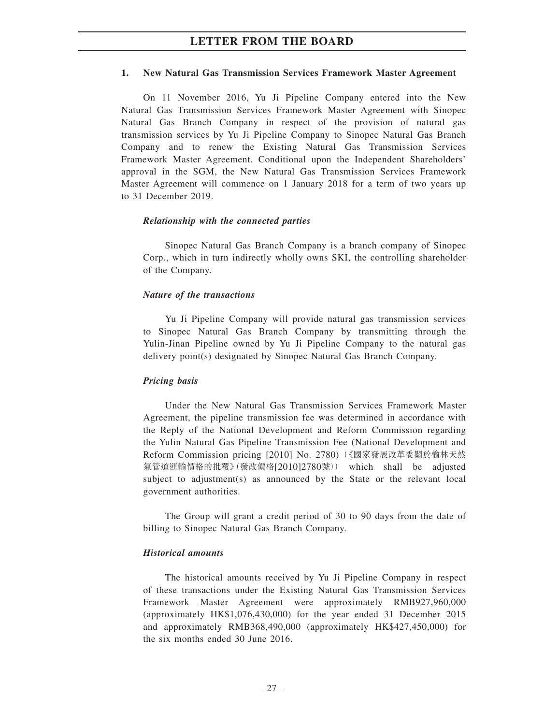#### **1. New Natural Gas Transmission Services Framework Master Agreement**

On 11 November 2016, Yu Ji Pipeline Company entered into the New Natural Gas Transmission Services Framework Master Agreement with Sinopec Natural Gas Branch Company in respect of the provision of natural gas transmission services by Yu Ji Pipeline Company to Sinopec Natural Gas Branch Company and to renew the Existing Natural Gas Transmission Services Framework Master Agreement. Conditional upon the Independent Shareholders' approval in the SGM, the New Natural Gas Transmission Services Framework Master Agreement will commence on 1 January 2018 for a term of two years up to 31 December 2019.

#### *Relationship with the connected parties*

Sinopec Natural Gas Branch Company is a branch company of Sinopec Corp., which in turn indirectly wholly owns SKI, the controlling shareholder of the Company.

#### *Nature of the transactions*

Yu Ji Pipeline Company will provide natural gas transmission services to Sinopec Natural Gas Branch Company by transmitting through the Yulin-Jinan Pipeline owned by Yu Ji Pipeline Company to the natural gas delivery point(s) designated by Sinopec Natural Gas Branch Company.

#### *Pricing basis*

Under the New Natural Gas Transmission Services Framework Master Agreement, the pipeline transmission fee was determined in accordance with the Reply of the National Development and Reform Commission regarding the Yulin Natural Gas Pipeline Transmission Fee (National Development and Reform Commission pricing [2010] No. 2780)(《國家發展改革委關於榆林天然 氣管道運輸價格的批覆》(發改價格[2010]2780號)) which shall be adjusted subject to adjustment(s) as announced by the State or the relevant local government authorities.

The Group will grant a credit period of 30 to 90 days from the date of billing to Sinopec Natural Gas Branch Company.

#### *Historical amounts*

The historical amounts received by Yu Ji Pipeline Company in respect of these transactions under the Existing Natural Gas Transmission Services Framework Master Agreement were approximately RMB927,960,000 (approximately HK\$1,076,430,000) for the year ended 31 December 2015 and approximately RMB368,490,000 (approximately HK\$427,450,000) for the six months ended 30 June 2016.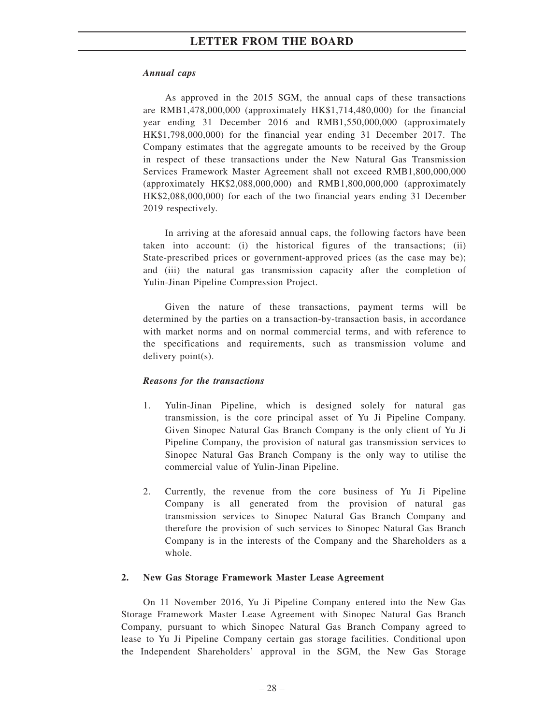### *Annual caps*

As approved in the 2015 SGM, the annual caps of these transactions are RMB1,478,000,000 (approximately HK\$1,714,480,000) for the financial year ending 31 December 2016 and RMB1,550,000,000 (approximately HK\$1,798,000,000) for the financial year ending 31 December 2017. The Company estimates that the aggregate amounts to be received by the Group in respect of these transactions under the New Natural Gas Transmission Services Framework Master Agreement shall not exceed RMB1,800,000,000 (approximately HK\$2,088,000,000) and RMB1,800,000,000 (approximately HK\$2,088,000,000) for each of the two financial years ending 31 December 2019 respectively.

In arriving at the aforesaid annual caps, the following factors have been taken into account: (i) the historical figures of the transactions; (ii) State-prescribed prices or government-approved prices (as the case may be); and (iii) the natural gas transmission capacity after the completion of Yulin-Jinan Pipeline Compression Project.

Given the nature of these transactions, payment terms will be determined by the parties on a transaction-by-transaction basis, in accordance with market norms and on normal commercial terms, and with reference to the specifications and requirements, such as transmission volume and delivery point(s).

### *Reasons for the transactions*

- 1. Yulin-Jinan Pipeline, which is designed solely for natural gas transmission, is the core principal asset of Yu Ji Pipeline Company. Given Sinopec Natural Gas Branch Company is the only client of Yu Ji Pipeline Company, the provision of natural gas transmission services to Sinopec Natural Gas Branch Company is the only way to utilise the commercial value of Yulin-Jinan Pipeline.
- 2. Currently, the revenue from the core business of Yu Ji Pipeline Company is all generated from the provision of natural gas transmission services to Sinopec Natural Gas Branch Company and therefore the provision of such services to Sinopec Natural Gas Branch Company is in the interests of the Company and the Shareholders as a whole.

#### **2. New Gas Storage Framework Master Lease Agreement**

On 11 November 2016, Yu Ji Pipeline Company entered into the New Gas Storage Framework Master Lease Agreement with Sinopec Natural Gas Branch Company, pursuant to which Sinopec Natural Gas Branch Company agreed to lease to Yu Ji Pipeline Company certain gas storage facilities. Conditional upon the Independent Shareholders' approval in the SGM, the New Gas Storage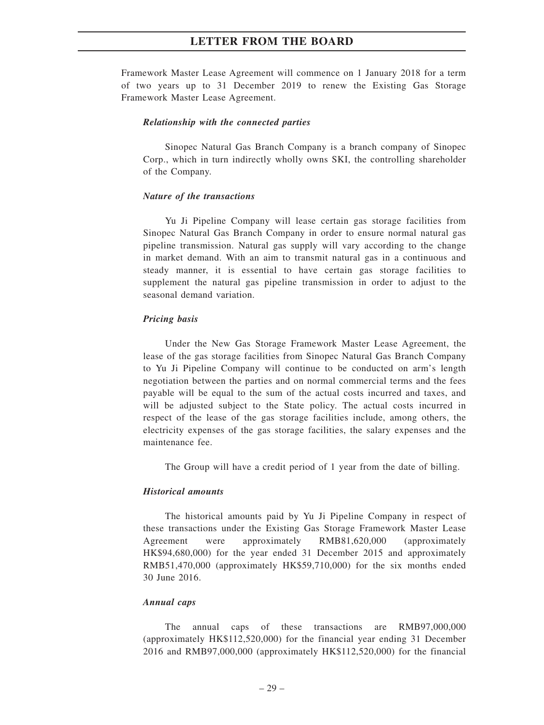Framework Master Lease Agreement will commence on 1 January 2018 for a term of two years up to 31 December 2019 to renew the Existing Gas Storage Framework Master Lease Agreement.

#### *Relationship with the connected parties*

Sinopec Natural Gas Branch Company is a branch company of Sinopec Corp., which in turn indirectly wholly owns SKI, the controlling shareholder of the Company.

#### *Nature of the transactions*

Yu Ji Pipeline Company will lease certain gas storage facilities from Sinopec Natural Gas Branch Company in order to ensure normal natural gas pipeline transmission. Natural gas supply will vary according to the change in market demand. With an aim to transmit natural gas in a continuous and steady manner, it is essential to have certain gas storage facilities to supplement the natural gas pipeline transmission in order to adjust to the seasonal demand variation.

#### *Pricing basis*

Under the New Gas Storage Framework Master Lease Agreement, the lease of the gas storage facilities from Sinopec Natural Gas Branch Company to Yu Ji Pipeline Company will continue to be conducted on arm's length negotiation between the parties and on normal commercial terms and the fees payable will be equal to the sum of the actual costs incurred and taxes, and will be adjusted subject to the State policy. The actual costs incurred in respect of the lease of the gas storage facilities include, among others, the electricity expenses of the gas storage facilities, the salary expenses and the maintenance fee.

The Group will have a credit period of 1 year from the date of billing.

#### *Historical amounts*

The historical amounts paid by Yu Ji Pipeline Company in respect of these transactions under the Existing Gas Storage Framework Master Lease Agreement were approximately RMB81,620,000 (approximately HK\$94,680,000) for the year ended 31 December 2015 and approximately RMB51,470,000 (approximately HK\$59,710,000) for the six months ended 30 June 2016.

#### *Annual caps*

The annual caps of these transactions are RMB97,000,000 (approximately HK\$112,520,000) for the financial year ending 31 December 2016 and RMB97,000,000 (approximately HK\$112,520,000) for the financial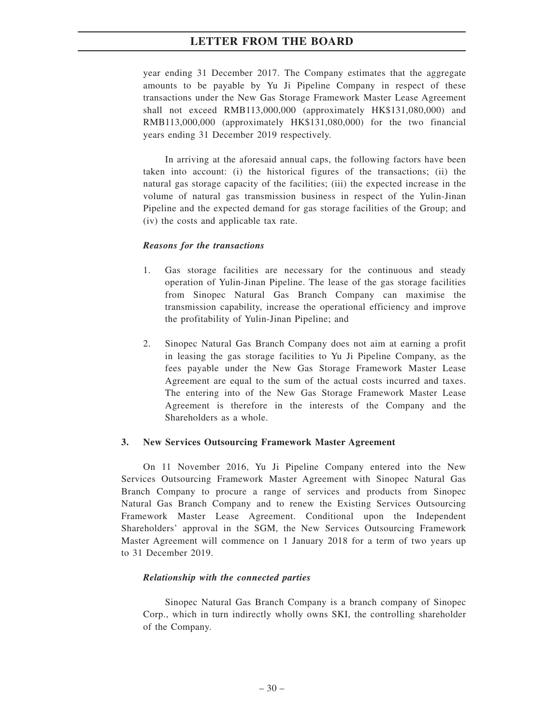year ending 31 December 2017. The Company estimates that the aggregate amounts to be payable by Yu Ji Pipeline Company in respect of these transactions under the New Gas Storage Framework Master Lease Agreement shall not exceed RMB113,000,000 (approximately HK\$131,080,000) and RMB113,000,000 (approximately HK\$131,080,000) for the two financial years ending 31 December 2019 respectively.

In arriving at the aforesaid annual caps, the following factors have been taken into account: (i) the historical figures of the transactions; (ii) the natural gas storage capacity of the facilities; (iii) the expected increase in the volume of natural gas transmission business in respect of the Yulin-Jinan Pipeline and the expected demand for gas storage facilities of the Group; and (iv) the costs and applicable tax rate.

#### *Reasons for the transactions*

- 1. Gas storage facilities are necessary for the continuous and steady operation of Yulin-Jinan Pipeline. The lease of the gas storage facilities from Sinopec Natural Gas Branch Company can maximise the transmission capability, increase the operational efficiency and improve the profitability of Yulin-Jinan Pipeline; and
- 2. Sinopec Natural Gas Branch Company does not aim at earning a profit in leasing the gas storage facilities to Yu Ji Pipeline Company, as the fees payable under the New Gas Storage Framework Master Lease Agreement are equal to the sum of the actual costs incurred and taxes. The entering into of the New Gas Storage Framework Master Lease Agreement is therefore in the interests of the Company and the Shareholders as a whole.

#### **3. New Services Outsourcing Framework Master Agreement**

On 11 November 2016, Yu Ji Pipeline Company entered into the New Services Outsourcing Framework Master Agreement with Sinopec Natural Gas Branch Company to procure a range of services and products from Sinopec Natural Gas Branch Company and to renew the Existing Services Outsourcing Framework Master Lease Agreement. Conditional upon the Independent Shareholders' approval in the SGM, the New Services Outsourcing Framework Master Agreement will commence on 1 January 2018 for a term of two years up to 31 December 2019.

#### *Relationship with the connected parties*

Sinopec Natural Gas Branch Company is a branch company of Sinopec Corp., which in turn indirectly wholly owns SKI, the controlling shareholder of the Company.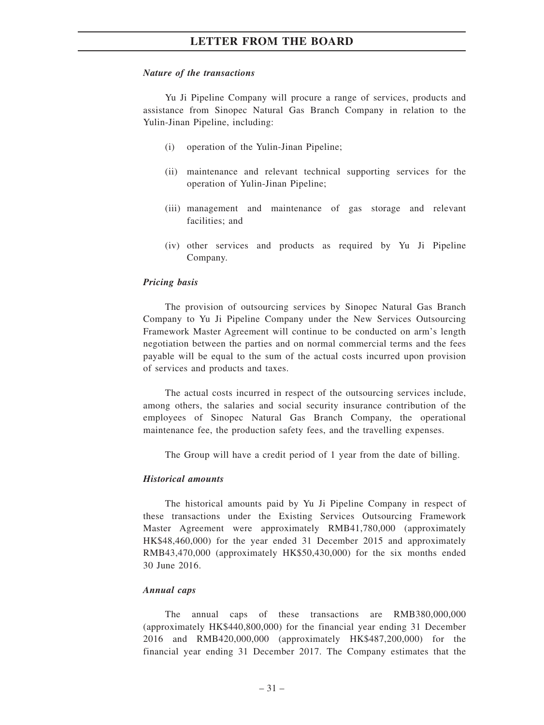#### *Nature of the transactions*

Yu Ji Pipeline Company will procure a range of services, products and assistance from Sinopec Natural Gas Branch Company in relation to the Yulin-Jinan Pipeline, including:

- (i) operation of the Yulin-Jinan Pipeline;
- (ii) maintenance and relevant technical supporting services for the operation of Yulin-Jinan Pipeline;
- (iii) management and maintenance of gas storage and relevant facilities; and
- (iv) other services and products as required by Yu Ji Pipeline Company.

#### *Pricing basis*

The provision of outsourcing services by Sinopec Natural Gas Branch Company to Yu Ji Pipeline Company under the New Services Outsourcing Framework Master Agreement will continue to be conducted on arm's length negotiation between the parties and on normal commercial terms and the fees payable will be equal to the sum of the actual costs incurred upon provision of services and products and taxes.

The actual costs incurred in respect of the outsourcing services include, among others, the salaries and social security insurance contribution of the employees of Sinopec Natural Gas Branch Company, the operational maintenance fee, the production safety fees, and the travelling expenses.

The Group will have a credit period of 1 year from the date of billing.

#### *Historical amounts*

The historical amounts paid by Yu Ji Pipeline Company in respect of these transactions under the Existing Services Outsourcing Framework Master Agreement were approximately RMB41,780,000 (approximately HK\$48,460,000) for the year ended 31 December 2015 and approximately RMB43,470,000 (approximately HK\$50,430,000) for the six months ended 30 June 2016.

#### *Annual caps*

The annual caps of these transactions are RMB380,000,000 (approximately HK\$440,800,000) for the financial year ending 31 December 2016 and RMB420,000,000 (approximately HK\$487,200,000) for the financial year ending 31 December 2017. The Company estimates that the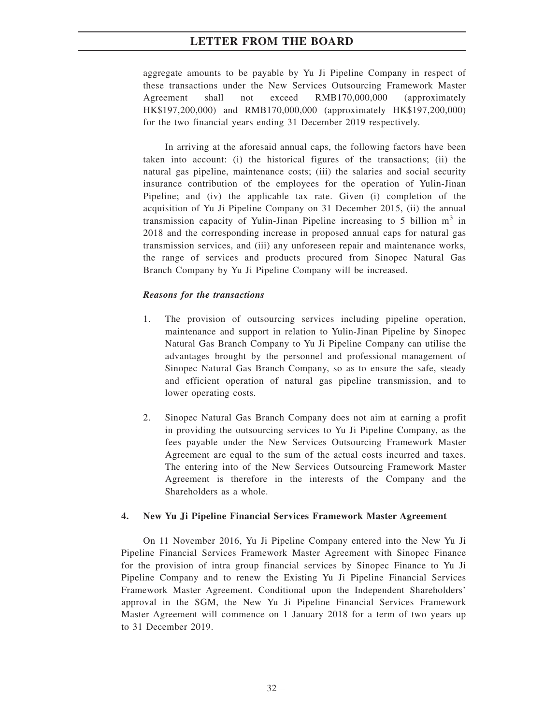aggregate amounts to be payable by Yu Ji Pipeline Company in respect of these transactions under the New Services Outsourcing Framework Master Agreement shall not exceed RMB170,000,000 (approximately HK\$197,200,000) and RMB170,000,000 (approximately HK\$197,200,000) for the two financial years ending 31 December 2019 respectively.

In arriving at the aforesaid annual caps, the following factors have been taken into account: (i) the historical figures of the transactions; (ii) the natural gas pipeline, maintenance costs; (iii) the salaries and social security insurance contribution of the employees for the operation of Yulin-Jinan Pipeline; and (iv) the applicable tax rate. Given (i) completion of the acquisition of Yu Ji Pipeline Company on 31 December 2015, (ii) the annual transmission capacity of Yulin-Jinan Pipeline increasing to 5 billion  $m<sup>3</sup>$  in 2018 and the corresponding increase in proposed annual caps for natural gas transmission services, and (iii) any unforeseen repair and maintenance works, the range of services and products procured from Sinopec Natural Gas Branch Company by Yu Ji Pipeline Company will be increased.

#### *Reasons for the transactions*

- 1. The provision of outsourcing services including pipeline operation, maintenance and support in relation to Yulin-Jinan Pipeline by Sinopec Natural Gas Branch Company to Yu Ji Pipeline Company can utilise the advantages brought by the personnel and professional management of Sinopec Natural Gas Branch Company, so as to ensure the safe, steady and efficient operation of natural gas pipeline transmission, and to lower operating costs.
- 2. Sinopec Natural Gas Branch Company does not aim at earning a profit in providing the outsourcing services to Yu Ji Pipeline Company, as the fees payable under the New Services Outsourcing Framework Master Agreement are equal to the sum of the actual costs incurred and taxes. The entering into of the New Services Outsourcing Framework Master Agreement is therefore in the interests of the Company and the Shareholders as a whole.

#### **4. New Yu Ji Pipeline Financial Services Framework Master Agreement**

On 11 November 2016, Yu Ji Pipeline Company entered into the New Yu Ji Pipeline Financial Services Framework Master Agreement with Sinopec Finance for the provision of intra group financial services by Sinopec Finance to Yu Ji Pipeline Company and to renew the Existing Yu Ji Pipeline Financial Services Framework Master Agreement. Conditional upon the Independent Shareholders' approval in the SGM, the New Yu Ji Pipeline Financial Services Framework Master Agreement will commence on 1 January 2018 for a term of two years up to 31 December 2019.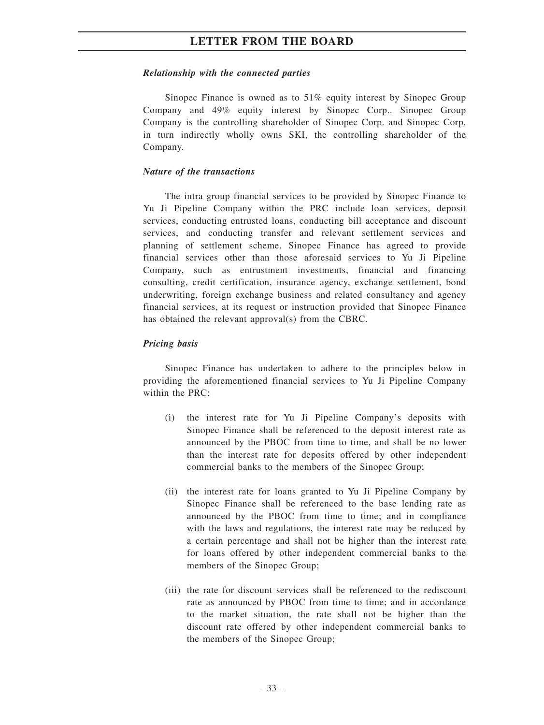#### *Relationship with the connected parties*

Sinopec Finance is owned as to 51% equity interest by Sinopec Group Company and 49% equity interest by Sinopec Corp.. Sinopec Group Company is the controlling shareholder of Sinopec Corp. and Sinopec Corp. in turn indirectly wholly owns SKI, the controlling shareholder of the Company.

#### *Nature of the transactions*

The intra group financial services to be provided by Sinopec Finance to Yu Ji Pipeline Company within the PRC include loan services, deposit services, conducting entrusted loans, conducting bill acceptance and discount services, and conducting transfer and relevant settlement services and planning of settlement scheme. Sinopec Finance has agreed to provide financial services other than those aforesaid services to Yu Ji Pipeline Company, such as entrustment investments, financial and financing consulting, credit certification, insurance agency, exchange settlement, bond underwriting, foreign exchange business and related consultancy and agency financial services, at its request or instruction provided that Sinopec Finance has obtained the relevant approval(s) from the CBRC.

#### *Pricing basis*

Sinopec Finance has undertaken to adhere to the principles below in providing the aforementioned financial services to Yu Ji Pipeline Company within the PRC:

- (i) the interest rate for Yu Ji Pipeline Company's deposits with Sinopec Finance shall be referenced to the deposit interest rate as announced by the PBOC from time to time, and shall be no lower than the interest rate for deposits offered by other independent commercial banks to the members of the Sinopec Group;
- (ii) the interest rate for loans granted to Yu Ji Pipeline Company by Sinopec Finance shall be referenced to the base lending rate as announced by the PBOC from time to time; and in compliance with the laws and regulations, the interest rate may be reduced by a certain percentage and shall not be higher than the interest rate for loans offered by other independent commercial banks to the members of the Sinopec Group;
- (iii) the rate for discount services shall be referenced to the rediscount rate as announced by PBOC from time to time; and in accordance to the market situation, the rate shall not be higher than the discount rate offered by other independent commercial banks to the members of the Sinopec Group;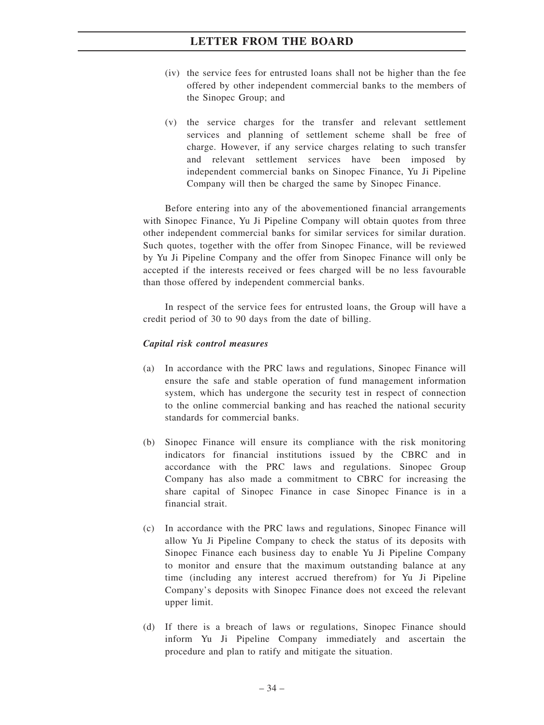- (iv) the service fees for entrusted loans shall not be higher than the fee offered by other independent commercial banks to the members of the Sinopec Group; and
- (v) the service charges for the transfer and relevant settlement services and planning of settlement scheme shall be free of charge. However, if any service charges relating to such transfer and relevant settlement services have been imposed by independent commercial banks on Sinopec Finance, Yu Ji Pipeline Company will then be charged the same by Sinopec Finance.

Before entering into any of the abovementioned financial arrangements with Sinopec Finance, Yu Ji Pipeline Company will obtain quotes from three other independent commercial banks for similar services for similar duration. Such quotes, together with the offer from Sinopec Finance, will be reviewed by Yu Ji Pipeline Company and the offer from Sinopec Finance will only be accepted if the interests received or fees charged will be no less favourable than those offered by independent commercial banks.

In respect of the service fees for entrusted loans, the Group will have a credit period of 30 to 90 days from the date of billing.

#### *Capital risk control measures*

- (a) In accordance with the PRC laws and regulations, Sinopec Finance will ensure the safe and stable operation of fund management information system, which has undergone the security test in respect of connection to the online commercial banking and has reached the national security standards for commercial banks.
- (b) Sinopec Finance will ensure its compliance with the risk monitoring indicators for financial institutions issued by the CBRC and in accordance with the PRC laws and regulations. Sinopec Group Company has also made a commitment to CBRC for increasing the share capital of Sinopec Finance in case Sinopec Finance is in a financial strait.
- (c) In accordance with the PRC laws and regulations, Sinopec Finance will allow Yu Ji Pipeline Company to check the status of its deposits with Sinopec Finance each business day to enable Yu Ji Pipeline Company to monitor and ensure that the maximum outstanding balance at any time (including any interest accrued therefrom) for Yu Ji Pipeline Company's deposits with Sinopec Finance does not exceed the relevant upper limit.
- (d) If there is a breach of laws or regulations, Sinopec Finance should inform Yu Ji Pipeline Company immediately and ascertain the procedure and plan to ratify and mitigate the situation.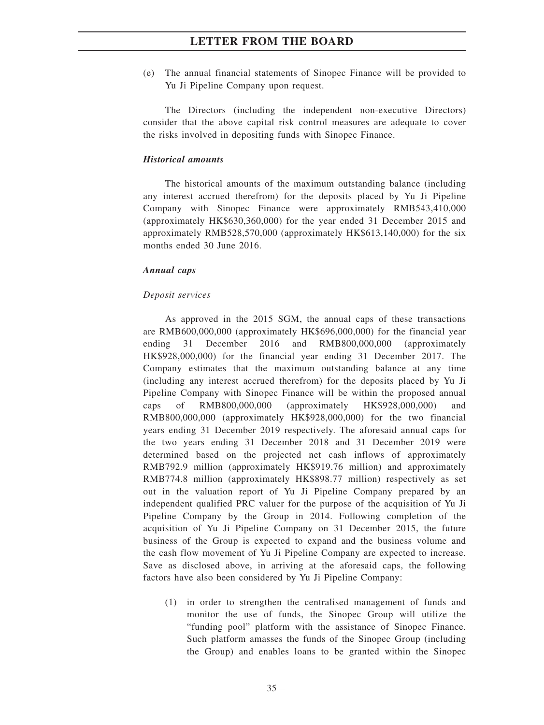(e) The annual financial statements of Sinopec Finance will be provided to Yu Ji Pipeline Company upon request.

The Directors (including the independent non-executive Directors) consider that the above capital risk control measures are adequate to cover the risks involved in depositing funds with Sinopec Finance.

#### *Historical amounts*

The historical amounts of the maximum outstanding balance (including any interest accrued therefrom) for the deposits placed by Yu Ji Pipeline Company with Sinopec Finance were approximately RMB543,410,000 (approximately HK\$630,360,000) for the year ended 31 December 2015 and approximately RMB528,570,000 (approximately HK\$613,140,000) for the six months ended 30 June 2016.

#### *Annual caps*

#### *Deposit services*

As approved in the 2015 SGM, the annual caps of these transactions are RMB600,000,000 (approximately HK\$696,000,000) for the financial year ending 31 December 2016 and RMB800,000,000 (approximately HK\$928,000,000) for the financial year ending 31 December 2017. The Company estimates that the maximum outstanding balance at any time (including any interest accrued therefrom) for the deposits placed by Yu Ji Pipeline Company with Sinopec Finance will be within the proposed annual caps of RMB800,000,000 (approximately HK\$928,000,000) and RMB800,000,000 (approximately HK\$928,000,000) for the two financial years ending 31 December 2019 respectively. The aforesaid annual caps for the two years ending 31 December 2018 and 31 December 2019 were determined based on the projected net cash inflows of approximately RMB792.9 million (approximately HK\$919.76 million) and approximately RMB774.8 million (approximately HK\$898.77 million) respectively as set out in the valuation report of Yu Ji Pipeline Company prepared by an independent qualified PRC valuer for the purpose of the acquisition of Yu Ji Pipeline Company by the Group in 2014. Following completion of the acquisition of Yu Ji Pipeline Company on 31 December 2015, the future business of the Group is expected to expand and the business volume and the cash flow movement of Yu Ji Pipeline Company are expected to increase. Save as disclosed above, in arriving at the aforesaid caps, the following factors have also been considered by Yu Ji Pipeline Company:

(1) in order to strengthen the centralised management of funds and monitor the use of funds, the Sinopec Group will utilize the "funding pool" platform with the assistance of Sinopec Finance. Such platform amasses the funds of the Sinopec Group (including the Group) and enables loans to be granted within the Sinopec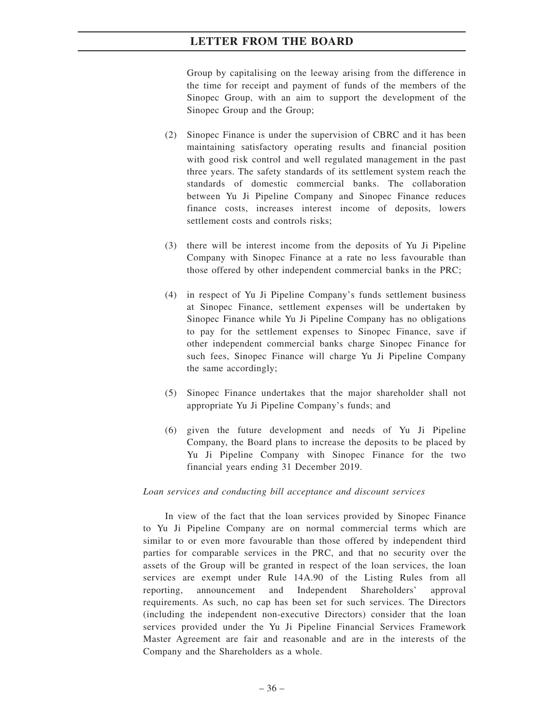Group by capitalising on the leeway arising from the difference in the time for receipt and payment of funds of the members of the Sinopec Group, with an aim to support the development of the Sinopec Group and the Group;

- (2) Sinopec Finance is under the supervision of CBRC and it has been maintaining satisfactory operating results and financial position with good risk control and well regulated management in the past three years. The safety standards of its settlement system reach the standards of domestic commercial banks. The collaboration between Yu Ji Pipeline Company and Sinopec Finance reduces finance costs, increases interest income of deposits, lowers settlement costs and controls risks;
- (3) there will be interest income from the deposits of Yu Ji Pipeline Company with Sinopec Finance at a rate no less favourable than those offered by other independent commercial banks in the PRC;
- (4) in respect of Yu Ji Pipeline Company's funds settlement business at Sinopec Finance, settlement expenses will be undertaken by Sinopec Finance while Yu Ji Pipeline Company has no obligations to pay for the settlement expenses to Sinopec Finance, save if other independent commercial banks charge Sinopec Finance for such fees, Sinopec Finance will charge Yu Ji Pipeline Company the same accordingly;
- (5) Sinopec Finance undertakes that the major shareholder shall not appropriate Yu Ji Pipeline Company's funds; and
- (6) given the future development and needs of Yu Ji Pipeline Company, the Board plans to increase the deposits to be placed by Yu Ji Pipeline Company with Sinopec Finance for the two financial years ending 31 December 2019.

### *Loan services and conducting bill acceptance and discount services*

In view of the fact that the loan services provided by Sinopec Finance to Yu Ji Pipeline Company are on normal commercial terms which are similar to or even more favourable than those offered by independent third parties for comparable services in the PRC, and that no security over the assets of the Group will be granted in respect of the loan services, the loan services are exempt under Rule 14A.90 of the Listing Rules from all reporting, announcement and Independent Shareholders' approval requirements. As such, no cap has been set for such services. The Directors (including the independent non-executive Directors) consider that the loan services provided under the Yu Ji Pipeline Financial Services Framework Master Agreement are fair and reasonable and are in the interests of the Company and the Shareholders as a whole.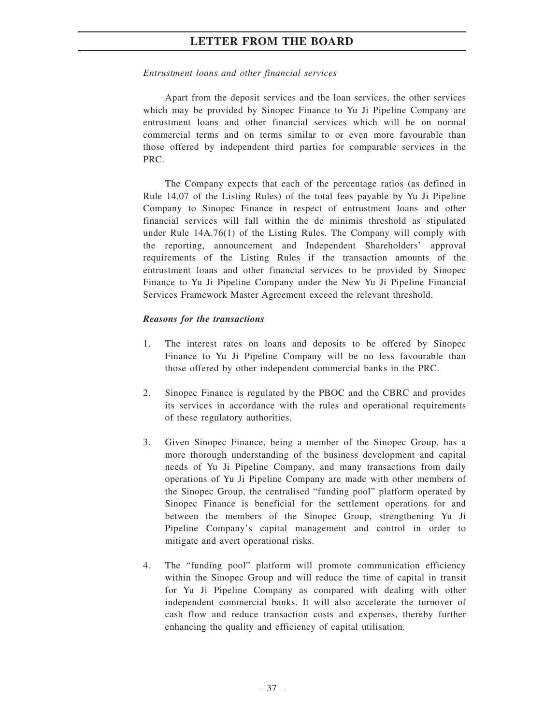### *Entrustment loans and other financial services*

Apart from the deposit services and the loan services, the other services which may be provided by Sinopec Finance to Yu Ji Pipeline Company are entrustment loans and other financial services which will be on normal commercial terms and on terms similar to or even more favourable than those offered by independent third parties for comparable services in the PRC.

The Company expects that each of the percentage ratios (as defined in Rule 14.07 of the Listing Rules) of the total fees payable by Yu Ji Pipeline Company to Sinopec Finance in respect of entrustment loans and other financial services will fall within the de minimis threshold as stipulated under Rule 14A.76(1) of the Listing Rules. The Company will comply with the reporting, announcement and Independent Shareholders' approval requirements of the Listing Rules if the transaction amounts of the entrustment loans and other financial services to be provided by Sinopec Finance to Yu Ji Pipeline Company under the New Yu Ji Pipeline Financial Services Framework Master Agreement exceed the relevant threshold.

### *Reasons for the transactions*

- 1. The interest rates on loans and deposits to be offered by Sinopec Finance to Yu Ji Pipeline Company will be no less favourable than those offered by other independent commercial banks in the PRC.
- 2. Sinopec Finance is regulated by the PBOC and the CBRC and provides its services in accordance with the rules and operational requirements of these regulatory authorities.
- 3. Given Sinopec Finance, being a member of the Sinopec Group, has a more thorough understanding of the business development and capital needs of Yu Ji Pipeline Company, and many transactions from daily operations of Yu Ji Pipeline Company are made with other members of the Sinopec Group, the centralised "funding pool" platform operated by Sinopec Finance is beneficial for the settlement operations for and between the members of the Sinopec Group, strengthening Yu Ji Pipeline Company's capital management and control in order to mitigate and avert operational risks.
- 4. The "funding pool" platform will promote communication efficiency within the Sinopec Group and will reduce the time of capital in transit for Yu Ji Pipeline Company as compared with dealing with other independent commercial banks. It will also accelerate the turnover of cash flow and reduce transaction costs and expenses, thereby further enhancing the quality and efficiency of capital utilisation.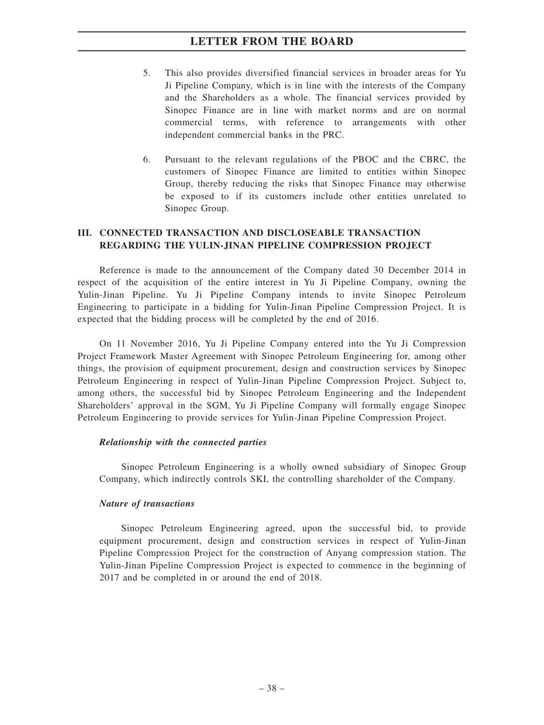- 5. This also provides diversified financial services in broader areas for Yu Ji Pipeline Company, which is in line with the interests of the Company and the Shareholders as a whole. The financial services provided by Sinopec Finance are in line with market norms and are on normal commercial terms, with reference to arrangements with other independent commercial banks in the PRC.
- 6. Pursuant to the relevant regulations of the PBOC and the CBRC, the customers of Sinopec Finance are limited to entities within Sinopec Group, thereby reducing the risks that Sinopec Finance may otherwise be exposed to if its customers include other entities unrelated to Sinopec Group.

### **III. CONNECTED TRANSACTION AND DISCLOSEABLE TRANSACTION REGARDING THE YULIN-JINAN PIPELINE COMPRESSION PROJECT**

Reference is made to the announcement of the Company dated 30 December 2014 in respect of the acquisition of the entire interest in Yu Ji Pipeline Company, owning the Yulin-Jinan Pipeline. Yu Ji Pipeline Company intends to invite Sinopec Petroleum Engineering to participate in a bidding for Yulin-Jinan Pipeline Compression Project. It is expected that the bidding process will be completed by the end of 2016.

On 11 November 2016, Yu Ji Pipeline Company entered into the Yu Ji Compression Project Framework Master Agreement with Sinopec Petroleum Engineering for, among other things, the provision of equipment procurement, design and construction services by Sinopec Petroleum Engineering in respect of Yulin-Jinan Pipeline Compression Project. Subject to, among others, the successful bid by Sinopec Petroleum Engineering and the Independent Shareholders' approval in the SGM, Yu Ji Pipeline Company will formally engage Sinopec Petroleum Engineering to provide services for Yulin-Jinan Pipeline Compression Project.

### *Relationship with the connected parties*

Sinopec Petroleum Engineering is a wholly owned subsidiary of Sinopec Group Company, which indirectly controls SKI, the controlling shareholder of the Company.

### *Nature of transactions*

Sinopec Petroleum Engineering agreed, upon the successful bid, to provide equipment procurement, design and construction services in respect of Yulin-Jinan Pipeline Compression Project for the construction of Anyang compression station. The Yulin-Jinan Pipeline Compression Project is expected to commence in the beginning of 2017 and be completed in or around the end of 2018.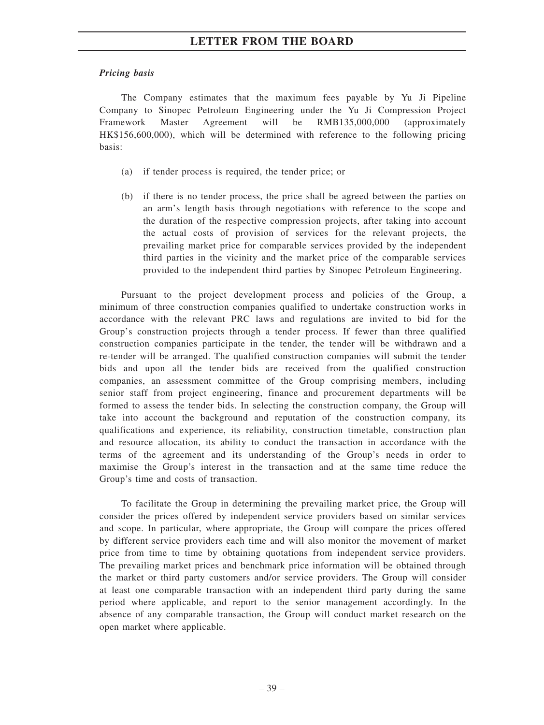### *Pricing basis*

The Company estimates that the maximum fees payable by Yu Ji Pipeline Company to Sinopec Petroleum Engineering under the Yu Ji Compression Project Framework Master Agreement will be RMB135,000,000 (approximately HK\$156,600,000), which will be determined with reference to the following pricing basis:

- (a) if tender process is required, the tender price; or
- (b) if there is no tender process, the price shall be agreed between the parties on an arm's length basis through negotiations with reference to the scope and the duration of the respective compression projects, after taking into account the actual costs of provision of services for the relevant projects, the prevailing market price for comparable services provided by the independent third parties in the vicinity and the market price of the comparable services provided to the independent third parties by Sinopec Petroleum Engineering.

Pursuant to the project development process and policies of the Group, a minimum of three construction companies qualified to undertake construction works in accordance with the relevant PRC laws and regulations are invited to bid for the Group's construction projects through a tender process. If fewer than three qualified construction companies participate in the tender, the tender will be withdrawn and a re-tender will be arranged. The qualified construction companies will submit the tender bids and upon all the tender bids are received from the qualified construction companies, an assessment committee of the Group comprising members, including senior staff from project engineering, finance and procurement departments will be formed to assess the tender bids. In selecting the construction company, the Group will take into account the background and reputation of the construction company, its qualifications and experience, its reliability, construction timetable, construction plan and resource allocation, its ability to conduct the transaction in accordance with the terms of the agreement and its understanding of the Group's needs in order to maximise the Group's interest in the transaction and at the same time reduce the Group's time and costs of transaction.

To facilitate the Group in determining the prevailing market price, the Group will consider the prices offered by independent service providers based on similar services and scope. In particular, where appropriate, the Group will compare the prices offered by different service providers each time and will also monitor the movement of market price from time to time by obtaining quotations from independent service providers. The prevailing market prices and benchmark price information will be obtained through the market or third party customers and/or service providers. The Group will consider at least one comparable transaction with an independent third party during the same period where applicable, and report to the senior management accordingly. In the absence of any comparable transaction, the Group will conduct market research on the open market where applicable.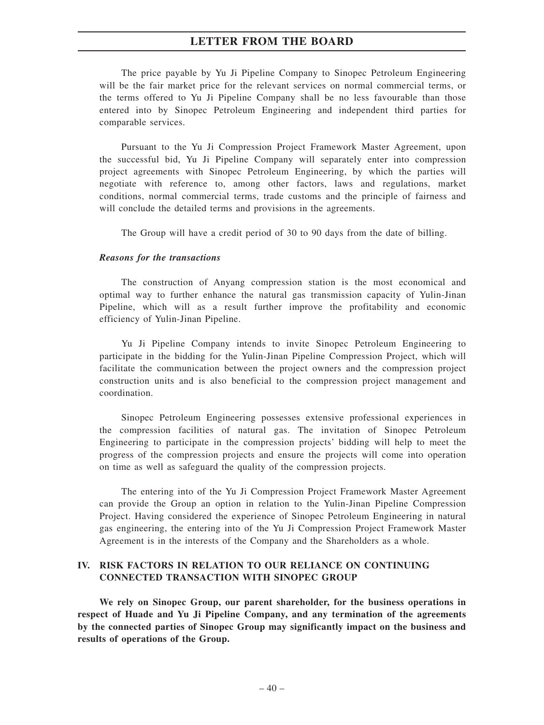The price payable by Yu Ji Pipeline Company to Sinopec Petroleum Engineering will be the fair market price for the relevant services on normal commercial terms, or the terms offered to Yu Ji Pipeline Company shall be no less favourable than those entered into by Sinopec Petroleum Engineering and independent third parties for comparable services.

Pursuant to the Yu Ji Compression Project Framework Master Agreement, upon the successful bid, Yu Ji Pipeline Company will separately enter into compression project agreements with Sinopec Petroleum Engineering, by which the parties will negotiate with reference to, among other factors, laws and regulations, market conditions, normal commercial terms, trade customs and the principle of fairness and will conclude the detailed terms and provisions in the agreements.

The Group will have a credit period of 30 to 90 days from the date of billing.

#### *Reasons for the transactions*

The construction of Anyang compression station is the most economical and optimal way to further enhance the natural gas transmission capacity of Yulin-Jinan Pipeline, which will as a result further improve the profitability and economic efficiency of Yulin-Jinan Pipeline.

Yu Ji Pipeline Company intends to invite Sinopec Petroleum Engineering to participate in the bidding for the Yulin-Jinan Pipeline Compression Project, which will facilitate the communication between the project owners and the compression project construction units and is also beneficial to the compression project management and coordination.

Sinopec Petroleum Engineering possesses extensive professional experiences in the compression facilities of natural gas. The invitation of Sinopec Petroleum Engineering to participate in the compression projects' bidding will help to meet the progress of the compression projects and ensure the projects will come into operation on time as well as safeguard the quality of the compression projects.

The entering into of the Yu Ji Compression Project Framework Master Agreement can provide the Group an option in relation to the Yulin-Jinan Pipeline Compression Project. Having considered the experience of Sinopec Petroleum Engineering in natural gas engineering, the entering into of the Yu Ji Compression Project Framework Master Agreement is in the interests of the Company and the Shareholders as a whole.

### **IV. RISK FACTORS IN RELATION TO OUR RELIANCE ON CONTINUING CONNECTED TRANSACTION WITH SINOPEC GROUP**

**We rely on Sinopec Group, our parent shareholder, for the business operations in respect of Huade and Yu Ji Pipeline Company, and any termination of the agreements by the connected parties of Sinopec Group may significantly impact on the business and results of operations of the Group.**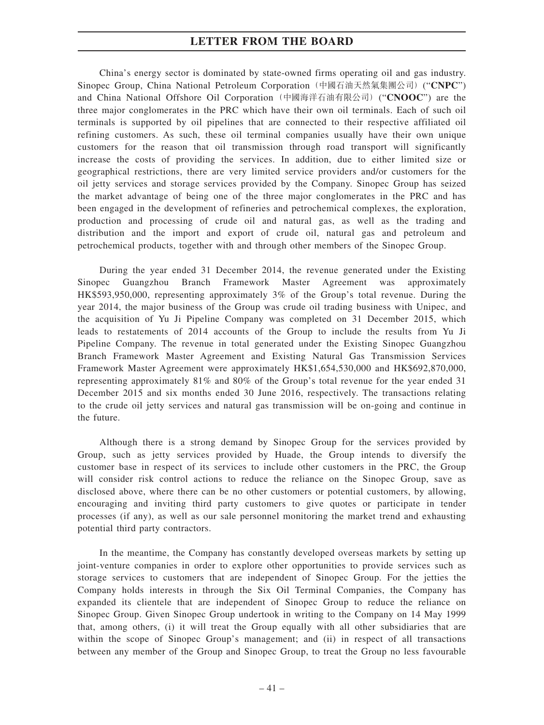China's energy sector is dominated by state-owned firms operating oil and gas industry. Sinopec Group, China National Petroleum Corporation(中國石油天然氣集團公司)("**CNPC**") and China National Offshore Oil Corporation(中國海洋石油有限公司)("**CNOOC**") are the three major conglomerates in the PRC which have their own oil terminals. Each of such oil terminals is supported by oil pipelines that are connected to their respective affiliated oil refining customers. As such, these oil terminal companies usually have their own unique customers for the reason that oil transmission through road transport will significantly increase the costs of providing the services. In addition, due to either limited size or geographical restrictions, there are very limited service providers and/or customers for the oil jetty services and storage services provided by the Company. Sinopec Group has seized the market advantage of being one of the three major conglomerates in the PRC and has been engaged in the development of refineries and petrochemical complexes, the exploration, production and processing of crude oil and natural gas, as well as the trading and distribution and the import and export of crude oil, natural gas and petroleum and petrochemical products, together with and through other members of the Sinopec Group.

During the year ended 31 December 2014, the revenue generated under the Existing Sinopec Guangzhou Branch Framework Master Agreement was approximately HK\$593,950,000, representing approximately 3% of the Group's total revenue. During the year 2014, the major business of the Group was crude oil trading business with Unipec, and the acquisition of Yu Ji Pipeline Company was completed on 31 December 2015, which leads to restatements of 2014 accounts of the Group to include the results from Yu Ji Pipeline Company. The revenue in total generated under the Existing Sinopec Guangzhou Branch Framework Master Agreement and Existing Natural Gas Transmission Services Framework Master Agreement were approximately HK\$1,654,530,000 and HK\$692,870,000, representing approximately 81% and 80% of the Group's total revenue for the year ended 31 December 2015 and six months ended 30 June 2016, respectively. The transactions relating to the crude oil jetty services and natural gas transmission will be on-going and continue in the future.

Although there is a strong demand by Sinopec Group for the services provided by Group, such as jetty services provided by Huade, the Group intends to diversify the customer base in respect of its services to include other customers in the PRC, the Group will consider risk control actions to reduce the reliance on the Sinopec Group, save as disclosed above, where there can be no other customers or potential customers, by allowing, encouraging and inviting third party customers to give quotes or participate in tender processes (if any), as well as our sale personnel monitoring the market trend and exhausting potential third party contractors.

In the meantime, the Company has constantly developed overseas markets by setting up joint-venture companies in order to explore other opportunities to provide services such as storage services to customers that are independent of Sinopec Group. For the jetties the Company holds interests in through the Six Oil Terminal Companies, the Company has expanded its clientele that are independent of Sinopec Group to reduce the reliance on Sinopec Group. Given Sinopec Group undertook in writing to the Company on 14 May 1999 that, among others, (i) it will treat the Group equally with all other subsidiaries that are within the scope of Sinopec Group's management; and (ii) in respect of all transactions between any member of the Group and Sinopec Group, to treat the Group no less favourable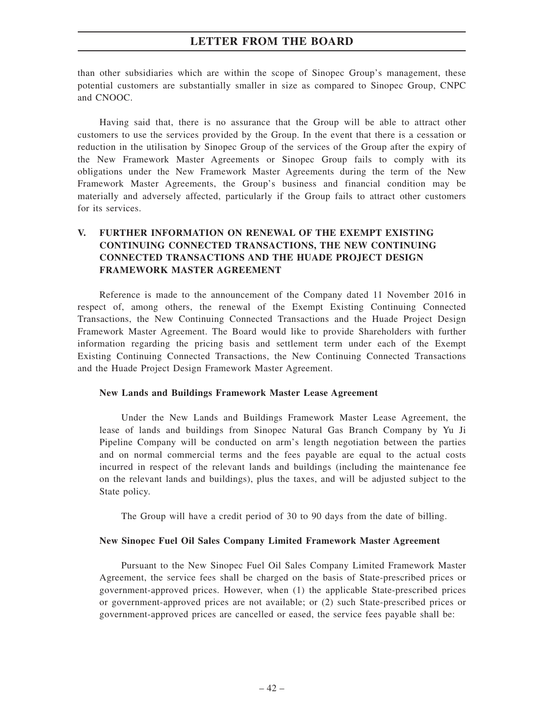than other subsidiaries which are within the scope of Sinopec Group's management, these potential customers are substantially smaller in size as compared to Sinopec Group, CNPC and CNOOC.

Having said that, there is no assurance that the Group will be able to attract other customers to use the services provided by the Group. In the event that there is a cessation or reduction in the utilisation by Sinopec Group of the services of the Group after the expiry of the New Framework Master Agreements or Sinopec Group fails to comply with its obligations under the New Framework Master Agreements during the term of the New Framework Master Agreements, the Group's business and financial condition may be materially and adversely affected, particularly if the Group fails to attract other customers for its services.

## **V. FURTHER INFORMATION ON RENEWAL OF THE EXEMPT EXISTING CONTINUING CONNECTED TRANSACTIONS, THE NEW CONTINUING CONNECTED TRANSACTIONS AND THE HUADE PROJECT DESIGN FRAMEWORK MASTER AGREEMENT**

Reference is made to the announcement of the Company dated 11 November 2016 in respect of, among others, the renewal of the Exempt Existing Continuing Connected Transactions, the New Continuing Connected Transactions and the Huade Project Design Framework Master Agreement. The Board would like to provide Shareholders with further information regarding the pricing basis and settlement term under each of the Exempt Existing Continuing Connected Transactions, the New Continuing Connected Transactions and the Huade Project Design Framework Master Agreement.

### **New Lands and Buildings Framework Master Lease Agreement**

Under the New Lands and Buildings Framework Master Lease Agreement, the lease of lands and buildings from Sinopec Natural Gas Branch Company by Yu Ji Pipeline Company will be conducted on arm's length negotiation between the parties and on normal commercial terms and the fees payable are equal to the actual costs incurred in respect of the relevant lands and buildings (including the maintenance fee on the relevant lands and buildings), plus the taxes, and will be adjusted subject to the State policy.

The Group will have a credit period of 30 to 90 days from the date of billing.

### **New Sinopec Fuel Oil Sales Company Limited Framework Master Agreement**

Pursuant to the New Sinopec Fuel Oil Sales Company Limited Framework Master Agreement, the service fees shall be charged on the basis of State-prescribed prices or government-approved prices. However, when (1) the applicable State-prescribed prices or government-approved prices are not available; or (2) such State-prescribed prices or government-approved prices are cancelled or eased, the service fees payable shall be: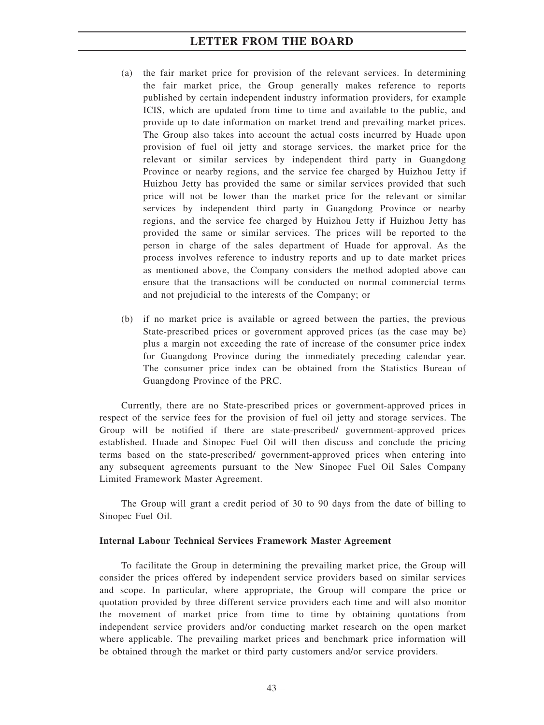- (a) the fair market price for provision of the relevant services. In determining the fair market price, the Group generally makes reference to reports published by certain independent industry information providers, for example ICIS, which are updated from time to time and available to the public, and provide up to date information on market trend and prevailing market prices. The Group also takes into account the actual costs incurred by Huade upon provision of fuel oil jetty and storage services, the market price for the relevant or similar services by independent third party in Guangdong Province or nearby regions, and the service fee charged by Huizhou Jetty if Huizhou Jetty has provided the same or similar services provided that such price will not be lower than the market price for the relevant or similar services by independent third party in Guangdong Province or nearby regions, and the service fee charged by Huizhou Jetty if Huizhou Jetty has provided the same or similar services. The prices will be reported to the person in charge of the sales department of Huade for approval. As the process involves reference to industry reports and up to date market prices as mentioned above, the Company considers the method adopted above can ensure that the transactions will be conducted on normal commercial terms and not prejudicial to the interests of the Company; or
- (b) if no market price is available or agreed between the parties, the previous State-prescribed prices or government approved prices (as the case may be) plus a margin not exceeding the rate of increase of the consumer price index for Guangdong Province during the immediately preceding calendar year. The consumer price index can be obtained from the Statistics Bureau of Guangdong Province of the PRC.

Currently, there are no State-prescribed prices or government-approved prices in respect of the service fees for the provision of fuel oil jetty and storage services. The Group will be notified if there are state-prescribed/ government-approved prices established. Huade and Sinopec Fuel Oil will then discuss and conclude the pricing terms based on the state-prescribed/ government-approved prices when entering into any subsequent agreements pursuant to the New Sinopec Fuel Oil Sales Company Limited Framework Master Agreement.

The Group will grant a credit period of 30 to 90 days from the date of billing to Sinopec Fuel Oil.

### **Internal Labour Technical Services Framework Master Agreement**

To facilitate the Group in determining the prevailing market price, the Group will consider the prices offered by independent service providers based on similar services and scope. In particular, where appropriate, the Group will compare the price or quotation provided by three different service providers each time and will also monitor the movement of market price from time to time by obtaining quotations from independent service providers and/or conducting market research on the open market where applicable. The prevailing market prices and benchmark price information will be obtained through the market or third party customers and/or service providers.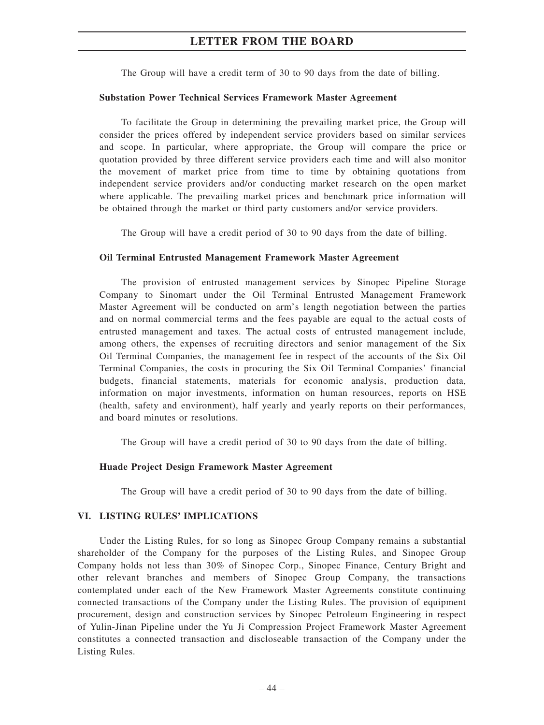The Group will have a credit term of 30 to 90 days from the date of billing.

#### **Substation Power Technical Services Framework Master Agreement**

To facilitate the Group in determining the prevailing market price, the Group will consider the prices offered by independent service providers based on similar services and scope. In particular, where appropriate, the Group will compare the price or quotation provided by three different service providers each time and will also monitor the movement of market price from time to time by obtaining quotations from independent service providers and/or conducting market research on the open market where applicable. The prevailing market prices and benchmark price information will be obtained through the market or third party customers and/or service providers.

The Group will have a credit period of 30 to 90 days from the date of billing.

#### **Oil Terminal Entrusted Management Framework Master Agreement**

The provision of entrusted management services by Sinopec Pipeline Storage Company to Sinomart under the Oil Terminal Entrusted Management Framework Master Agreement will be conducted on arm's length negotiation between the parties and on normal commercial terms and the fees payable are equal to the actual costs of entrusted management and taxes. The actual costs of entrusted management include, among others, the expenses of recruiting directors and senior management of the Six Oil Terminal Companies, the management fee in respect of the accounts of the Six Oil Terminal Companies, the costs in procuring the Six Oil Terminal Companies' financial budgets, financial statements, materials for economic analysis, production data, information on major investments, information on human resources, reports on HSE (health, safety and environment), half yearly and yearly reports on their performances, and board minutes or resolutions.

The Group will have a credit period of 30 to 90 days from the date of billing.

#### **Huade Project Design Framework Master Agreement**

The Group will have a credit period of 30 to 90 days from the date of billing.

### **VI. LISTING RULES' IMPLICATIONS**

Under the Listing Rules, for so long as Sinopec Group Company remains a substantial shareholder of the Company for the purposes of the Listing Rules, and Sinopec Group Company holds not less than 30% of Sinopec Corp., Sinopec Finance, Century Bright and other relevant branches and members of Sinopec Group Company, the transactions contemplated under each of the New Framework Master Agreements constitute continuing connected transactions of the Company under the Listing Rules. The provision of equipment procurement, design and construction services by Sinopec Petroleum Engineering in respect of Yulin-Jinan Pipeline under the Yu Ji Compression Project Framework Master Agreement constitutes a connected transaction and discloseable transaction of the Company under the Listing Rules.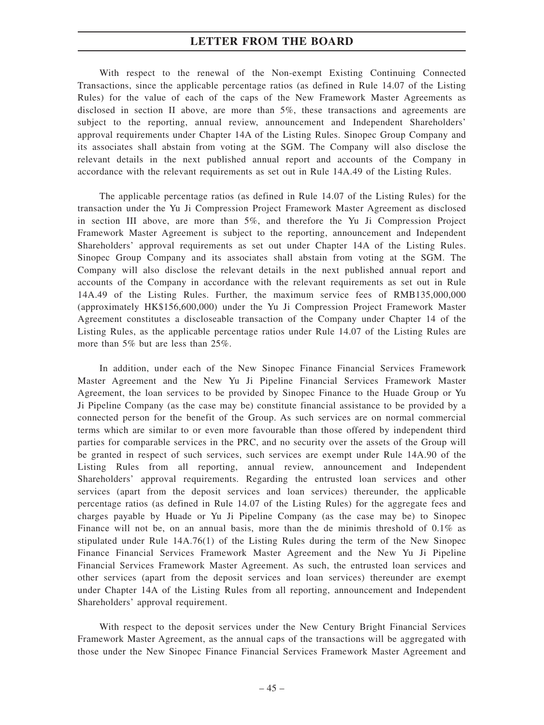With respect to the renewal of the Non-exempt Existing Continuing Connected Transactions, since the applicable percentage ratios (as defined in Rule 14.07 of the Listing Rules) for the value of each of the caps of the New Framework Master Agreements as disclosed in section II above, are more than 5%, these transactions and agreements are subject to the reporting, annual review, announcement and Independent Shareholders' approval requirements under Chapter 14A of the Listing Rules. Sinopec Group Company and its associates shall abstain from voting at the SGM. The Company will also disclose the relevant details in the next published annual report and accounts of the Company in accordance with the relevant requirements as set out in Rule 14A.49 of the Listing Rules.

The applicable percentage ratios (as defined in Rule 14.07 of the Listing Rules) for the transaction under the Yu Ji Compression Project Framework Master Agreement as disclosed in section III above, are more than 5%, and therefore the Yu Ji Compression Project Framework Master Agreement is subject to the reporting, announcement and Independent Shareholders' approval requirements as set out under Chapter 14A of the Listing Rules. Sinopec Group Company and its associates shall abstain from voting at the SGM. The Company will also disclose the relevant details in the next published annual report and accounts of the Company in accordance with the relevant requirements as set out in Rule 14A.49 of the Listing Rules. Further, the maximum service fees of RMB135,000,000 (approximately HK\$156,600,000) under the Yu Ji Compression Project Framework Master Agreement constitutes a discloseable transaction of the Company under Chapter 14 of the Listing Rules, as the applicable percentage ratios under Rule 14.07 of the Listing Rules are more than 5% but are less than 25%.

In addition, under each of the New Sinopec Finance Financial Services Framework Master Agreement and the New Yu Ji Pipeline Financial Services Framework Master Agreement, the loan services to be provided by Sinopec Finance to the Huade Group or Yu Ji Pipeline Company (as the case may be) constitute financial assistance to be provided by a connected person for the benefit of the Group. As such services are on normal commercial terms which are similar to or even more favourable than those offered by independent third parties for comparable services in the PRC, and no security over the assets of the Group will be granted in respect of such services, such services are exempt under Rule 14A.90 of the Listing Rules from all reporting, annual review, announcement and Independent Shareholders' approval requirements. Regarding the entrusted loan services and other services (apart from the deposit services and loan services) thereunder, the applicable percentage ratios (as defined in Rule 14.07 of the Listing Rules) for the aggregate fees and charges payable by Huade or Yu Ji Pipeline Company (as the case may be) to Sinopec Finance will not be, on an annual basis, more than the de minimis threshold of 0.1% as stipulated under Rule 14A.76(1) of the Listing Rules during the term of the New Sinopec Finance Financial Services Framework Master Agreement and the New Yu Ji Pipeline Financial Services Framework Master Agreement. As such, the entrusted loan services and other services (apart from the deposit services and loan services) thereunder are exempt under Chapter 14A of the Listing Rules from all reporting, announcement and Independent Shareholders' approval requirement.

With respect to the deposit services under the New Century Bright Financial Services Framework Master Agreement, as the annual caps of the transactions will be aggregated with those under the New Sinopec Finance Financial Services Framework Master Agreement and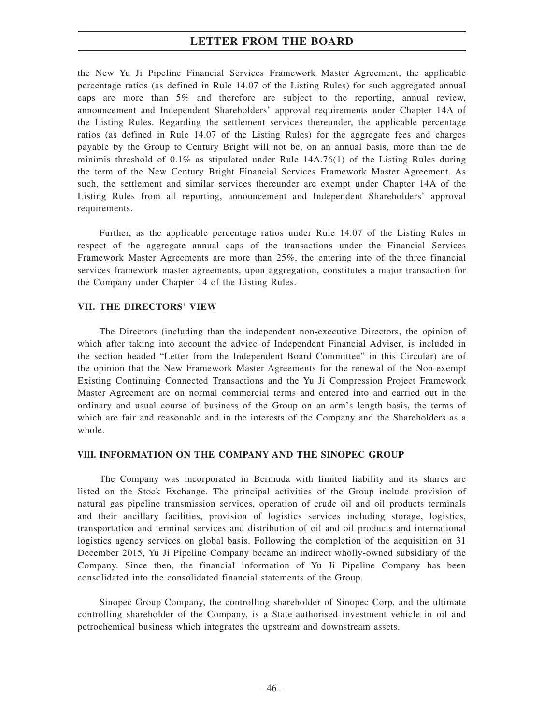the New Yu Ji Pipeline Financial Services Framework Master Agreement, the applicable percentage ratios (as defined in Rule 14.07 of the Listing Rules) for such aggregated annual caps are more than 5% and therefore are subject to the reporting, annual review, announcement and Independent Shareholders' approval requirements under Chapter 14A of the Listing Rules. Regarding the settlement services thereunder, the applicable percentage ratios (as defined in Rule 14.07 of the Listing Rules) for the aggregate fees and charges payable by the Group to Century Bright will not be, on an annual basis, more than the de minimis threshold of 0.1% as stipulated under Rule 14A.76(1) of the Listing Rules during the term of the New Century Bright Financial Services Framework Master Agreement. As such, the settlement and similar services thereunder are exempt under Chapter 14A of the Listing Rules from all reporting, announcement and Independent Shareholders' approval requirements.

Further, as the applicable percentage ratios under Rule 14.07 of the Listing Rules in respect of the aggregate annual caps of the transactions under the Financial Services Framework Master Agreements are more than 25%, the entering into of the three financial services framework master agreements, upon aggregation, constitutes a major transaction for the Company under Chapter 14 of the Listing Rules.

### **VII. THE DIRECTORS' VIEW**

The Directors (including than the independent non-executive Directors, the opinion of which after taking into account the advice of Independent Financial Adviser, is included in the section headed "Letter from the Independent Board Committee" in this Circular) are of the opinion that the New Framework Master Agreements for the renewal of the Non-exempt Existing Continuing Connected Transactions and the Yu Ji Compression Project Framework Master Agreement are on normal commercial terms and entered into and carried out in the ordinary and usual course of business of the Group on an arm's length basis, the terms of which are fair and reasonable and in the interests of the Company and the Shareholders as a whole.

### **VIII. INFORMATION ON THE COMPANY AND THE SINOPEC GROUP**

The Company was incorporated in Bermuda with limited liability and its shares are listed on the Stock Exchange. The principal activities of the Group include provision of natural gas pipeline transmission services, operation of crude oil and oil products terminals and their ancillary facilities, provision of logistics services including storage, logistics, transportation and terminal services and distribution of oil and oil products and international logistics agency services on global basis. Following the completion of the acquisition on 31 December 2015, Yu Ji Pipeline Company became an indirect wholly-owned subsidiary of the Company. Since then, the financial information of Yu Ji Pipeline Company has been consolidated into the consolidated financial statements of the Group.

Sinopec Group Company, the controlling shareholder of Sinopec Corp. and the ultimate controlling shareholder of the Company, is a State-authorised investment vehicle in oil and petrochemical business which integrates the upstream and downstream assets.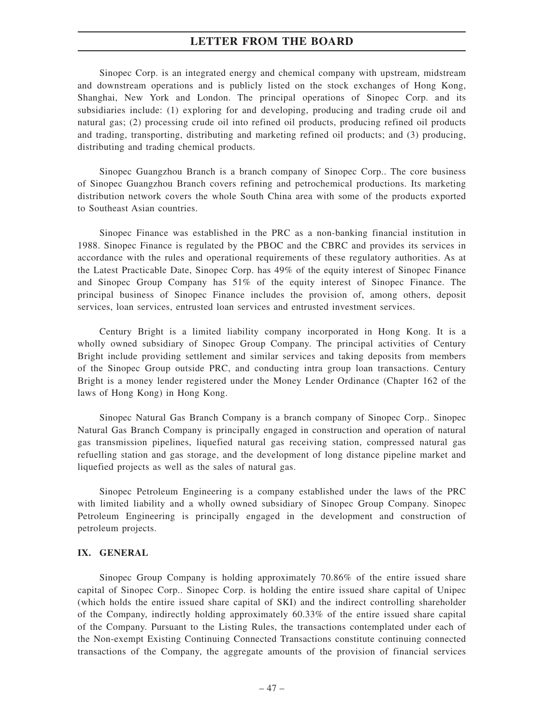Sinopec Corp. is an integrated energy and chemical company with upstream, midstream and downstream operations and is publicly listed on the stock exchanges of Hong Kong, Shanghai, New York and London. The principal operations of Sinopec Corp. and its subsidiaries include: (1) exploring for and developing, producing and trading crude oil and natural gas; (2) processing crude oil into refined oil products, producing refined oil products and trading, transporting, distributing and marketing refined oil products; and (3) producing, distributing and trading chemical products.

Sinopec Guangzhou Branch is a branch company of Sinopec Corp.. The core business of Sinopec Guangzhou Branch covers refining and petrochemical productions. Its marketing distribution network covers the whole South China area with some of the products exported to Southeast Asian countries.

Sinopec Finance was established in the PRC as a non-banking financial institution in 1988. Sinopec Finance is regulated by the PBOC and the CBRC and provides its services in accordance with the rules and operational requirements of these regulatory authorities. As at the Latest Practicable Date, Sinopec Corp. has 49% of the equity interest of Sinopec Finance and Sinopec Group Company has 51% of the equity interest of Sinopec Finance. The principal business of Sinopec Finance includes the provision of, among others, deposit services, loan services, entrusted loan services and entrusted investment services.

Century Bright is a limited liability company incorporated in Hong Kong. It is a wholly owned subsidiary of Sinopec Group Company. The principal activities of Century Bright include providing settlement and similar services and taking deposits from members of the Sinopec Group outside PRC, and conducting intra group loan transactions. Century Bright is a money lender registered under the Money Lender Ordinance (Chapter 162 of the laws of Hong Kong) in Hong Kong.

Sinopec Natural Gas Branch Company is a branch company of Sinopec Corp.. Sinopec Natural Gas Branch Company is principally engaged in construction and operation of natural gas transmission pipelines, liquefied natural gas receiving station, compressed natural gas refuelling station and gas storage, and the development of long distance pipeline market and liquefied projects as well as the sales of natural gas.

Sinopec Petroleum Engineering is a company established under the laws of the PRC with limited liability and a wholly owned subsidiary of Sinopec Group Company. Sinopec Petroleum Engineering is principally engaged in the development and construction of petroleum projects.

### **IX. GENERAL**

Sinopec Group Company is holding approximately 70.86% of the entire issued share capital of Sinopec Corp.. Sinopec Corp. is holding the entire issued share capital of Unipec (which holds the entire issued share capital of SKI) and the indirect controlling shareholder of the Company, indirectly holding approximately 60.33% of the entire issued share capital of the Company. Pursuant to the Listing Rules, the transactions contemplated under each of the Non-exempt Existing Continuing Connected Transactions constitute continuing connected transactions of the Company, the aggregate amounts of the provision of financial services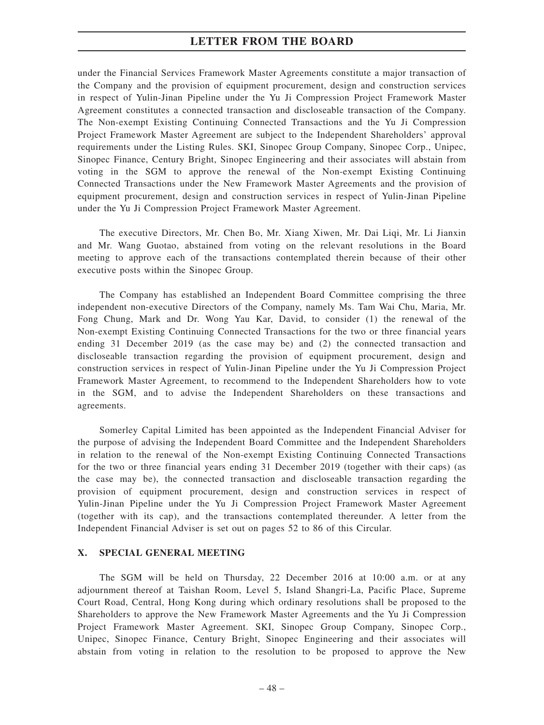under the Financial Services Framework Master Agreements constitute a major transaction of the Company and the provision of equipment procurement, design and construction services in respect of Yulin-Jinan Pipeline under the Yu Ji Compression Project Framework Master Agreement constitutes a connected transaction and discloseable transaction of the Company. The Non-exempt Existing Continuing Connected Transactions and the Yu Ji Compression Project Framework Master Agreement are subject to the Independent Shareholders' approval requirements under the Listing Rules. SKI, Sinopec Group Company, Sinopec Corp., Unipec, Sinopec Finance, Century Bright, Sinopec Engineering and their associates will abstain from voting in the SGM to approve the renewal of the Non-exempt Existing Continuing Connected Transactions under the New Framework Master Agreements and the provision of equipment procurement, design and construction services in respect of Yulin-Jinan Pipeline under the Yu Ji Compression Project Framework Master Agreement.

The executive Directors, Mr. Chen Bo, Mr. Xiang Xiwen, Mr. Dai Liqi, Mr. Li Jianxin and Mr. Wang Guotao, abstained from voting on the relevant resolutions in the Board meeting to approve each of the transactions contemplated therein because of their other executive posts within the Sinopec Group.

The Company has established an Independent Board Committee comprising the three independent non-executive Directors of the Company, namely Ms. Tam Wai Chu, Maria, Mr. Fong Chung, Mark and Dr. Wong Yau Kar, David, to consider (1) the renewal of the Non-exempt Existing Continuing Connected Transactions for the two or three financial years ending 31 December 2019 (as the case may be) and (2) the connected transaction and discloseable transaction regarding the provision of equipment procurement, design and construction services in respect of Yulin-Jinan Pipeline under the Yu Ji Compression Project Framework Master Agreement, to recommend to the Independent Shareholders how to vote in the SGM, and to advise the Independent Shareholders on these transactions and agreements.

Somerley Capital Limited has been appointed as the Independent Financial Adviser for the purpose of advising the Independent Board Committee and the Independent Shareholders in relation to the renewal of the Non-exempt Existing Continuing Connected Transactions for the two or three financial years ending 31 December 2019 (together with their caps) (as the case may be), the connected transaction and discloseable transaction regarding the provision of equipment procurement, design and construction services in respect of Yulin-Jinan Pipeline under the Yu Ji Compression Project Framework Master Agreement (together with its cap), and the transactions contemplated thereunder. A letter from the Independent Financial Adviser is set out on pages 52 to 86 of this Circular.

### **X. SPECIAL GENERAL MEETING**

The SGM will be held on Thursday, 22 December 2016 at 10:00 a.m. or at any adjournment thereof at Taishan Room, Level 5, Island Shangri-La, Pacific Place, Supreme Court Road, Central, Hong Kong during which ordinary resolutions shall be proposed to the Shareholders to approve the New Framework Master Agreements and the Yu Ji Compression Project Framework Master Agreement. SKI, Sinopec Group Company, Sinopec Corp., Unipec, Sinopec Finance, Century Bright, Sinopec Engineering and their associates will abstain from voting in relation to the resolution to be proposed to approve the New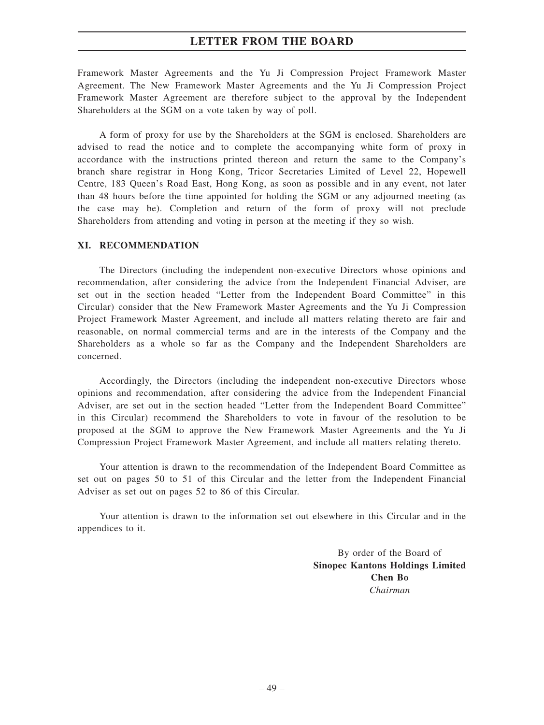Framework Master Agreements and the Yu Ji Compression Project Framework Master Agreement. The New Framework Master Agreements and the Yu Ji Compression Project Framework Master Agreement are therefore subject to the approval by the Independent Shareholders at the SGM on a vote taken by way of poll.

A form of proxy for use by the Shareholders at the SGM is enclosed. Shareholders are advised to read the notice and to complete the accompanying white form of proxy in accordance with the instructions printed thereon and return the same to the Company's branch share registrar in Hong Kong, Tricor Secretaries Limited of Level 22, Hopewell Centre, 183 Queen's Road East, Hong Kong, as soon as possible and in any event, not later than 48 hours before the time appointed for holding the SGM or any adjourned meeting (as the case may be). Completion and return of the form of proxy will not preclude Shareholders from attending and voting in person at the meeting if they so wish.

#### **XI. RECOMMENDATION**

The Directors (including the independent non-executive Directors whose opinions and recommendation, after considering the advice from the Independent Financial Adviser, are set out in the section headed "Letter from the Independent Board Committee" in this Circular) consider that the New Framework Master Agreements and the Yu Ji Compression Project Framework Master Agreement, and include all matters relating thereto are fair and reasonable, on normal commercial terms and are in the interests of the Company and the Shareholders as a whole so far as the Company and the Independent Shareholders are concerned.

Accordingly, the Directors (including the independent non-executive Directors whose opinions and recommendation, after considering the advice from the Independent Financial Adviser, are set out in the section headed "Letter from the Independent Board Committee" in this Circular) recommend the Shareholders to vote in favour of the resolution to be proposed at the SGM to approve the New Framework Master Agreements and the Yu Ji Compression Project Framework Master Agreement, and include all matters relating thereto.

Your attention is drawn to the recommendation of the Independent Board Committee as set out on pages 50 to 51 of this Circular and the letter from the Independent Financial Adviser as set out on pages 52 to 86 of this Circular.

Your attention is drawn to the information set out elsewhere in this Circular and in the appendices to it.

> By order of the Board of **Sinopec Kantons Holdings Limited Chen Bo** *Chairman*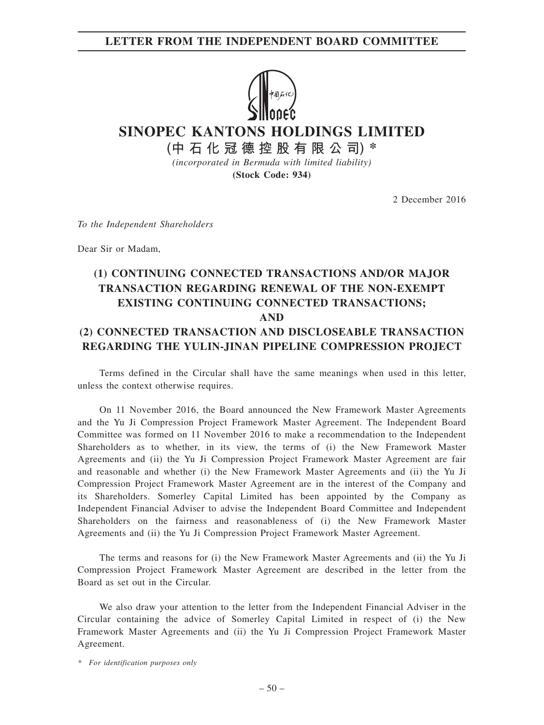### **LETTER FROM THE INDEPENDENT BOARD COMMITTEE**



**SINOPEC KANTONS HOLDINGS LIMITED**

**(中石化冠德控股有限公司) \***

*(incorporated in Bermuda with limited liability)* **(Stock Code: 934)**

2 December 2016

*To the Independent Shareholders*

Dear Sir or Madam,

# **(1) CONTINUING CONNECTED TRANSACTIONS AND/OR MAJOR TRANSACTION REGARDING RENEWAL OF THE NON-EXEMPT EXISTING CONTINUING CONNECTED TRANSACTIONS; AND (2) CONNECTED TRANSACTION AND DISCLOSEABLE TRANSACTION REGARDING THE YULIN-JINAN PIPELINE COMPRESSION PROJECT**

Terms defined in the Circular shall have the same meanings when used in this letter, unless the context otherwise requires.

On 11 November 2016, the Board announced the New Framework Master Agreements and the Yu Ji Compression Project Framework Master Agreement. The Independent Board Committee was formed on 11 November 2016 to make a recommendation to the Independent Shareholders as to whether, in its view, the terms of (i) the New Framework Master Agreements and (ii) the Yu Ji Compression Project Framework Master Agreement are fair and reasonable and whether (i) the New Framework Master Agreements and (ii) the Yu Ji Compression Project Framework Master Agreement are in the interest of the Company and its Shareholders. Somerley Capital Limited has been appointed by the Company as Independent Financial Adviser to advise the Independent Board Committee and Independent Shareholders on the fairness and reasonableness of (i) the New Framework Master Agreements and (ii) the Yu Ji Compression Project Framework Master Agreement.

The terms and reasons for (i) the New Framework Master Agreements and (ii) the Yu Ji Compression Project Framework Master Agreement are described in the letter from the Board as set out in the Circular.

We also draw your attention to the letter from the Independent Financial Adviser in the Circular containing the advice of Somerley Capital Limited in respect of (i) the New Framework Master Agreements and (ii) the Yu Ji Compression Project Framework Master Agreement.

*\* For identification purposes only*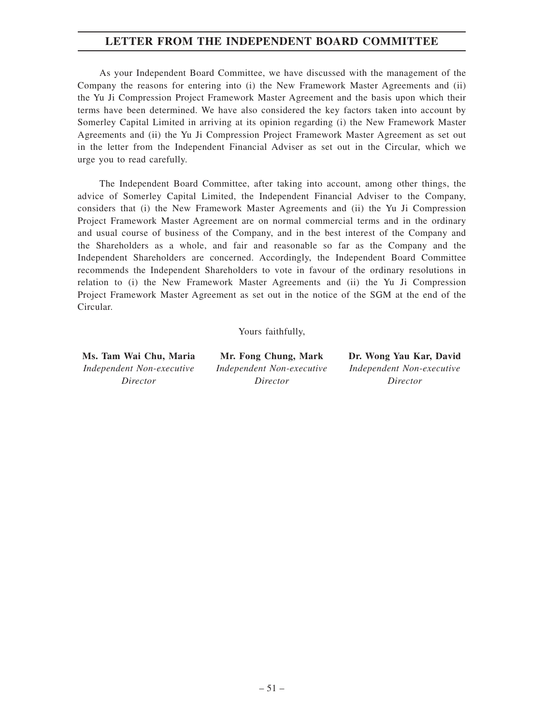## **LETTER FROM THE INDEPENDENT BOARD COMMITTEE**

As your Independent Board Committee, we have discussed with the management of the Company the reasons for entering into (i) the New Framework Master Agreements and (ii) the Yu Ji Compression Project Framework Master Agreement and the basis upon which their terms have been determined. We have also considered the key factors taken into account by Somerley Capital Limited in arriving at its opinion regarding (i) the New Framework Master Agreements and (ii) the Yu Ji Compression Project Framework Master Agreement as set out in the letter from the Independent Financial Adviser as set out in the Circular, which we urge you to read carefully.

The Independent Board Committee, after taking into account, among other things, the advice of Somerley Capital Limited, the Independent Financial Adviser to the Company, considers that (i) the New Framework Master Agreements and (ii) the Yu Ji Compression Project Framework Master Agreement are on normal commercial terms and in the ordinary and usual course of business of the Company, and in the best interest of the Company and the Shareholders as a whole, and fair and reasonable so far as the Company and the Independent Shareholders are concerned. Accordingly, the Independent Board Committee recommends the Independent Shareholders to vote in favour of the ordinary resolutions in relation to (i) the New Framework Master Agreements and (ii) the Yu Ji Compression Project Framework Master Agreement as set out in the notice of the SGM at the end of the Circular.

Yours faithfully,

*Independent Non-executive Director*

*Independent Non-executive Director*

**Ms. Tam Wai Chu, Maria Mr. Fong Chung, Mark Dr. Wong Yau Kar, David** *Independent Non-executive Director*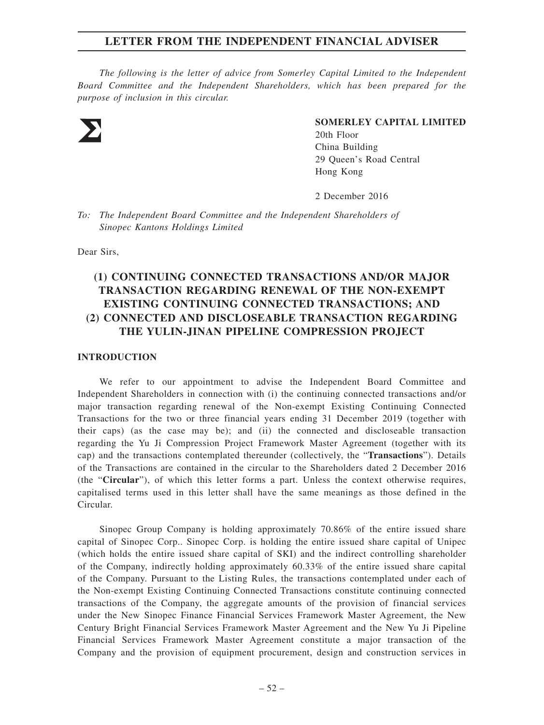*The following is the letter of advice from Somerley Capital Limited to the Independent Board Committee and the Independent Shareholders, which has been prepared for the purpose of inclusion in this circular.*



#### **SOMERLEY CAPITAL LIMITED**

20th Floor China Building 29 Queen's Road Central Hong Kong

2 December 2016

*To: The Independent Board Committee and the Independent Shareholders of Sinopec Kantons Holdings Limited*

Dear Sirs,

# **(1) CONTINUING CONNECTED TRANSACTIONS AND/OR MAJOR TRANSACTION REGARDING RENEWAL OF THE NON-EXEMPT EXISTING CONTINUING CONNECTED TRANSACTIONS; AND (2) CONNECTED AND DISCLOSEABLE TRANSACTION REGARDING THE YULIN-JINAN PIPELINE COMPRESSION PROJECT**

### **INTRODUCTION**

We refer to our appointment to advise the Independent Board Committee and Independent Shareholders in connection with (i) the continuing connected transactions and/or major transaction regarding renewal of the Non-exempt Existing Continuing Connected Transactions for the two or three financial years ending 31 December 2019 (together with their caps) (as the case may be); and (ii) the connected and discloseable transaction regarding the Yu Ji Compression Project Framework Master Agreement (together with its cap) and the transactions contemplated thereunder (collectively, the "**Transactions**"). Details of the Transactions are contained in the circular to the Shareholders dated 2 December 2016 (the "**Circular**"), of which this letter forms a part. Unless the context otherwise requires, capitalised terms used in this letter shall have the same meanings as those defined in the Circular.

Sinopec Group Company is holding approximately 70.86% of the entire issued share capital of Sinopec Corp.. Sinopec Corp. is holding the entire issued share capital of Unipec (which holds the entire issued share capital of SKI) and the indirect controlling shareholder of the Company, indirectly holding approximately 60.33% of the entire issued share capital of the Company. Pursuant to the Listing Rules, the transactions contemplated under each of the Non-exempt Existing Continuing Connected Transactions constitute continuing connected transactions of the Company, the aggregate amounts of the provision of financial services under the New Sinopec Finance Financial Services Framework Master Agreement, the New Century Bright Financial Services Framework Master Agreement and the New Yu Ji Pipeline Financial Services Framework Master Agreement constitute a major transaction of the Company and the provision of equipment procurement, design and construction services in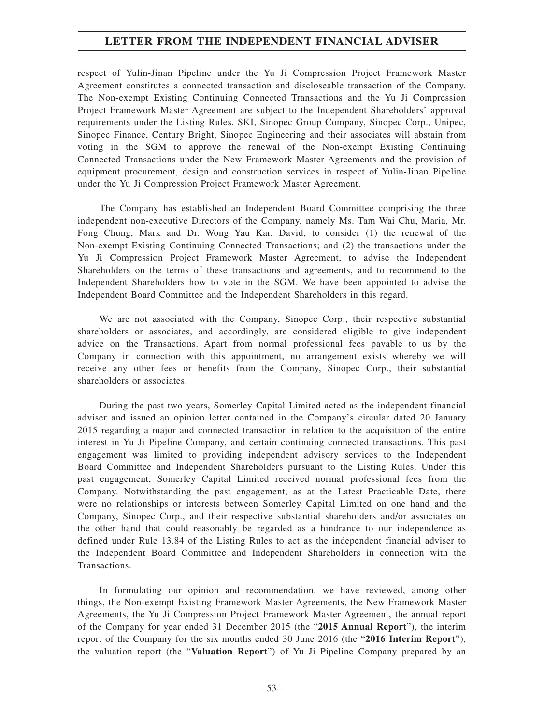respect of Yulin-Jinan Pipeline under the Yu Ji Compression Project Framework Master Agreement constitutes a connected transaction and discloseable transaction of the Company. The Non-exempt Existing Continuing Connected Transactions and the Yu Ji Compression Project Framework Master Agreement are subject to the Independent Shareholders' approval requirements under the Listing Rules. SKI, Sinopec Group Company, Sinopec Corp., Unipec, Sinopec Finance, Century Bright, Sinopec Engineering and their associates will abstain from voting in the SGM to approve the renewal of the Non-exempt Existing Continuing Connected Transactions under the New Framework Master Agreements and the provision of equipment procurement, design and construction services in respect of Yulin-Jinan Pipeline under the Yu Ji Compression Project Framework Master Agreement.

The Company has established an Independent Board Committee comprising the three independent non-executive Directors of the Company, namely Ms. Tam Wai Chu, Maria, Mr. Fong Chung, Mark and Dr. Wong Yau Kar, David, to consider (1) the renewal of the Non-exempt Existing Continuing Connected Transactions; and (2) the transactions under the Yu Ji Compression Project Framework Master Agreement, to advise the Independent Shareholders on the terms of these transactions and agreements, and to recommend to the Independent Shareholders how to vote in the SGM. We have been appointed to advise the Independent Board Committee and the Independent Shareholders in this regard.

We are not associated with the Company, Sinopec Corp., their respective substantial shareholders or associates, and accordingly, are considered eligible to give independent advice on the Transactions. Apart from normal professional fees payable to us by the Company in connection with this appointment, no arrangement exists whereby we will receive any other fees or benefits from the Company, Sinopec Corp., their substantial shareholders or associates.

During the past two years, Somerley Capital Limited acted as the independent financial adviser and issued an opinion letter contained in the Company's circular dated 20 January 2015 regarding a major and connected transaction in relation to the acquisition of the entire interest in Yu Ji Pipeline Company, and certain continuing connected transactions. This past engagement was limited to providing independent advisory services to the Independent Board Committee and Independent Shareholders pursuant to the Listing Rules. Under this past engagement, Somerley Capital Limited received normal professional fees from the Company. Notwithstanding the past engagement, as at the Latest Practicable Date, there were no relationships or interests between Somerley Capital Limited on one hand and the Company, Sinopec Corp., and their respective substantial shareholders and/or associates on the other hand that could reasonably be regarded as a hindrance to our independence as defined under Rule 13.84 of the Listing Rules to act as the independent financial adviser to the Independent Board Committee and Independent Shareholders in connection with the Transactions.

In formulating our opinion and recommendation, we have reviewed, among other things, the Non-exempt Existing Framework Master Agreements, the New Framework Master Agreements, the Yu Ji Compression Project Framework Master Agreement, the annual report of the Company for year ended 31 December 2015 (the "**2015 Annual Report**"), the interim report of the Company for the six months ended 30 June 2016 (the "**2016 Interim Report**"), the valuation report (the "**Valuation Report**") of Yu Ji Pipeline Company prepared by an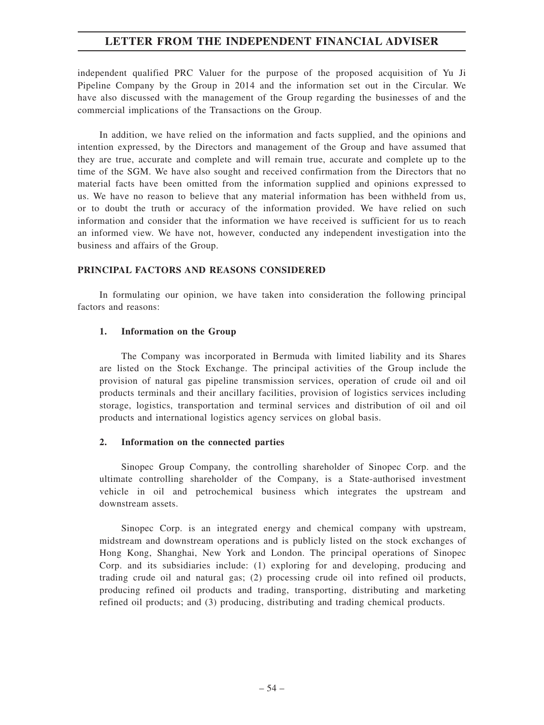independent qualified PRC Valuer for the purpose of the proposed acquisition of Yu Ji Pipeline Company by the Group in 2014 and the information set out in the Circular. We have also discussed with the management of the Group regarding the businesses of and the commercial implications of the Transactions on the Group.

In addition, we have relied on the information and facts supplied, and the opinions and intention expressed, by the Directors and management of the Group and have assumed that they are true, accurate and complete and will remain true, accurate and complete up to the time of the SGM. We have also sought and received confirmation from the Directors that no material facts have been omitted from the information supplied and opinions expressed to us. We have no reason to believe that any material information has been withheld from us, or to doubt the truth or accuracy of the information provided. We have relied on such information and consider that the information we have received is sufficient for us to reach an informed view. We have not, however, conducted any independent investigation into the business and affairs of the Group.

### **PRINCIPAL FACTORS AND REASONS CONSIDERED**

In formulating our opinion, we have taken into consideration the following principal factors and reasons:

### **1. Information on the Group**

The Company was incorporated in Bermuda with limited liability and its Shares are listed on the Stock Exchange. The principal activities of the Group include the provision of natural gas pipeline transmission services, operation of crude oil and oil products terminals and their ancillary facilities, provision of logistics services including storage, logistics, transportation and terminal services and distribution of oil and oil products and international logistics agency services on global basis.

### **2. Information on the connected parties**

Sinopec Group Company, the controlling shareholder of Sinopec Corp. and the ultimate controlling shareholder of the Company, is a State-authorised investment vehicle in oil and petrochemical business which integrates the upstream and downstream assets.

Sinopec Corp. is an integrated energy and chemical company with upstream, midstream and downstream operations and is publicly listed on the stock exchanges of Hong Kong, Shanghai, New York and London. The principal operations of Sinopec Corp. and its subsidiaries include: (1) exploring for and developing, producing and trading crude oil and natural gas; (2) processing crude oil into refined oil products, producing refined oil products and trading, transporting, distributing and marketing refined oil products; and (3) producing, distributing and trading chemical products.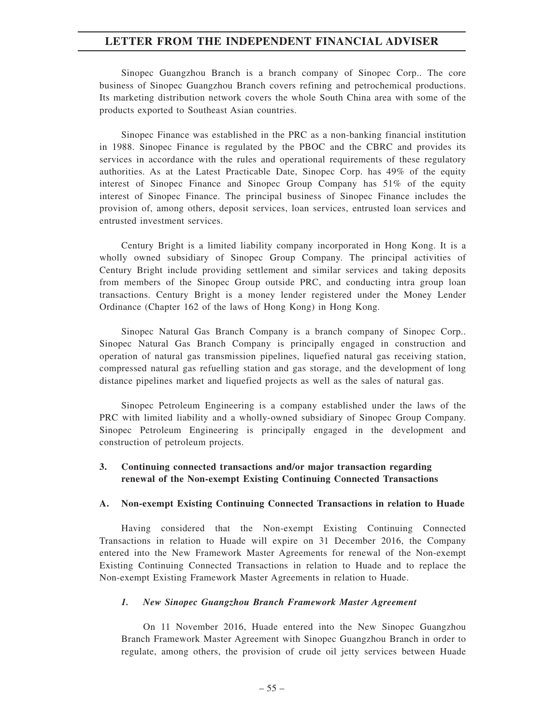Sinopec Guangzhou Branch is a branch company of Sinopec Corp.. The core business of Sinopec Guangzhou Branch covers refining and petrochemical productions. Its marketing distribution network covers the whole South China area with some of the products exported to Southeast Asian countries.

Sinopec Finance was established in the PRC as a non-banking financial institution in 1988. Sinopec Finance is regulated by the PBOC and the CBRC and provides its services in accordance with the rules and operational requirements of these regulatory authorities. As at the Latest Practicable Date, Sinopec Corp. has 49% of the equity interest of Sinopec Finance and Sinopec Group Company has 51% of the equity interest of Sinopec Finance. The principal business of Sinopec Finance includes the provision of, among others, deposit services, loan services, entrusted loan services and entrusted investment services.

Century Bright is a limited liability company incorporated in Hong Kong. It is a wholly owned subsidiary of Sinopec Group Company. The principal activities of Century Bright include providing settlement and similar services and taking deposits from members of the Sinopec Group outside PRC, and conducting intra group loan transactions. Century Bright is a money lender registered under the Money Lender Ordinance (Chapter 162 of the laws of Hong Kong) in Hong Kong.

Sinopec Natural Gas Branch Company is a branch company of Sinopec Corp.. Sinopec Natural Gas Branch Company is principally engaged in construction and operation of natural gas transmission pipelines, liquefied natural gas receiving station, compressed natural gas refuelling station and gas storage, and the development of long distance pipelines market and liquefied projects as well as the sales of natural gas.

Sinopec Petroleum Engineering is a company established under the laws of the PRC with limited liability and a wholly-owned subsidiary of Sinopec Group Company. Sinopec Petroleum Engineering is principally engaged in the development and construction of petroleum projects.

### **3. Continuing connected transactions and/or major transaction regarding renewal of the Non-exempt Existing Continuing Connected Transactions**

### **A. Non-exempt Existing Continuing Connected Transactions in relation to Huade**

Having considered that the Non-exempt Existing Continuing Connected Transactions in relation to Huade will expire on 31 December 2016, the Company entered into the New Framework Master Agreements for renewal of the Non-exempt Existing Continuing Connected Transactions in relation to Huade and to replace the Non-exempt Existing Framework Master Agreements in relation to Huade.

#### *1. New Sinopec Guangzhou Branch Framework Master Agreement*

On 11 November 2016, Huade entered into the New Sinopec Guangzhou Branch Framework Master Agreement with Sinopec Guangzhou Branch in order to regulate, among others, the provision of crude oil jetty services between Huade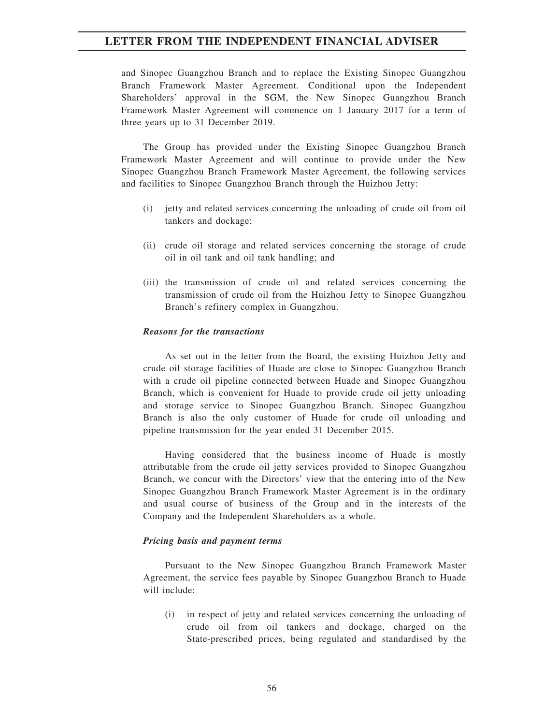and Sinopec Guangzhou Branch and to replace the Existing Sinopec Guangzhou Branch Framework Master Agreement. Conditional upon the Independent Shareholders' approval in the SGM, the New Sinopec Guangzhou Branch Framework Master Agreement will commence on 1 January 2017 for a term of three years up to 31 December 2019.

The Group has provided under the Existing Sinopec Guangzhou Branch Framework Master Agreement and will continue to provide under the New Sinopec Guangzhou Branch Framework Master Agreement, the following services and facilities to Sinopec Guangzhou Branch through the Huizhou Jetty:

- (i) jetty and related services concerning the unloading of crude oil from oil tankers and dockage;
- (ii) crude oil storage and related services concerning the storage of crude oil in oil tank and oil tank handling; and
- (iii) the transmission of crude oil and related services concerning the transmission of crude oil from the Huizhou Jetty to Sinopec Guangzhou Branch's refinery complex in Guangzhou.

#### *Reasons for the transactions*

As set out in the letter from the Board, the existing Huizhou Jetty and crude oil storage facilities of Huade are close to Sinopec Guangzhou Branch with a crude oil pipeline connected between Huade and Sinopec Guangzhou Branch, which is convenient for Huade to provide crude oil jetty unloading and storage service to Sinopec Guangzhou Branch. Sinopec Guangzhou Branch is also the only customer of Huade for crude oil unloading and pipeline transmission for the year ended 31 December 2015.

Having considered that the business income of Huade is mostly attributable from the crude oil jetty services provided to Sinopec Guangzhou Branch, we concur with the Directors' view that the entering into of the New Sinopec Guangzhou Branch Framework Master Agreement is in the ordinary and usual course of business of the Group and in the interests of the Company and the Independent Shareholders as a whole.

#### *Pricing basis and payment terms*

Pursuant to the New Sinopec Guangzhou Branch Framework Master Agreement, the service fees payable by Sinopec Guangzhou Branch to Huade will include:

(i) in respect of jetty and related services concerning the unloading of crude oil from oil tankers and dockage, charged on the State-prescribed prices, being regulated and standardised by the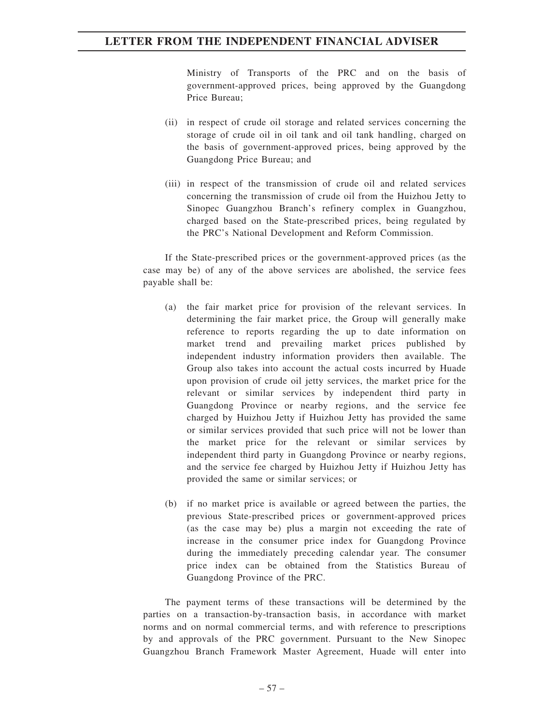Ministry of Transports of the PRC and on the basis of government-approved prices, being approved by the Guangdong Price Bureau;

- (ii) in respect of crude oil storage and related services concerning the storage of crude oil in oil tank and oil tank handling, charged on the basis of government-approved prices, being approved by the Guangdong Price Bureau; and
- (iii) in respect of the transmission of crude oil and related services concerning the transmission of crude oil from the Huizhou Jetty to Sinopec Guangzhou Branch's refinery complex in Guangzhou, charged based on the State-prescribed prices, being regulated by the PRC's National Development and Reform Commission.

If the State-prescribed prices or the government-approved prices (as the case may be) of any of the above services are abolished, the service fees payable shall be:

- (a) the fair market price for provision of the relevant services. In determining the fair market price, the Group will generally make reference to reports regarding the up to date information on market trend and prevailing market prices published by independent industry information providers then available. The Group also takes into account the actual costs incurred by Huade upon provision of crude oil jetty services, the market price for the relevant or similar services by independent third party in Guangdong Province or nearby regions, and the service fee charged by Huizhou Jetty if Huizhou Jetty has provided the same or similar services provided that such price will not be lower than the market price for the relevant or similar services by independent third party in Guangdong Province or nearby regions, and the service fee charged by Huizhou Jetty if Huizhou Jetty has provided the same or similar services; or
- (b) if no market price is available or agreed between the parties, the previous State-prescribed prices or government-approved prices (as the case may be) plus a margin not exceeding the rate of increase in the consumer price index for Guangdong Province during the immediately preceding calendar year. The consumer price index can be obtained from the Statistics Bureau of Guangdong Province of the PRC.

The payment terms of these transactions will be determined by the parties on a transaction-by-transaction basis, in accordance with market norms and on normal commercial terms, and with reference to prescriptions by and approvals of the PRC government. Pursuant to the New Sinopec Guangzhou Branch Framework Master Agreement, Huade will enter into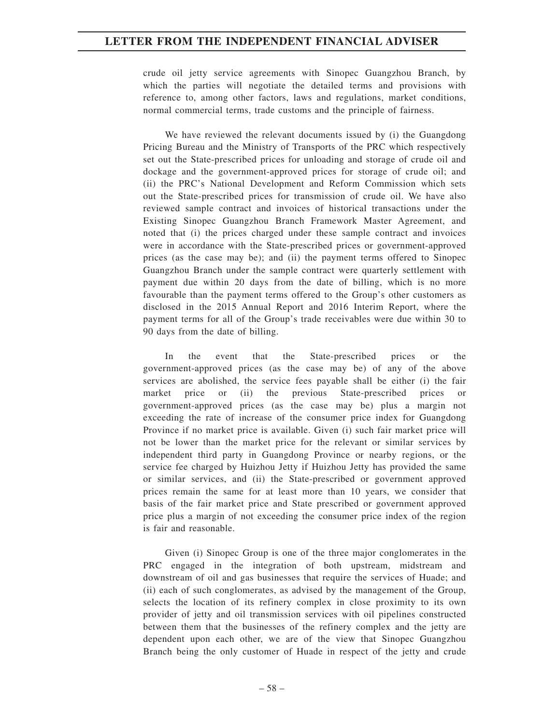crude oil jetty service agreements with Sinopec Guangzhou Branch, by which the parties will negotiate the detailed terms and provisions with reference to, among other factors, laws and regulations, market conditions, normal commercial terms, trade customs and the principle of fairness.

We have reviewed the relevant documents issued by (i) the Guangdong Pricing Bureau and the Ministry of Transports of the PRC which respectively set out the State-prescribed prices for unloading and storage of crude oil and dockage and the government-approved prices for storage of crude oil; and (ii) the PRC's National Development and Reform Commission which sets out the State-prescribed prices for transmission of crude oil. We have also reviewed sample contract and invoices of historical transactions under the Existing Sinopec Guangzhou Branch Framework Master Agreement, and noted that (i) the prices charged under these sample contract and invoices were in accordance with the State-prescribed prices or government-approved prices (as the case may be); and (ii) the payment terms offered to Sinopec Guangzhou Branch under the sample contract were quarterly settlement with payment due within 20 days from the date of billing, which is no more favourable than the payment terms offered to the Group's other customers as disclosed in the 2015 Annual Report and 2016 Interim Report, where the payment terms for all of the Group's trade receivables were due within 30 to 90 days from the date of billing.

In the event that the State-prescribed prices or the government-approved prices (as the case may be) of any of the above services are abolished, the service fees payable shall be either (i) the fair market price or (ii) the previous State-prescribed prices government-approved prices (as the case may be) plus a margin not exceeding the rate of increase of the consumer price index for Guangdong Province if no market price is available. Given (i) such fair market price will not be lower than the market price for the relevant or similar services by independent third party in Guangdong Province or nearby regions, or the service fee charged by Huizhou Jetty if Huizhou Jetty has provided the same or similar services, and (ii) the State-prescribed or government approved prices remain the same for at least more than 10 years, we consider that basis of the fair market price and State prescribed or government approved price plus a margin of not exceeding the consumer price index of the region is fair and reasonable.

Given (i) Sinopec Group is one of the three major conglomerates in the PRC engaged in the integration of both upstream, midstream and downstream of oil and gas businesses that require the services of Huade; and (ii) each of such conglomerates, as advised by the management of the Group, selects the location of its refinery complex in close proximity to its own provider of jetty and oil transmission services with oil pipelines constructed between them that the businesses of the refinery complex and the jetty are dependent upon each other, we are of the view that Sinopec Guangzhou Branch being the only customer of Huade in respect of the jetty and crude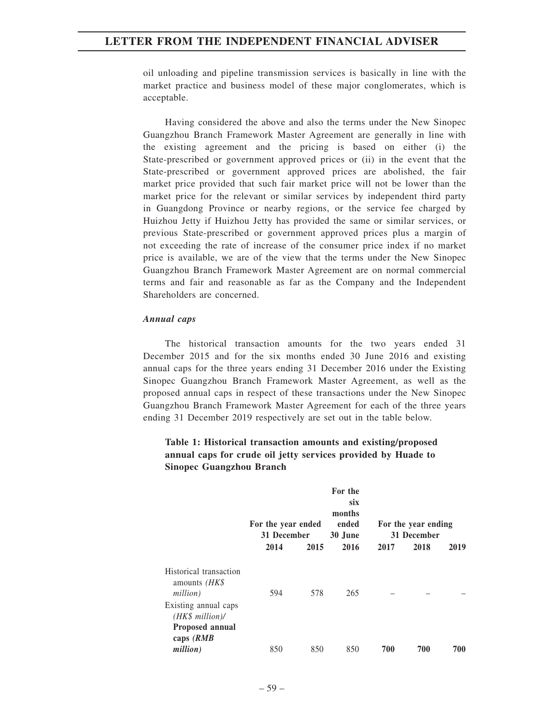oil unloading and pipeline transmission services is basically in line with the market practice and business model of these major conglomerates, which is acceptable.

Having considered the above and also the terms under the New Sinopec Guangzhou Branch Framework Master Agreement are generally in line with the existing agreement and the pricing is based on either (i) the State-prescribed or government approved prices or (ii) in the event that the State-prescribed or government approved prices are abolished, the fair market price provided that such fair market price will not be lower than the market price for the relevant or similar services by independent third party in Guangdong Province or nearby regions, or the service fee charged by Huizhou Jetty if Huizhou Jetty has provided the same or similar services, or previous State-prescribed or government approved prices plus a margin of not exceeding the rate of increase of the consumer price index if no market price is available, we are of the view that the terms under the New Sinopec Guangzhou Branch Framework Master Agreement are on normal commercial terms and fair and reasonable as far as the Company and the Independent Shareholders are concerned.

#### *Annual caps*

The historical transaction amounts for the two years ended 31 December 2015 and for the six months ended 30 June 2016 and existing annual caps for the three years ending 31 December 2016 under the Existing Sinopec Guangzhou Branch Framework Master Agreement, as well as the proposed annual caps in respect of these transactions under the New Sinopec Guangzhou Branch Framework Master Agreement for each of the three years ending 31 December 2019 respectively are set out in the table below.

#### **For the year ended 31 December For the six months ended 30 June For the year ending 31 December 2014 2015 2016 2017 2018 2019** Historical transaction amounts *(HK\$ million)* 594 578 265 – – – Existing annual caps *(HK\$ million)/* **Proposed annual caps** *(RMB million)* 850 850 850 **700 700 700**

## **Table 1: Historical transaction amounts and existing/proposed annual caps for crude oil jetty services provided by Huade to Sinopec Guangzhou Branch**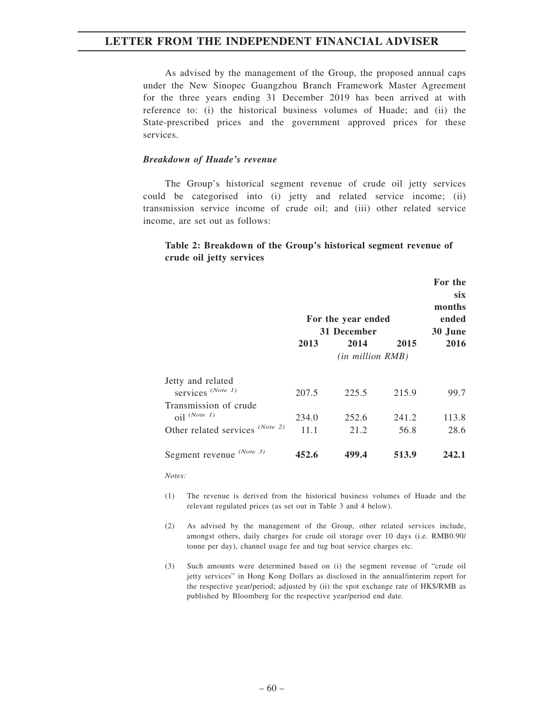As advised by the management of the Group, the proposed annual caps under the New Sinopec Guangzhou Branch Framework Master Agreement for the three years ending 31 December 2019 has been arrived at with reference to: (i) the historical business volumes of Huade; and (ii) the State-prescribed prices and the government approved prices for these services.

#### *Breakdown of Huade's revenue*

The Group's historical segment revenue of crude oil jetty services could be categorised into (i) jetty and related service income; (ii) transmission service income of crude oil; and (iii) other related service income, are set out as follows:

### **Table 2: Breakdown of the Group's historical segment revenue of crude oil jetty services**

|                                 |                      |         |       | For the    |  |  |
|---------------------------------|----------------------|---------|-------|------------|--|--|
|                                 |                      |         |       | <b>SIX</b> |  |  |
|                                 |                      |         |       | months     |  |  |
|                                 | For the year ended   | ended   |       |            |  |  |
|                                 | 31 December          | 30 June |       |            |  |  |
|                                 | 2013                 | 2014    | 2015  | 2016       |  |  |
|                                 | $(in\ million\ RMB)$ |         |       |            |  |  |
| Jetty and related               |                      |         |       |            |  |  |
| services $(Note 1)$             | 207.5                | 225.5   | 215.9 | 99.7       |  |  |
| Transmission of crude           |                      |         |       |            |  |  |
| $oil$ <sup>(Note 1)</sup>       | 234.0                | 252.6   | 241.2 | 113.8      |  |  |
| Other related services (Note 2) | 11.1                 | 21.2    | 56.8  | 28.6       |  |  |
| Segment revenue $(Note 3)$      | 452.6                | 499.4   | 513.9 | 242.1      |  |  |

*Notes:*

- (1) The revenue is derived from the historical business volumes of Huade and the relevant regulated prices (as set out in Table 3 and 4 below).
- (2) As advised by the management of the Group, other related services include, amongst others, daily charges for crude oil storage over 10 days (i.e. RMB0.90/ tonne per day), channel usage fee and tug boat service charges etc.
- (3) Such amounts were determined based on (i) the segment revenue of "crude oil jetty services" in Hong Kong Dollars as disclosed in the annual/interim report for the respective year/period; adjusted by (ii) the spot exchange rate of HK\$/RMB as published by Bloomberg for the respective year/period end date.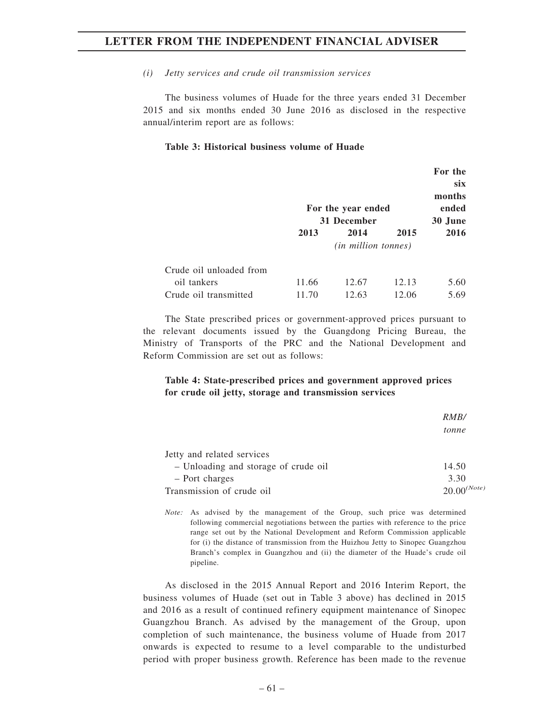### *(i) Jetty services and crude oil transmission services*

The business volumes of Huade for the three years ended 31 December 2015 and six months ended 30 June 2016 as disclosed in the respective annual/interim report are as follows:

#### **Table 3: Historical business volume of Huade**

|                         |                    |         |       | For the |
|-------------------------|--------------------|---------|-------|---------|
|                         |                    |         |       | six     |
|                         |                    |         |       | months  |
|                         | For the year ended |         |       | ended   |
|                         | 31 December        | 30 June |       |         |
|                         | 2013               | 2014    | 2015  | 2016    |
|                         |                    |         |       |         |
| Crude oil unloaded from |                    |         |       |         |
| oil tankers             | 11.66              | 12.67   | 12.13 | 5.60    |
| Crude oil transmitted   | 11.70              | 12.63   | 12.06 | 5.69    |

The State prescribed prices or government-approved prices pursuant to the relevant documents issued by the Guangdong Pricing Bureau, the Ministry of Transports of the PRC and the National Development and Reform Commission are set out as follows:

### **Table 4: State-prescribed prices and government approved prices for crude oil jetty, storage and transmission services**

|                                      | RMB/             |
|--------------------------------------|------------------|
|                                      | tonne            |
| Jetty and related services           |                  |
| - Unloading and storage of crude oil | 14.50            |
| - Port charges                       | 3.30             |
| Transmission of crude oil            | $20.00^{(Note)}$ |

*Note:* As advised by the management of the Group, such price was determined following commercial negotiations between the parties with reference to the price range set out by the National Development and Reform Commission applicable for (i) the distance of transmission from the Huizhou Jetty to Sinopec Guangzhou Branch's complex in Guangzhou and (ii) the diameter of the Huade's crude oil pipeline.

As disclosed in the 2015 Annual Report and 2016 Interim Report, the business volumes of Huade (set out in Table 3 above) has declined in 2015 and 2016 as a result of continued refinery equipment maintenance of Sinopec Guangzhou Branch. As advised by the management of the Group, upon completion of such maintenance, the business volume of Huade from 2017 onwards is expected to resume to a level comparable to the undisturbed period with proper business growth. Reference has been made to the revenue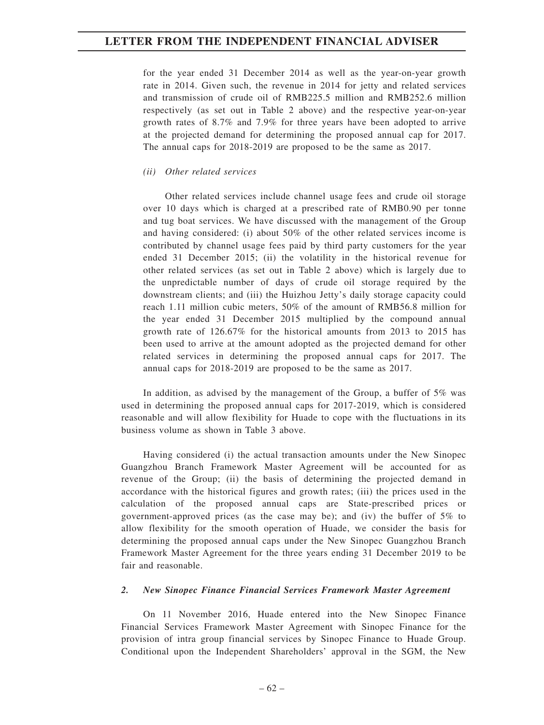for the year ended 31 December 2014 as well as the year-on-year growth rate in 2014. Given such, the revenue in 2014 for jetty and related services and transmission of crude oil of RMB225.5 million and RMB252.6 million respectively (as set out in Table 2 above) and the respective year-on-year growth rates of 8.7% and 7.9% for three years have been adopted to arrive at the projected demand for determining the proposed annual cap for 2017. The annual caps for 2018-2019 are proposed to be the same as 2017.

### *(ii) Other related services*

Other related services include channel usage fees and crude oil storage over 10 days which is charged at a prescribed rate of RMB0.90 per tonne and tug boat services. We have discussed with the management of the Group and having considered: (i) about 50% of the other related services income is contributed by channel usage fees paid by third party customers for the year ended 31 December 2015; (ii) the volatility in the historical revenue for other related services (as set out in Table 2 above) which is largely due to the unpredictable number of days of crude oil storage required by the downstream clients; and (iii) the Huizhou Jetty's daily storage capacity could reach 1.11 million cubic meters, 50% of the amount of RMB56.8 million for the year ended 31 December 2015 multiplied by the compound annual growth rate of 126.67% for the historical amounts from 2013 to 2015 has been used to arrive at the amount adopted as the projected demand for other related services in determining the proposed annual caps for 2017. The annual caps for 2018-2019 are proposed to be the same as 2017.

In addition, as advised by the management of the Group, a buffer of 5% was used in determining the proposed annual caps for 2017-2019, which is considered reasonable and will allow flexibility for Huade to cope with the fluctuations in its business volume as shown in Table 3 above.

Having considered (i) the actual transaction amounts under the New Sinopec Guangzhou Branch Framework Master Agreement will be accounted for as revenue of the Group; (ii) the basis of determining the projected demand in accordance with the historical figures and growth rates; (iii) the prices used in the calculation of the proposed annual caps are State-prescribed prices or government-approved prices (as the case may be); and (iv) the buffer of 5% to allow flexibility for the smooth operation of Huade, we consider the basis for determining the proposed annual caps under the New Sinopec Guangzhou Branch Framework Master Agreement for the three years ending 31 December 2019 to be fair and reasonable.

#### *2. New Sinopec Finance Financial Services Framework Master Agreement*

On 11 November 2016, Huade entered into the New Sinopec Finance Financial Services Framework Master Agreement with Sinopec Finance for the provision of intra group financial services by Sinopec Finance to Huade Group. Conditional upon the Independent Shareholders' approval in the SGM, the New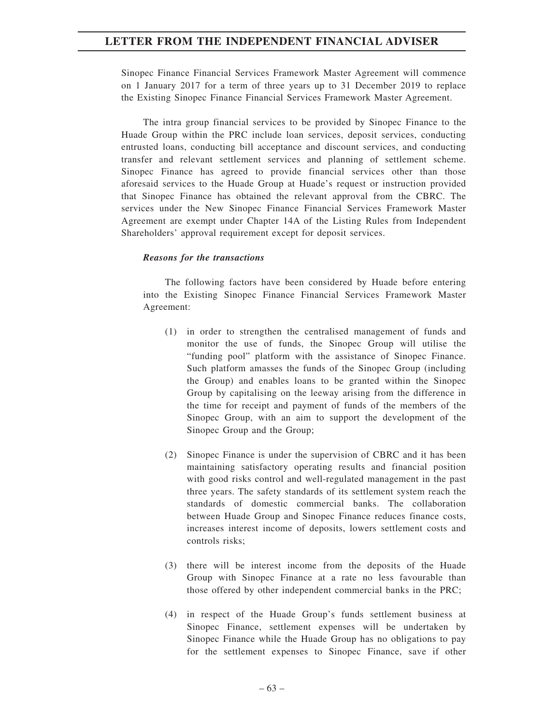Sinopec Finance Financial Services Framework Master Agreement will commence on 1 January 2017 for a term of three years up to 31 December 2019 to replace the Existing Sinopec Finance Financial Services Framework Master Agreement.

The intra group financial services to be provided by Sinopec Finance to the Huade Group within the PRC include loan services, deposit services, conducting entrusted loans, conducting bill acceptance and discount services, and conducting transfer and relevant settlement services and planning of settlement scheme. Sinopec Finance has agreed to provide financial services other than those aforesaid services to the Huade Group at Huade's request or instruction provided that Sinopec Finance has obtained the relevant approval from the CBRC. The services under the New Sinopec Finance Financial Services Framework Master Agreement are exempt under Chapter 14A of the Listing Rules from Independent Shareholders' approval requirement except for deposit services.

#### *Reasons for the transactions*

The following factors have been considered by Huade before entering into the Existing Sinopec Finance Financial Services Framework Master Agreement:

- (1) in order to strengthen the centralised management of funds and monitor the use of funds, the Sinopec Group will utilise the "funding pool" platform with the assistance of Sinopec Finance. Such platform amasses the funds of the Sinopec Group (including the Group) and enables loans to be granted within the Sinopec Group by capitalising on the leeway arising from the difference in the time for receipt and payment of funds of the members of the Sinopec Group, with an aim to support the development of the Sinopec Group and the Group;
- (2) Sinopec Finance is under the supervision of CBRC and it has been maintaining satisfactory operating results and financial position with good risks control and well-regulated management in the past three years. The safety standards of its settlement system reach the standards of domestic commercial banks. The collaboration between Huade Group and Sinopec Finance reduces finance costs, increases interest income of deposits, lowers settlement costs and controls risks;
- (3) there will be interest income from the deposits of the Huade Group with Sinopec Finance at a rate no less favourable than those offered by other independent commercial banks in the PRC;
- (4) in respect of the Huade Group's funds settlement business at Sinopec Finance, settlement expenses will be undertaken by Sinopec Finance while the Huade Group has no obligations to pay for the settlement expenses to Sinopec Finance, save if other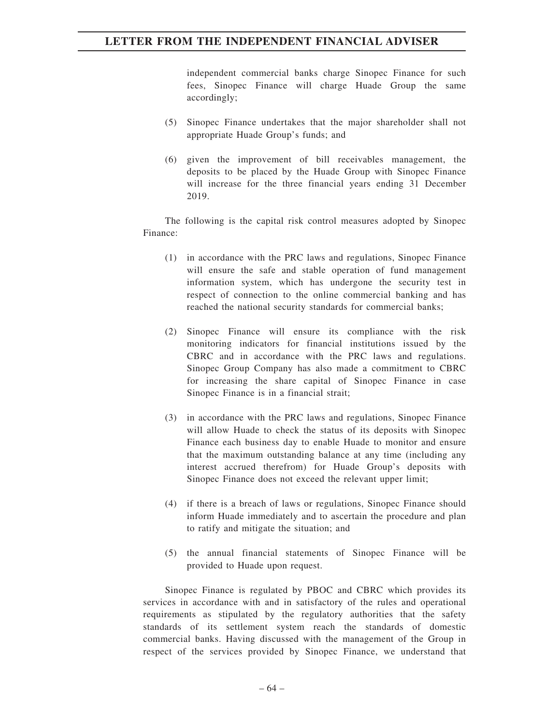independent commercial banks charge Sinopec Finance for such fees, Sinopec Finance will charge Huade Group the same accordingly;

- (5) Sinopec Finance undertakes that the major shareholder shall not appropriate Huade Group's funds; and
- (6) given the improvement of bill receivables management, the deposits to be placed by the Huade Group with Sinopec Finance will increase for the three financial years ending 31 December 2019.

The following is the capital risk control measures adopted by Sinopec Finance:

- (1) in accordance with the PRC laws and regulations, Sinopec Finance will ensure the safe and stable operation of fund management information system, which has undergone the security test in respect of connection to the online commercial banking and has reached the national security standards for commercial banks;
- (2) Sinopec Finance will ensure its compliance with the risk monitoring indicators for financial institutions issued by the CBRC and in accordance with the PRC laws and regulations. Sinopec Group Company has also made a commitment to CBRC for increasing the share capital of Sinopec Finance in case Sinopec Finance is in a financial strait;
- (3) in accordance with the PRC laws and regulations, Sinopec Finance will allow Huade to check the status of its deposits with Sinopec Finance each business day to enable Huade to monitor and ensure that the maximum outstanding balance at any time (including any interest accrued therefrom) for Huade Group's deposits with Sinopec Finance does not exceed the relevant upper limit;
- (4) if there is a breach of laws or regulations, Sinopec Finance should inform Huade immediately and to ascertain the procedure and plan to ratify and mitigate the situation; and
- (5) the annual financial statements of Sinopec Finance will be provided to Huade upon request.

Sinopec Finance is regulated by PBOC and CBRC which provides its services in accordance with and in satisfactory of the rules and operational requirements as stipulated by the regulatory authorities that the safety standards of its settlement system reach the standards of domestic commercial banks. Having discussed with the management of the Group in respect of the services provided by Sinopec Finance, we understand that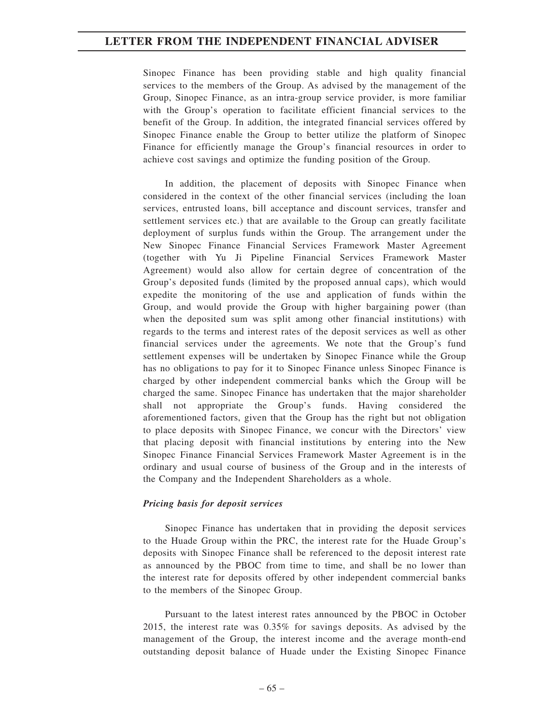Sinopec Finance has been providing stable and high quality financial services to the members of the Group. As advised by the management of the Group, Sinopec Finance, as an intra-group service provider, is more familiar with the Group's operation to facilitate efficient financial services to the benefit of the Group. In addition, the integrated financial services offered by Sinopec Finance enable the Group to better utilize the platform of Sinopec Finance for efficiently manage the Group's financial resources in order to achieve cost savings and optimize the funding position of the Group.

In addition, the placement of deposits with Sinopec Finance when considered in the context of the other financial services (including the loan services, entrusted loans, bill acceptance and discount services, transfer and settlement services etc.) that are available to the Group can greatly facilitate deployment of surplus funds within the Group. The arrangement under the New Sinopec Finance Financial Services Framework Master Agreement (together with Yu Ji Pipeline Financial Services Framework Master Agreement) would also allow for certain degree of concentration of the Group's deposited funds (limited by the proposed annual caps), which would expedite the monitoring of the use and application of funds within the Group, and would provide the Group with higher bargaining power (than when the deposited sum was split among other financial institutions) with regards to the terms and interest rates of the deposit services as well as other financial services under the agreements. We note that the Group's fund settlement expenses will be undertaken by Sinopec Finance while the Group has no obligations to pay for it to Sinopec Finance unless Sinopec Finance is charged by other independent commercial banks which the Group will be charged the same. Sinopec Finance has undertaken that the major shareholder shall not appropriate the Group's funds. Having considered the aforementioned factors, given that the Group has the right but not obligation to place deposits with Sinopec Finance, we concur with the Directors' view that placing deposit with financial institutions by entering into the New Sinopec Finance Financial Services Framework Master Agreement is in the ordinary and usual course of business of the Group and in the interests of the Company and the Independent Shareholders as a whole.

### *Pricing basis for deposit services*

Sinopec Finance has undertaken that in providing the deposit services to the Huade Group within the PRC, the interest rate for the Huade Group's deposits with Sinopec Finance shall be referenced to the deposit interest rate as announced by the PBOC from time to time, and shall be no lower than the interest rate for deposits offered by other independent commercial banks to the members of the Sinopec Group.

Pursuant to the latest interest rates announced by the PBOC in October 2015, the interest rate was 0.35% for savings deposits. As advised by the management of the Group, the interest income and the average month-end outstanding deposit balance of Huade under the Existing Sinopec Finance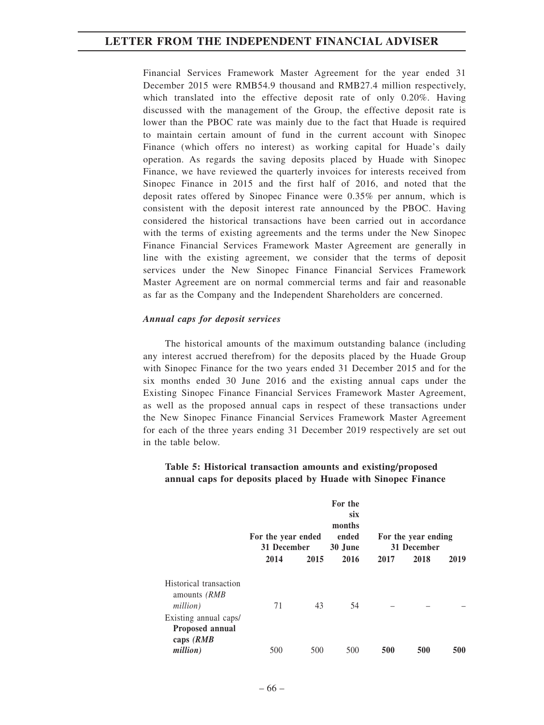Financial Services Framework Master Agreement for the year ended 31 December 2015 were RMB54.9 thousand and RMB27.4 million respectively, which translated into the effective deposit rate of only 0.20%. Having discussed with the management of the Group, the effective deposit rate is lower than the PBOC rate was mainly due to the fact that Huade is required to maintain certain amount of fund in the current account with Sinopec Finance (which offers no interest) as working capital for Huade's daily operation. As regards the saving deposits placed by Huade with Sinopec Finance, we have reviewed the quarterly invoices for interests received from Sinopec Finance in 2015 and the first half of 2016, and noted that the deposit rates offered by Sinopec Finance were 0.35% per annum, which is consistent with the deposit interest rate announced by the PBOC. Having considered the historical transactions have been carried out in accordance with the terms of existing agreements and the terms under the New Sinopec Finance Financial Services Framework Master Agreement are generally in line with the existing agreement, we consider that the terms of deposit services under the New Sinopec Finance Financial Services Framework Master Agreement are on normal commercial terms and fair and reasonable as far as the Company and the Independent Shareholders are concerned.

#### *Annual caps for deposit services*

The historical amounts of the maximum outstanding balance (including any interest accrued therefrom) for the deposits placed by the Huade Group with Sinopec Finance for the two years ended 31 December 2015 and for the six months ended 30 June 2016 and the existing annual caps under the Existing Sinopec Finance Financial Services Framework Master Agreement, as well as the proposed annual caps in respect of these transactions under the New Sinopec Finance Financial Services Framework Master Agreement for each of the three years ending 31 December 2019 respectively are set out in the table below.

### **Table 5: Historical transaction amounts and existing/proposed annual caps for deposits placed by Huade with Sinopec Finance**

|                                                    | For the year ended<br>31 December |      | For the<br>six<br>months<br>ended<br>30 June | For the year ending<br>31 December |      |            |
|----------------------------------------------------|-----------------------------------|------|----------------------------------------------|------------------------------------|------|------------|
|                                                    | 2014                              | 2015 | 2016                                         | 2017                               | 2018 | 2019       |
| Historical transaction<br>amounts (RMB<br>million) | 71                                | 43   | 54                                           |                                    |      |            |
| Existing annual caps/                              |                                   |      |                                              |                                    |      |            |
| <b>Proposed annual</b><br>caps $(RMB)$             |                                   |      |                                              |                                    |      |            |
| million)                                           | 500                               | 500  | 500                                          | 500                                | 500  | <b>500</b> |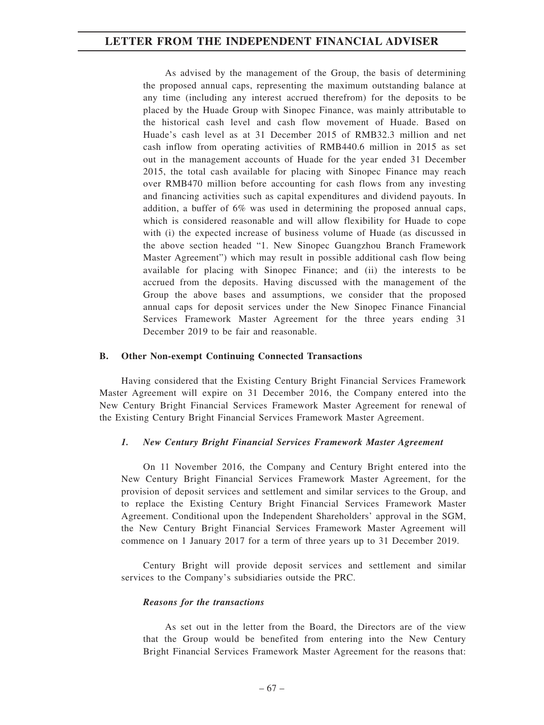As advised by the management of the Group, the basis of determining the proposed annual caps, representing the maximum outstanding balance at any time (including any interest accrued therefrom) for the deposits to be placed by the Huade Group with Sinopec Finance, was mainly attributable to the historical cash level and cash flow movement of Huade. Based on Huade's cash level as at 31 December 2015 of RMB32.3 million and net cash inflow from operating activities of RMB440.6 million in 2015 as set out in the management accounts of Huade for the year ended 31 December 2015, the total cash available for placing with Sinopec Finance may reach over RMB470 million before accounting for cash flows from any investing and financing activities such as capital expenditures and dividend payouts. In addition, a buffer of 6% was used in determining the proposed annual caps, which is considered reasonable and will allow flexibility for Huade to cope with (i) the expected increase of business volume of Huade (as discussed in the above section headed "1. New Sinopec Guangzhou Branch Framework Master Agreement") which may result in possible additional cash flow being available for placing with Sinopec Finance; and (ii) the interests to be accrued from the deposits. Having discussed with the management of the Group the above bases and assumptions, we consider that the proposed annual caps for deposit services under the New Sinopec Finance Financial Services Framework Master Agreement for the three years ending 31 December 2019 to be fair and reasonable.

#### **B. Other Non-exempt Continuing Connected Transactions**

Having considered that the Existing Century Bright Financial Services Framework Master Agreement will expire on 31 December 2016, the Company entered into the New Century Bright Financial Services Framework Master Agreement for renewal of the Existing Century Bright Financial Services Framework Master Agreement.

#### *1. New Century Bright Financial Services Framework Master Agreement*

On 11 November 2016, the Company and Century Bright entered into the New Century Bright Financial Services Framework Master Agreement, for the provision of deposit services and settlement and similar services to the Group, and to replace the Existing Century Bright Financial Services Framework Master Agreement. Conditional upon the Independent Shareholders' approval in the SGM, the New Century Bright Financial Services Framework Master Agreement will commence on 1 January 2017 for a term of three years up to 31 December 2019.

Century Bright will provide deposit services and settlement and similar services to the Company's subsidiaries outside the PRC.

#### *Reasons for the transactions*

As set out in the letter from the Board, the Directors are of the view that the Group would be benefited from entering into the New Century Bright Financial Services Framework Master Agreement for the reasons that: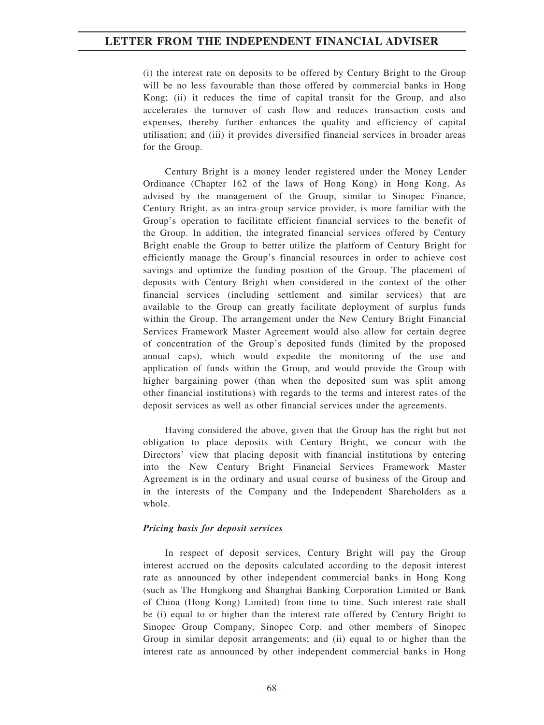(i) the interest rate on deposits to be offered by Century Bright to the Group will be no less favourable than those offered by commercial banks in Hong Kong; (ii) it reduces the time of capital transit for the Group, and also accelerates the turnover of cash flow and reduces transaction costs and expenses, thereby further enhances the quality and efficiency of capital utilisation; and (iii) it provides diversified financial services in broader areas for the Group.

Century Bright is a money lender registered under the Money Lender Ordinance (Chapter 162 of the laws of Hong Kong) in Hong Kong. As advised by the management of the Group, similar to Sinopec Finance, Century Bright, as an intra-group service provider, is more familiar with the Group's operation to facilitate efficient financial services to the benefit of the Group. In addition, the integrated financial services offered by Century Bright enable the Group to better utilize the platform of Century Bright for efficiently manage the Group's financial resources in order to achieve cost savings and optimize the funding position of the Group. The placement of deposits with Century Bright when considered in the context of the other financial services (including settlement and similar services) that are available to the Group can greatly facilitate deployment of surplus funds within the Group. The arrangement under the New Century Bright Financial Services Framework Master Agreement would also allow for certain degree of concentration of the Group's deposited funds (limited by the proposed annual caps), which would expedite the monitoring of the use and application of funds within the Group, and would provide the Group with higher bargaining power (than when the deposited sum was split among other financial institutions) with regards to the terms and interest rates of the deposit services as well as other financial services under the agreements.

Having considered the above, given that the Group has the right but not obligation to place deposits with Century Bright, we concur with the Directors' view that placing deposit with financial institutions by entering into the New Century Bright Financial Services Framework Master Agreement is in the ordinary and usual course of business of the Group and in the interests of the Company and the Independent Shareholders as a whole.

### *Pricing basis for deposit services*

In respect of deposit services, Century Bright will pay the Group interest accrued on the deposits calculated according to the deposit interest rate as announced by other independent commercial banks in Hong Kong (such as The Hongkong and Shanghai Banking Corporation Limited or Bank of China (Hong Kong) Limited) from time to time. Such interest rate shall be (i) equal to or higher than the interest rate offered by Century Bright to Sinopec Group Company, Sinopec Corp. and other members of Sinopec Group in similar deposit arrangements; and (ii) equal to or higher than the interest rate as announced by other independent commercial banks in Hong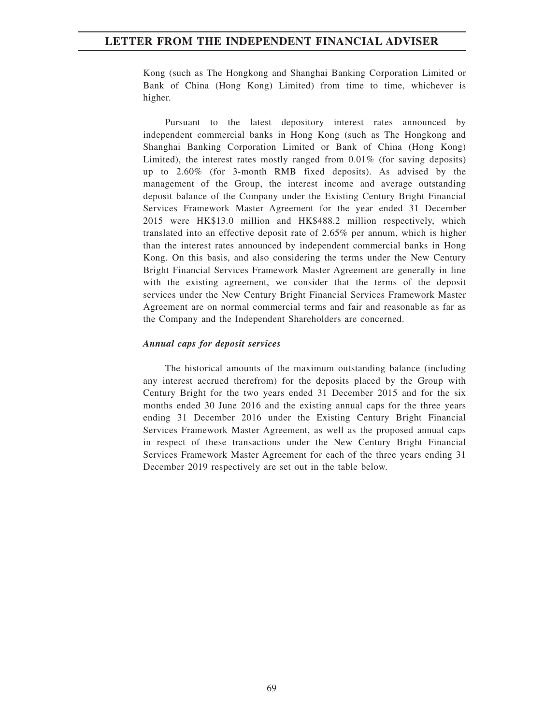Kong (such as The Hongkong and Shanghai Banking Corporation Limited or Bank of China (Hong Kong) Limited) from time to time, whichever is higher.

Pursuant to the latest depository interest rates announced by independent commercial banks in Hong Kong (such as The Hongkong and Shanghai Banking Corporation Limited or Bank of China (Hong Kong) Limited), the interest rates mostly ranged from 0.01% (for saving deposits) up to 2.60% (for 3-month RMB fixed deposits). As advised by the management of the Group, the interest income and average outstanding deposit balance of the Company under the Existing Century Bright Financial Services Framework Master Agreement for the year ended 31 December 2015 were HK\$13.0 million and HK\$488.2 million respectively, which translated into an effective deposit rate of 2.65% per annum, which is higher than the interest rates announced by independent commercial banks in Hong Kong. On this basis, and also considering the terms under the New Century Bright Financial Services Framework Master Agreement are generally in line with the existing agreement, we consider that the terms of the deposit services under the New Century Bright Financial Services Framework Master Agreement are on normal commercial terms and fair and reasonable as far as the Company and the Independent Shareholders are concerned.

### *Annual caps for deposit services*

The historical amounts of the maximum outstanding balance (including any interest accrued therefrom) for the deposits placed by the Group with Century Bright for the two years ended 31 December 2015 and for the six months ended 30 June 2016 and the existing annual caps for the three years ending 31 December 2016 under the Existing Century Bright Financial Services Framework Master Agreement, as well as the proposed annual caps in respect of these transactions under the New Century Bright Financial Services Framework Master Agreement for each of the three years ending 31 December 2019 respectively are set out in the table below.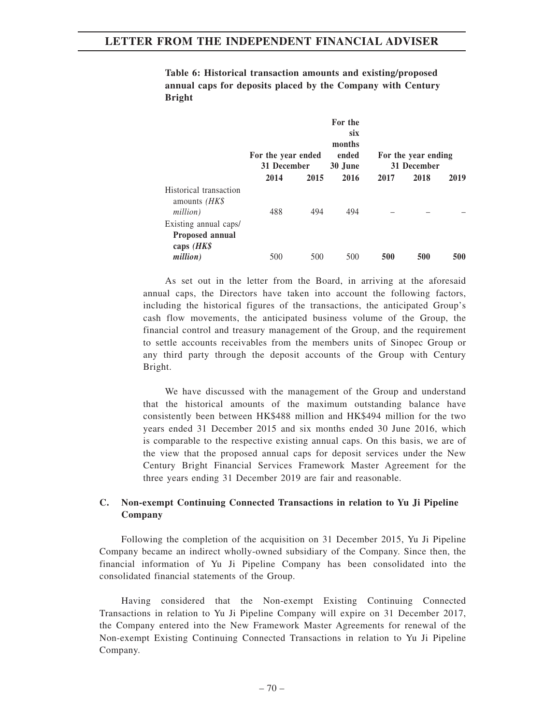**Table 6: Historical transaction amounts and existing/proposed annual caps for deposits placed by the Company with Century Bright**

|                                                         | For the year ended<br>31 December |      | For the<br>six<br>months<br>ended<br>30 June | For the year ending<br>31 December |      |      |
|---------------------------------------------------------|-----------------------------------|------|----------------------------------------------|------------------------------------|------|------|
|                                                         | 2014                              | 2015 | 2016                                         | 2017                               | 2018 | 2019 |
| Historical transaction<br>amounts $(HK\$<br>million)    | 488                               | 494  | 494                                          |                                    |      |      |
| Existing annual caps/<br>Proposed annual<br>caps $(HK\$ |                                   |      |                                              |                                    |      |      |
| million)                                                | 500                               | 500  | 500                                          | 500                                | 500  | 500  |

As set out in the letter from the Board, in arriving at the aforesaid annual caps, the Directors have taken into account the following factors, including the historical figures of the transactions, the anticipated Group's cash flow movements, the anticipated business volume of the Group, the financial control and treasury management of the Group, and the requirement to settle accounts receivables from the members units of Sinopec Group or any third party through the deposit accounts of the Group with Century Bright.

We have discussed with the management of the Group and understand that the historical amounts of the maximum outstanding balance have consistently been between HK\$488 million and HK\$494 million for the two years ended 31 December 2015 and six months ended 30 June 2016, which is comparable to the respective existing annual caps. On this basis, we are of the view that the proposed annual caps for deposit services under the New Century Bright Financial Services Framework Master Agreement for the three years ending 31 December 2019 are fair and reasonable.

### **C. Non-exempt Continuing Connected Transactions in relation to Yu Ji Pipeline Company**

Following the completion of the acquisition on 31 December 2015, Yu Ji Pipeline Company became an indirect wholly-owned subsidiary of the Company. Since then, the financial information of Yu Ji Pipeline Company has been consolidated into the consolidated financial statements of the Group.

Having considered that the Non-exempt Existing Continuing Connected Transactions in relation to Yu Ji Pipeline Company will expire on 31 December 2017, the Company entered into the New Framework Master Agreements for renewal of the Non-exempt Existing Continuing Connected Transactions in relation to Yu Ji Pipeline Company.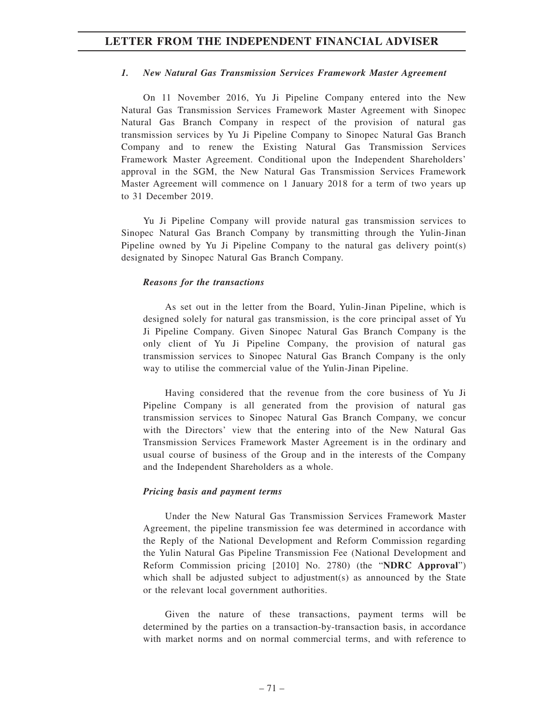### *1. New Natural Gas Transmission Services Framework Master Agreement*

On 11 November 2016, Yu Ji Pipeline Company entered into the New Natural Gas Transmission Services Framework Master Agreement with Sinopec Natural Gas Branch Company in respect of the provision of natural gas transmission services by Yu Ji Pipeline Company to Sinopec Natural Gas Branch Company and to renew the Existing Natural Gas Transmission Services Framework Master Agreement. Conditional upon the Independent Shareholders' approval in the SGM, the New Natural Gas Transmission Services Framework Master Agreement will commence on 1 January 2018 for a term of two years up to 31 December 2019.

Yu Ji Pipeline Company will provide natural gas transmission services to Sinopec Natural Gas Branch Company by transmitting through the Yulin-Jinan Pipeline owned by Yu Ji Pipeline Company to the natural gas delivery point(s) designated by Sinopec Natural Gas Branch Company.

#### *Reasons for the transactions*

As set out in the letter from the Board, Yulin-Jinan Pipeline, which is designed solely for natural gas transmission, is the core principal asset of Yu Ji Pipeline Company. Given Sinopec Natural Gas Branch Company is the only client of Yu Ji Pipeline Company, the provision of natural gas transmission services to Sinopec Natural Gas Branch Company is the only way to utilise the commercial value of the Yulin-Jinan Pipeline.

Having considered that the revenue from the core business of Yu Ji Pipeline Company is all generated from the provision of natural gas transmission services to Sinopec Natural Gas Branch Company, we concur with the Directors' view that the entering into of the New Natural Gas Transmission Services Framework Master Agreement is in the ordinary and usual course of business of the Group and in the interests of the Company and the Independent Shareholders as a whole.

#### *Pricing basis and payment terms*

Under the New Natural Gas Transmission Services Framework Master Agreement, the pipeline transmission fee was determined in accordance with the Reply of the National Development and Reform Commission regarding the Yulin Natural Gas Pipeline Transmission Fee (National Development and Reform Commission pricing [2010] No. 2780) (the "**NDRC Approval**") which shall be adjusted subject to adjustment(s) as announced by the State or the relevant local government authorities.

Given the nature of these transactions, payment terms will be determined by the parties on a transaction-by-transaction basis, in accordance with market norms and on normal commercial terms, and with reference to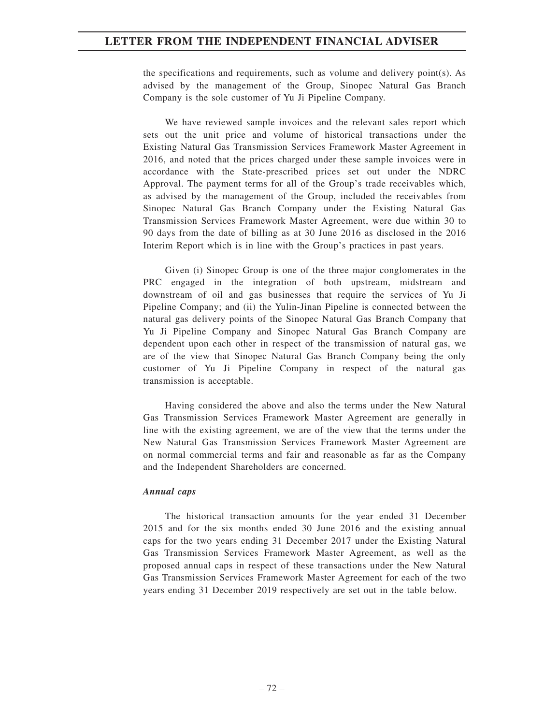the specifications and requirements, such as volume and delivery point(s). As advised by the management of the Group, Sinopec Natural Gas Branch Company is the sole customer of Yu Ji Pipeline Company.

We have reviewed sample invoices and the relevant sales report which sets out the unit price and volume of historical transactions under the Existing Natural Gas Transmission Services Framework Master Agreement in 2016, and noted that the prices charged under these sample invoices were in accordance with the State-prescribed prices set out under the NDRC Approval. The payment terms for all of the Group's trade receivables which, as advised by the management of the Group, included the receivables from Sinopec Natural Gas Branch Company under the Existing Natural Gas Transmission Services Framework Master Agreement, were due within 30 to 90 days from the date of billing as at 30 June 2016 as disclosed in the 2016 Interim Report which is in line with the Group's practices in past years.

Given (i) Sinopec Group is one of the three major conglomerates in the PRC engaged in the integration of both upstream, midstream and downstream of oil and gas businesses that require the services of Yu Ji Pipeline Company; and (ii) the Yulin-Jinan Pipeline is connected between the natural gas delivery points of the Sinopec Natural Gas Branch Company that Yu Ji Pipeline Company and Sinopec Natural Gas Branch Company are dependent upon each other in respect of the transmission of natural gas, we are of the view that Sinopec Natural Gas Branch Company being the only customer of Yu Ji Pipeline Company in respect of the natural gas transmission is acceptable.

Having considered the above and also the terms under the New Natural Gas Transmission Services Framework Master Agreement are generally in line with the existing agreement, we are of the view that the terms under the New Natural Gas Transmission Services Framework Master Agreement are on normal commercial terms and fair and reasonable as far as the Company and the Independent Shareholders are concerned.

#### *Annual caps*

The historical transaction amounts for the year ended 31 December 2015 and for the six months ended 30 June 2016 and the existing annual caps for the two years ending 31 December 2017 under the Existing Natural Gas Transmission Services Framework Master Agreement, as well as the proposed annual caps in respect of these transactions under the New Natural Gas Transmission Services Framework Master Agreement for each of the two years ending 31 December 2019 respectively are set out in the table below.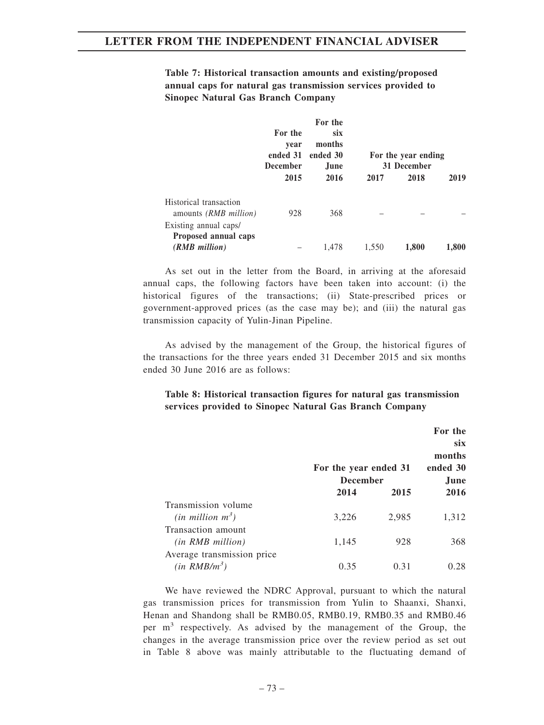**Table 7: Historical transaction amounts and existing/proposed annual caps for natural gas transmission services provided to Sinopec Natural Gas Branch Company**

|                                                        | For the<br>vear<br>ended 31<br><b>December</b> | For the<br><b>SIX</b><br>months<br>ended 30<br>June. |       | For the year ending<br>31 December |       |
|--------------------------------------------------------|------------------------------------------------|------------------------------------------------------|-------|------------------------------------|-------|
|                                                        | 2015                                           | 2016                                                 | 2017  | 2018                               | 2019  |
| Historical transaction<br>amounts <i>(RMB million)</i> | 928                                            | 368                                                  |       |                                    |       |
| Existing annual caps/<br>Proposed annual caps          |                                                |                                                      |       |                                    |       |
| (RMB million)                                          |                                                | 1.478                                                | 1,550 | 1,800                              | 1,800 |

As set out in the letter from the Board, in arriving at the aforesaid annual caps, the following factors have been taken into account: (i) the historical figures of the transactions; (ii) State-prescribed prices or government-approved prices (as the case may be); and (iii) the natural gas transmission capacity of Yulin-Jinan Pipeline.

As advised by the management of the Group, the historical figures of the transactions for the three years ended 31 December 2015 and six months ended 30 June 2016 are as follows:

## **Table 8: Historical transaction figures for natural gas transmission services provided to Sinopec Natural Gas Branch Company**

|                            | For the year ended 31<br><b>December</b> |       | For the<br>six.<br>months<br>ended 30<br>June. |
|----------------------------|------------------------------------------|-------|------------------------------------------------|
|                            | 2014                                     | 2015  | 2016                                           |
| Transmission volume        |                                          |       |                                                |
| $(in$ million $m^3)$       | 3,226                                    | 2,985 | 1,312                                          |
| Transaction amount         |                                          |       |                                                |
| (in RMB million)           | 1,145                                    | 928   | 368                                            |
| Average transmission price |                                          |       |                                                |
| $(in \, RMB/m^3)$          | 0.35                                     | 0.31  | 0.28                                           |

We have reviewed the NDRC Approval, pursuant to which the natural gas transmission prices for transmission from Yulin to Shaanxi, Shanxi, Henan and Shandong shall be RMB0.05, RMB0.19, RMB0.35 and RMB0.46 per  $m<sup>3</sup>$  respectively. As advised by the management of the Group, the changes in the average transmission price over the review period as set out in Table 8 above was mainly attributable to the fluctuating demand of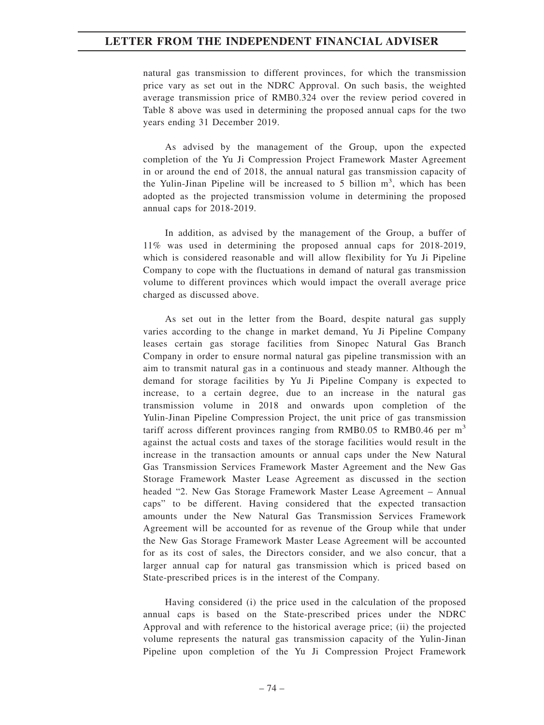natural gas transmission to different provinces, for which the transmission price vary as set out in the NDRC Approval. On such basis, the weighted average transmission price of RMB0.324 over the review period covered in Table 8 above was used in determining the proposed annual caps for the two years ending 31 December 2019.

As advised by the management of the Group, upon the expected completion of the Yu Ji Compression Project Framework Master Agreement in or around the end of 2018, the annual natural gas transmission capacity of the Yulin-Jinan Pipeline will be increased to 5 billion  $m<sup>3</sup>$ , which has been adopted as the projected transmission volume in determining the proposed annual caps for 2018-2019.

In addition, as advised by the management of the Group, a buffer of 11% was used in determining the proposed annual caps for 2018-2019, which is considered reasonable and will allow flexibility for Yu Ji Pipeline Company to cope with the fluctuations in demand of natural gas transmission volume to different provinces which would impact the overall average price charged as discussed above.

As set out in the letter from the Board, despite natural gas supply varies according to the change in market demand, Yu Ji Pipeline Company leases certain gas storage facilities from Sinopec Natural Gas Branch Company in order to ensure normal natural gas pipeline transmission with an aim to transmit natural gas in a continuous and steady manner. Although the demand for storage facilities by Yu Ji Pipeline Company is expected to increase, to a certain degree, due to an increase in the natural gas transmission volume in 2018 and onwards upon completion of the Yulin-Jinan Pipeline Compression Project, the unit price of gas transmission tariff across different provinces ranging from RMB0.05 to RMB0.46 per  $m<sup>3</sup>$ against the actual costs and taxes of the storage facilities would result in the increase in the transaction amounts or annual caps under the New Natural Gas Transmission Services Framework Master Agreement and the New Gas Storage Framework Master Lease Agreement as discussed in the section headed "2. New Gas Storage Framework Master Lease Agreement – Annual caps" to be different. Having considered that the expected transaction amounts under the New Natural Gas Transmission Services Framework Agreement will be accounted for as revenue of the Group while that under the New Gas Storage Framework Master Lease Agreement will be accounted for as its cost of sales, the Directors consider, and we also concur, that a larger annual cap for natural gas transmission which is priced based on State-prescribed prices is in the interest of the Company.

Having considered (i) the price used in the calculation of the proposed annual caps is based on the State-prescribed prices under the NDRC Approval and with reference to the historical average price; (ii) the projected volume represents the natural gas transmission capacity of the Yulin-Jinan Pipeline upon completion of the Yu Ji Compression Project Framework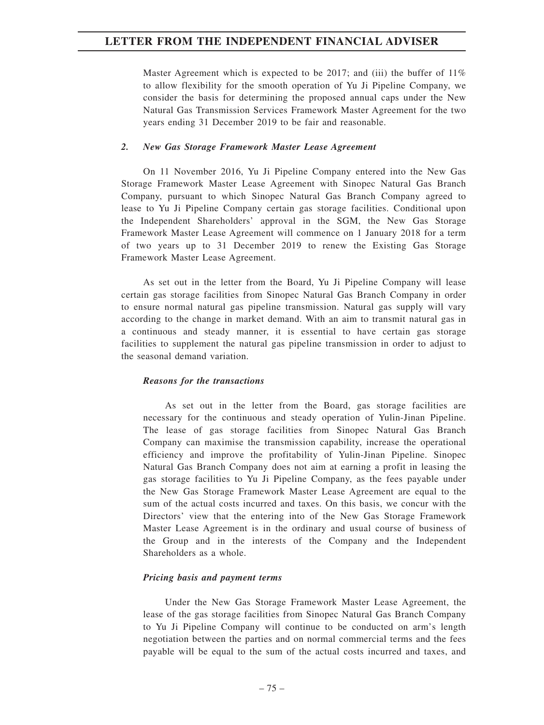Master Agreement which is expected to be 2017; and (iii) the buffer of  $11\%$ to allow flexibility for the smooth operation of Yu Ji Pipeline Company, we consider the basis for determining the proposed annual caps under the New Natural Gas Transmission Services Framework Master Agreement for the two years ending 31 December 2019 to be fair and reasonable.

### *2. New Gas Storage Framework Master Lease Agreement*

On 11 November 2016, Yu Ji Pipeline Company entered into the New Gas Storage Framework Master Lease Agreement with Sinopec Natural Gas Branch Company, pursuant to which Sinopec Natural Gas Branch Company agreed to lease to Yu Ji Pipeline Company certain gas storage facilities. Conditional upon the Independent Shareholders' approval in the SGM, the New Gas Storage Framework Master Lease Agreement will commence on 1 January 2018 for a term of two years up to 31 December 2019 to renew the Existing Gas Storage Framework Master Lease Agreement.

As set out in the letter from the Board, Yu Ji Pipeline Company will lease certain gas storage facilities from Sinopec Natural Gas Branch Company in order to ensure normal natural gas pipeline transmission. Natural gas supply will vary according to the change in market demand. With an aim to transmit natural gas in a continuous and steady manner, it is essential to have certain gas storage facilities to supplement the natural gas pipeline transmission in order to adjust to the seasonal demand variation.

#### *Reasons for the transactions*

As set out in the letter from the Board, gas storage facilities are necessary for the continuous and steady operation of Yulin-Jinan Pipeline. The lease of gas storage facilities from Sinopec Natural Gas Branch Company can maximise the transmission capability, increase the operational efficiency and improve the profitability of Yulin-Jinan Pipeline. Sinopec Natural Gas Branch Company does not aim at earning a profit in leasing the gas storage facilities to Yu Ji Pipeline Company, as the fees payable under the New Gas Storage Framework Master Lease Agreement are equal to the sum of the actual costs incurred and taxes. On this basis, we concur with the Directors' view that the entering into of the New Gas Storage Framework Master Lease Agreement is in the ordinary and usual course of business of the Group and in the interests of the Company and the Independent Shareholders as a whole.

### *Pricing basis and payment terms*

Under the New Gas Storage Framework Master Lease Agreement, the lease of the gas storage facilities from Sinopec Natural Gas Branch Company to Yu Ji Pipeline Company will continue to be conducted on arm's length negotiation between the parties and on normal commercial terms and the fees payable will be equal to the sum of the actual costs incurred and taxes, and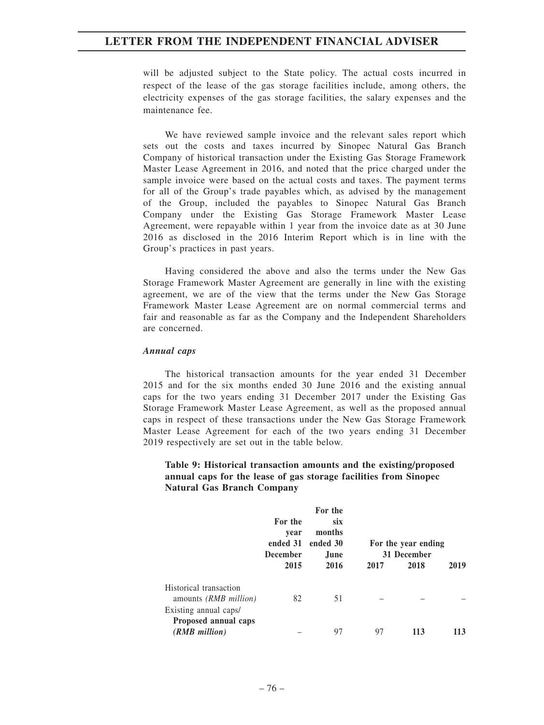will be adjusted subject to the State policy. The actual costs incurred in respect of the lease of the gas storage facilities include, among others, the electricity expenses of the gas storage facilities, the salary expenses and the maintenance fee.

We have reviewed sample invoice and the relevant sales report which sets out the costs and taxes incurred by Sinopec Natural Gas Branch Company of historical transaction under the Existing Gas Storage Framework Master Lease Agreement in 2016, and noted that the price charged under the sample invoice were based on the actual costs and taxes. The payment terms for all of the Group's trade payables which, as advised by the management of the Group, included the payables to Sinopec Natural Gas Branch Company under the Existing Gas Storage Framework Master Lease Agreement, were repayable within 1 year from the invoice date as at 30 June 2016 as disclosed in the 2016 Interim Report which is in line with the Group's practices in past years.

Having considered the above and also the terms under the New Gas Storage Framework Master Agreement are generally in line with the existing agreement, we are of the view that the terms under the New Gas Storage Framework Master Lease Agreement are on normal commercial terms and fair and reasonable as far as the Company and the Independent Shareholders are concerned.

#### *Annual caps*

The historical transaction amounts for the year ended 31 December 2015 and for the six months ended 30 June 2016 and the existing annual caps for the two years ending 31 December 2017 under the Existing Gas Storage Framework Master Lease Agreement, as well as the proposed annual caps in respect of these transactions under the New Gas Storage Framework Master Lease Agreement for each of the two years ending 31 December 2019 respectively are set out in the table below.

### **Table 9: Historical transaction amounts and the existing/proposed annual caps for the lease of gas storage facilities from Sinopec Natural Gas Branch Company**

|                                                                                 | For the<br>vear<br>ended 31<br><b>December</b><br>2015 | For the<br><b>SIX</b><br>months<br>ended 30<br>June.<br>2016 | 2017 | For the year ending<br>31 December<br>2018 | 2019 |
|---------------------------------------------------------------------------------|--------------------------------------------------------|--------------------------------------------------------------|------|--------------------------------------------|------|
| Historical transaction<br>amounts <i>(RMB million)</i><br>Existing annual caps/ | 82                                                     | 51                                                           |      |                                            |      |
| Proposed annual caps<br>(RMB million)                                           |                                                        | 97                                                           | 97   | 113                                        | 113  |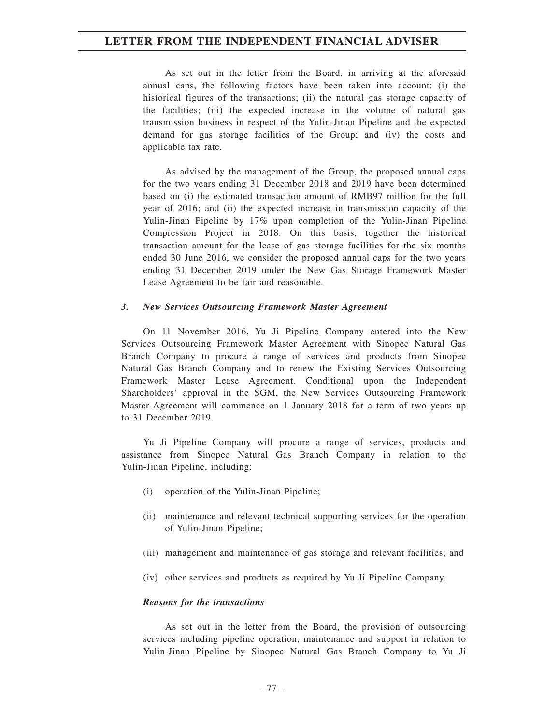As set out in the letter from the Board, in arriving at the aforesaid annual caps, the following factors have been taken into account: (i) the historical figures of the transactions; (ii) the natural gas storage capacity of the facilities; (iii) the expected increase in the volume of natural gas transmission business in respect of the Yulin-Jinan Pipeline and the expected demand for gas storage facilities of the Group; and (iv) the costs and applicable tax rate.

As advised by the management of the Group, the proposed annual caps for the two years ending 31 December 2018 and 2019 have been determined based on (i) the estimated transaction amount of RMB97 million for the full year of 2016; and (ii) the expected increase in transmission capacity of the Yulin-Jinan Pipeline by 17% upon completion of the Yulin-Jinan Pipeline Compression Project in 2018. On this basis, together the historical transaction amount for the lease of gas storage facilities for the six months ended 30 June 2016, we consider the proposed annual caps for the two years ending 31 December 2019 under the New Gas Storage Framework Master Lease Agreement to be fair and reasonable.

### *3. New Services Outsourcing Framework Master Agreement*

On 11 November 2016, Yu Ji Pipeline Company entered into the New Services Outsourcing Framework Master Agreement with Sinopec Natural Gas Branch Company to procure a range of services and products from Sinopec Natural Gas Branch Company and to renew the Existing Services Outsourcing Framework Master Lease Agreement. Conditional upon the Independent Shareholders' approval in the SGM, the New Services Outsourcing Framework Master Agreement will commence on 1 January 2018 for a term of two years up to 31 December 2019.

Yu Ji Pipeline Company will procure a range of services, products and assistance from Sinopec Natural Gas Branch Company in relation to the Yulin-Jinan Pipeline, including:

- (i) operation of the Yulin-Jinan Pipeline;
- (ii) maintenance and relevant technical supporting services for the operation of Yulin-Jinan Pipeline;
- (iii) management and maintenance of gas storage and relevant facilities; and
- (iv) other services and products as required by Yu Ji Pipeline Company.

### *Reasons for the transactions*

As set out in the letter from the Board, the provision of outsourcing services including pipeline operation, maintenance and support in relation to Yulin-Jinan Pipeline by Sinopec Natural Gas Branch Company to Yu Ji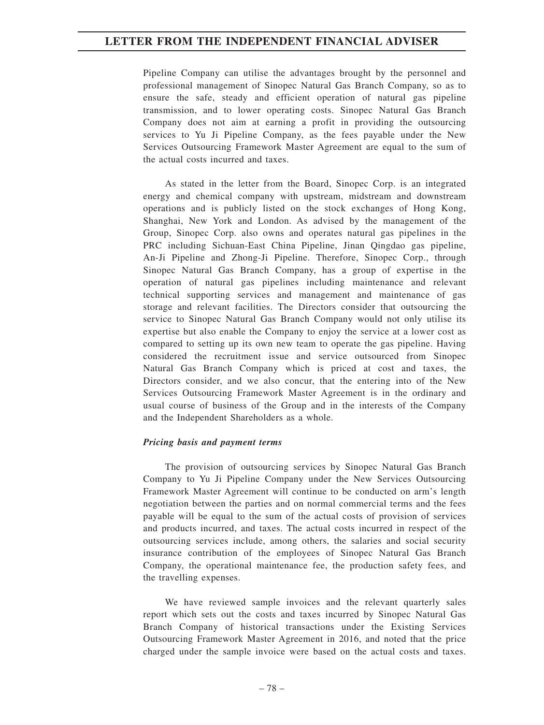Pipeline Company can utilise the advantages brought by the personnel and professional management of Sinopec Natural Gas Branch Company, so as to ensure the safe, steady and efficient operation of natural gas pipeline transmission, and to lower operating costs. Sinopec Natural Gas Branch Company does not aim at earning a profit in providing the outsourcing services to Yu Ji Pipeline Company, as the fees payable under the New Services Outsourcing Framework Master Agreement are equal to the sum of the actual costs incurred and taxes.

As stated in the letter from the Board, Sinopec Corp. is an integrated energy and chemical company with upstream, midstream and downstream operations and is publicly listed on the stock exchanges of Hong Kong, Shanghai, New York and London. As advised by the management of the Group, Sinopec Corp. also owns and operates natural gas pipelines in the PRC including Sichuan-East China Pipeline, Jinan Qingdao gas pipeline, An-Ji Pipeline and Zhong-Ji Pipeline. Therefore, Sinopec Corp., through Sinopec Natural Gas Branch Company, has a group of expertise in the operation of natural gas pipelines including maintenance and relevant technical supporting services and management and maintenance of gas storage and relevant facilities. The Directors consider that outsourcing the service to Sinopec Natural Gas Branch Company would not only utilise its expertise but also enable the Company to enjoy the service at a lower cost as compared to setting up its own new team to operate the gas pipeline. Having considered the recruitment issue and service outsourced from Sinopec Natural Gas Branch Company which is priced at cost and taxes, the Directors consider, and we also concur, that the entering into of the New Services Outsourcing Framework Master Agreement is in the ordinary and usual course of business of the Group and in the interests of the Company and the Independent Shareholders as a whole.

### *Pricing basis and payment terms*

The provision of outsourcing services by Sinopec Natural Gas Branch Company to Yu Ji Pipeline Company under the New Services Outsourcing Framework Master Agreement will continue to be conducted on arm's length negotiation between the parties and on normal commercial terms and the fees payable will be equal to the sum of the actual costs of provision of services and products incurred, and taxes. The actual costs incurred in respect of the outsourcing services include, among others, the salaries and social security insurance contribution of the employees of Sinopec Natural Gas Branch Company, the operational maintenance fee, the production safety fees, and the travelling expenses.

We have reviewed sample invoices and the relevant quarterly sales report which sets out the costs and taxes incurred by Sinopec Natural Gas Branch Company of historical transactions under the Existing Services Outsourcing Framework Master Agreement in 2016, and noted that the price charged under the sample invoice were based on the actual costs and taxes.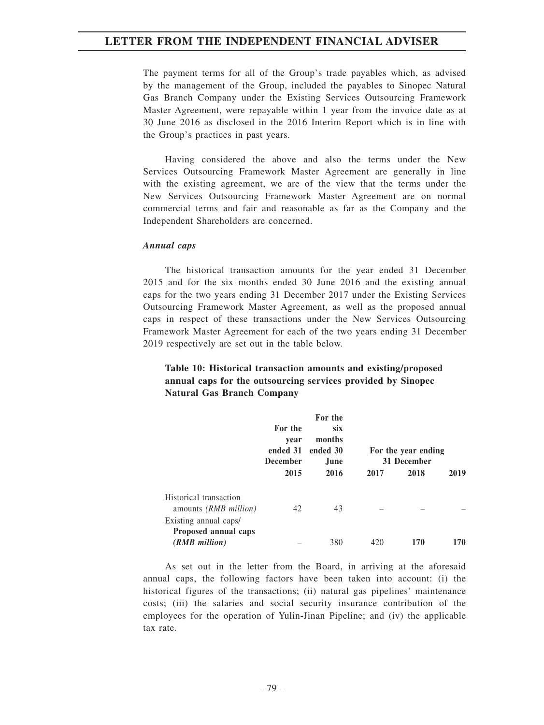The payment terms for all of the Group's trade payables which, as advised by the management of the Group, included the payables to Sinopec Natural Gas Branch Company under the Existing Services Outsourcing Framework Master Agreement, were repayable within 1 year from the invoice date as at 30 June 2016 as disclosed in the 2016 Interim Report which is in line with the Group's practices in past years.

Having considered the above and also the terms under the New Services Outsourcing Framework Master Agreement are generally in line with the existing agreement, we are of the view that the terms under the New Services Outsourcing Framework Master Agreement are on normal commercial terms and fair and reasonable as far as the Company and the Independent Shareholders are concerned.

#### *Annual caps*

The historical transaction amounts for the year ended 31 December 2015 and for the six months ended 30 June 2016 and the existing annual caps for the two years ending 31 December 2017 under the Existing Services Outsourcing Framework Master Agreement, as well as the proposed annual caps in respect of these transactions under the New Services Outsourcing Framework Master Agreement for each of the two years ending 31 December 2019 respectively are set out in the table below.

# **Table 10: Historical transaction amounts and existing/proposed annual caps for the outsourcing services provided by Sinopec Natural Gas Branch Company**

|                                                        | For the<br>vear<br>ended 31<br><b>December</b> | For the<br><b>SIX</b><br>months<br>ended 30<br>June. |      | For the year ending<br>31 December |      |
|--------------------------------------------------------|------------------------------------------------|------------------------------------------------------|------|------------------------------------|------|
|                                                        | 2015                                           | 2016                                                 | 2017 | 2018                               | 2019 |
| Historical transaction<br>amounts <i>(RMB million)</i> | 42                                             | 43                                                   |      |                                    |      |
| Existing annual caps/                                  |                                                |                                                      |      |                                    |      |
| Proposed annual caps<br>(RMB million)                  |                                                | 380                                                  | 420  | 170                                | 170  |

As set out in the letter from the Board, in arriving at the aforesaid annual caps, the following factors have been taken into account: (i) the historical figures of the transactions; (ii) natural gas pipelines' maintenance costs; (iii) the salaries and social security insurance contribution of the employees for the operation of Yulin-Jinan Pipeline; and (iv) the applicable tax rate.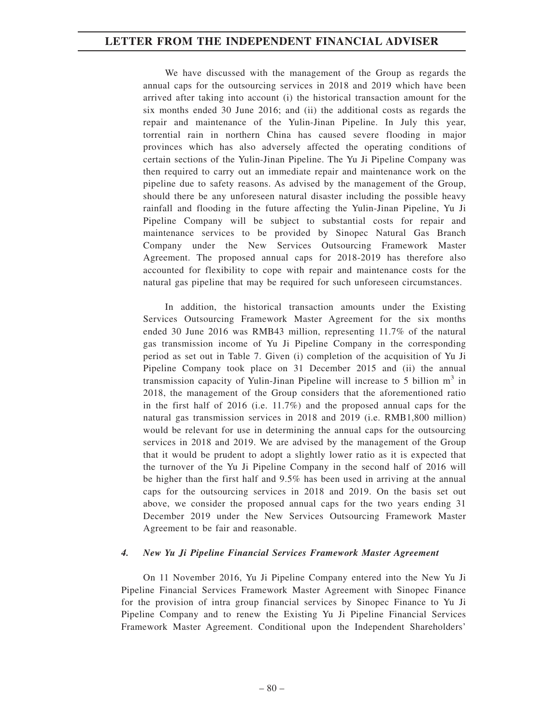We have discussed with the management of the Group as regards the annual caps for the outsourcing services in 2018 and 2019 which have been arrived after taking into account (i) the historical transaction amount for the six months ended 30 June 2016; and (ii) the additional costs as regards the repair and maintenance of the Yulin-Jinan Pipeline. In July this year, torrential rain in northern China has caused severe flooding in major provinces which has also adversely affected the operating conditions of certain sections of the Yulin-Jinan Pipeline. The Yu Ji Pipeline Company was then required to carry out an immediate repair and maintenance work on the pipeline due to safety reasons. As advised by the management of the Group, should there be any unforeseen natural disaster including the possible heavy rainfall and flooding in the future affecting the Yulin-Jinan Pipeline, Yu Ji Pipeline Company will be subject to substantial costs for repair and maintenance services to be provided by Sinopec Natural Gas Branch Company under the New Services Outsourcing Framework Master Agreement. The proposed annual caps for 2018-2019 has therefore also accounted for flexibility to cope with repair and maintenance costs for the natural gas pipeline that may be required for such unforeseen circumstances.

In addition, the historical transaction amounts under the Existing Services Outsourcing Framework Master Agreement for the six months ended 30 June 2016 was RMB43 million, representing 11.7% of the natural gas transmission income of Yu Ji Pipeline Company in the corresponding period as set out in Table 7. Given (i) completion of the acquisition of Yu Ji Pipeline Company took place on 31 December 2015 and (ii) the annual transmission capacity of Yulin-Jinan Pipeline will increase to 5 billion  $m<sup>3</sup>$  in 2018, the management of the Group considers that the aforementioned ratio in the first half of 2016 (i.e. 11.7%) and the proposed annual caps for the natural gas transmission services in 2018 and 2019 (i.e. RMB1,800 million) would be relevant for use in determining the annual caps for the outsourcing services in 2018 and 2019. We are advised by the management of the Group that it would be prudent to adopt a slightly lower ratio as it is expected that the turnover of the Yu Ji Pipeline Company in the second half of 2016 will be higher than the first half and 9.5% has been used in arriving at the annual caps for the outsourcing services in 2018 and 2019. On the basis set out above, we consider the proposed annual caps for the two years ending 31 December 2019 under the New Services Outsourcing Framework Master Agreement to be fair and reasonable.

### *4. New Yu Ji Pipeline Financial Services Framework Master Agreement*

On 11 November 2016, Yu Ji Pipeline Company entered into the New Yu Ji Pipeline Financial Services Framework Master Agreement with Sinopec Finance for the provision of intra group financial services by Sinopec Finance to Yu Ji Pipeline Company and to renew the Existing Yu Ji Pipeline Financial Services Framework Master Agreement. Conditional upon the Independent Shareholders'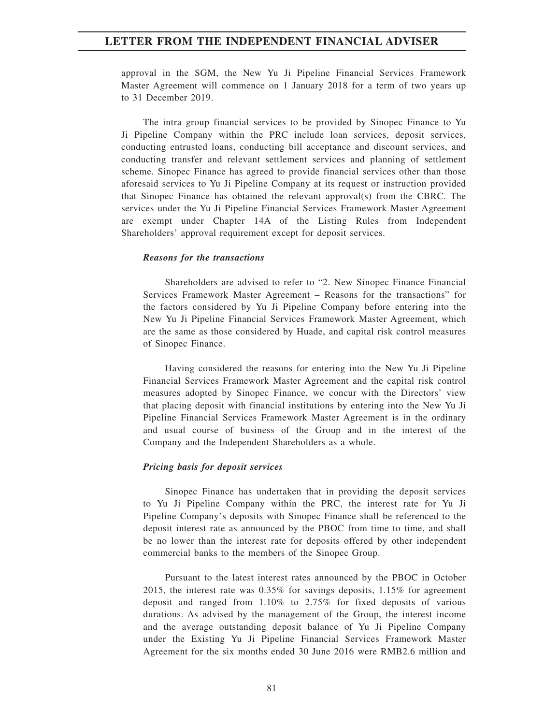approval in the SGM, the New Yu Ji Pipeline Financial Services Framework Master Agreement will commence on 1 January 2018 for a term of two years up to 31 December 2019.

The intra group financial services to be provided by Sinopec Finance to Yu Ji Pipeline Company within the PRC include loan services, deposit services, conducting entrusted loans, conducting bill acceptance and discount services, and conducting transfer and relevant settlement services and planning of settlement scheme. Sinopec Finance has agreed to provide financial services other than those aforesaid services to Yu Ji Pipeline Company at its request or instruction provided that Sinopec Finance has obtained the relevant approval(s) from the CBRC. The services under the Yu Ji Pipeline Financial Services Framework Master Agreement are exempt under Chapter 14A of the Listing Rules from Independent Shareholders' approval requirement except for deposit services.

#### *Reasons for the transactions*

Shareholders are advised to refer to "2. New Sinopec Finance Financial Services Framework Master Agreement – Reasons for the transactions" for the factors considered by Yu Ji Pipeline Company before entering into the New Yu Ji Pipeline Financial Services Framework Master Agreement, which are the same as those considered by Huade, and capital risk control measures of Sinopec Finance.

Having considered the reasons for entering into the New Yu Ji Pipeline Financial Services Framework Master Agreement and the capital risk control measures adopted by Sinopec Finance, we concur with the Directors' view that placing deposit with financial institutions by entering into the New Yu Ji Pipeline Financial Services Framework Master Agreement is in the ordinary and usual course of business of the Group and in the interest of the Company and the Independent Shareholders as a whole.

#### *Pricing basis for deposit services*

Sinopec Finance has undertaken that in providing the deposit services to Yu Ji Pipeline Company within the PRC, the interest rate for Yu Ji Pipeline Company's deposits with Sinopec Finance shall be referenced to the deposit interest rate as announced by the PBOC from time to time, and shall be no lower than the interest rate for deposits offered by other independent commercial banks to the members of the Sinopec Group.

Pursuant to the latest interest rates announced by the PBOC in October 2015, the interest rate was 0.35% for savings deposits, 1.15% for agreement deposit and ranged from 1.10% to 2.75% for fixed deposits of various durations. As advised by the management of the Group, the interest income and the average outstanding deposit balance of Yu Ji Pipeline Company under the Existing Yu Ji Pipeline Financial Services Framework Master Agreement for the six months ended 30 June 2016 were RMB2.6 million and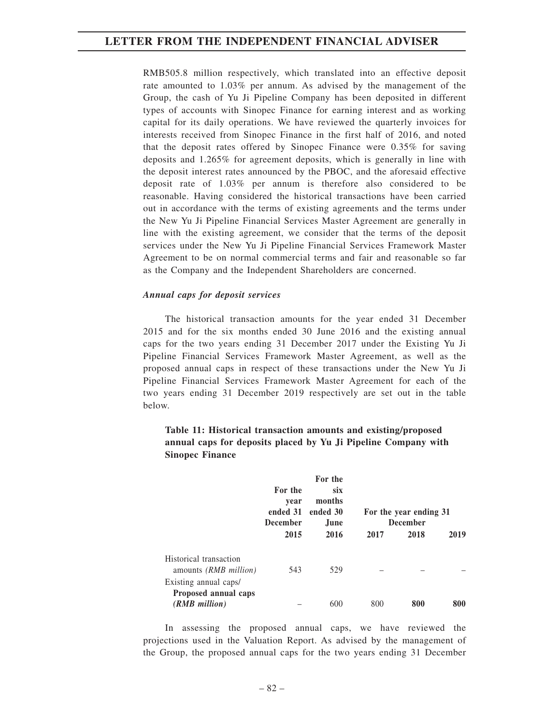RMB505.8 million respectively, which translated into an effective deposit rate amounted to 1.03% per annum. As advised by the management of the Group, the cash of Yu Ji Pipeline Company has been deposited in different types of accounts with Sinopec Finance for earning interest and as working capital for its daily operations. We have reviewed the quarterly invoices for interests received from Sinopec Finance in the first half of 2016, and noted that the deposit rates offered by Sinopec Finance were 0.35% for saving deposits and 1.265% for agreement deposits, which is generally in line with the deposit interest rates announced by the PBOC, and the aforesaid effective deposit rate of 1.03% per annum is therefore also considered to be reasonable. Having considered the historical transactions have been carried out in accordance with the terms of existing agreements and the terms under the New Yu Ji Pipeline Financial Services Master Agreement are generally in line with the existing agreement, we consider that the terms of the deposit services under the New Yu Ji Pipeline Financial Services Framework Master Agreement to be on normal commercial terms and fair and reasonable so far as the Company and the Independent Shareholders are concerned.

#### *Annual caps for deposit services*

The historical transaction amounts for the year ended 31 December 2015 and for the six months ended 30 June 2016 and the existing annual caps for the two years ending 31 December 2017 under the Existing Yu Ji Pipeline Financial Services Framework Master Agreement, as well as the proposed annual caps in respect of these transactions under the New Yu Ji Pipeline Financial Services Framework Master Agreement for each of the two years ending 31 December 2019 respectively are set out in the table below.

|                                                                | For the<br>vear<br>ended 31<br><b>December</b><br>2015 | For the<br><b>SIX</b><br>months<br>ended 30<br>June<br>2016 | 2017 | For the year ending 31<br><b>December</b><br>2018 | 2019 |
|----------------------------------------------------------------|--------------------------------------------------------|-------------------------------------------------------------|------|---------------------------------------------------|------|
| Historical transaction<br>amounts <i>(RMB million)</i>         | 543                                                    | 529                                                         |      |                                                   |      |
| Existing annual caps/<br>Proposed annual caps<br>(RMB million) |                                                        | 600                                                         | 800  | 800                                               | 800  |

## **Table 11: Historical transaction amounts and existing/proposed annual caps for deposits placed by Yu Ji Pipeline Company with Sinopec Finance**

In assessing the proposed annual caps, we have reviewed the projections used in the Valuation Report. As advised by the management of the Group, the proposed annual caps for the two years ending 31 December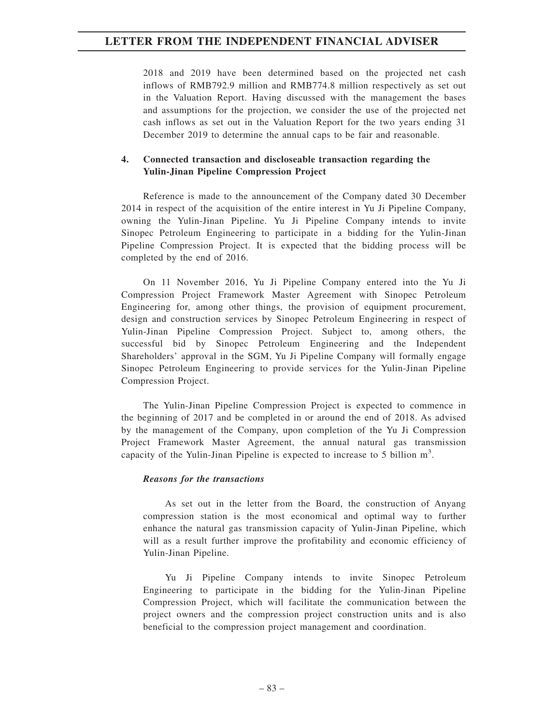2018 and 2019 have been determined based on the projected net cash inflows of RMB792.9 million and RMB774.8 million respectively as set out in the Valuation Report. Having discussed with the management the bases and assumptions for the projection, we consider the use of the projected net cash inflows as set out in the Valuation Report for the two years ending 31 December 2019 to determine the annual caps to be fair and reasonable.

## **4. Connected transaction and discloseable transaction regarding the Yulin-Jinan Pipeline Compression Project**

Reference is made to the announcement of the Company dated 30 December 2014 in respect of the acquisition of the entire interest in Yu Ji Pipeline Company, owning the Yulin-Jinan Pipeline. Yu Ji Pipeline Company intends to invite Sinopec Petroleum Engineering to participate in a bidding for the Yulin-Jinan Pipeline Compression Project. It is expected that the bidding process will be completed by the end of 2016.

On 11 November 2016, Yu Ji Pipeline Company entered into the Yu Ji Compression Project Framework Master Agreement with Sinopec Petroleum Engineering for, among other things, the provision of equipment procurement, design and construction services by Sinopec Petroleum Engineering in respect of Yulin-Jinan Pipeline Compression Project. Subject to, among others, the successful bid by Sinopec Petroleum Engineering and the Independent Shareholders' approval in the SGM, Yu Ji Pipeline Company will formally engage Sinopec Petroleum Engineering to provide services for the Yulin-Jinan Pipeline Compression Project.

The Yulin-Jinan Pipeline Compression Project is expected to commence in the beginning of 2017 and be completed in or around the end of 2018. As advised by the management of the Company, upon completion of the Yu Ji Compression Project Framework Master Agreement, the annual natural gas transmission capacity of the Yulin-Jinan Pipeline is expected to increase to 5 billion  $m<sup>3</sup>$ .

### *Reasons for the transactions*

As set out in the letter from the Board, the construction of Anyang compression station is the most economical and optimal way to further enhance the natural gas transmission capacity of Yulin-Jinan Pipeline, which will as a result further improve the profitability and economic efficiency of Yulin-Jinan Pipeline.

Yu Ji Pipeline Company intends to invite Sinopec Petroleum Engineering to participate in the bidding for the Yulin-Jinan Pipeline Compression Project, which will facilitate the communication between the project owners and the compression project construction units and is also beneficial to the compression project management and coordination.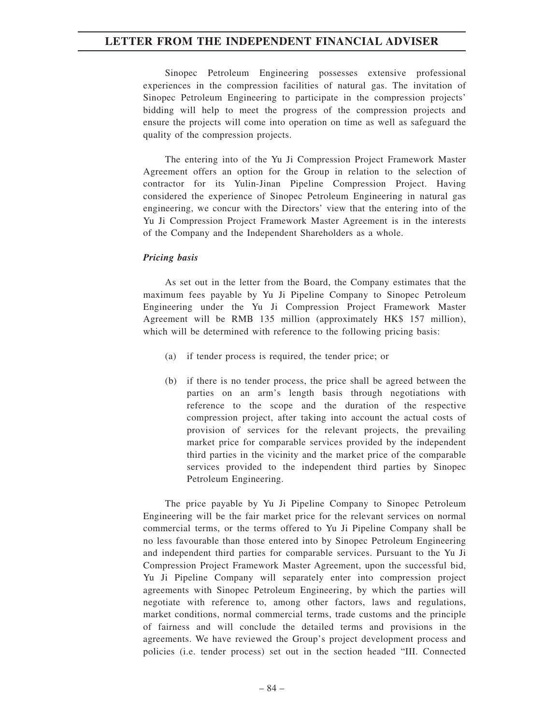Sinopec Petroleum Engineering possesses extensive professional experiences in the compression facilities of natural gas. The invitation of Sinopec Petroleum Engineering to participate in the compression projects' bidding will help to meet the progress of the compression projects and ensure the projects will come into operation on time as well as safeguard the quality of the compression projects.

The entering into of the Yu Ji Compression Project Framework Master Agreement offers an option for the Group in relation to the selection of contractor for its Yulin-Jinan Pipeline Compression Project. Having considered the experience of Sinopec Petroleum Engineering in natural gas engineering, we concur with the Directors' view that the entering into of the Yu Ji Compression Project Framework Master Agreement is in the interests of the Company and the Independent Shareholders as a whole.

### *Pricing basis*

As set out in the letter from the Board, the Company estimates that the maximum fees payable by Yu Ji Pipeline Company to Sinopec Petroleum Engineering under the Yu Ji Compression Project Framework Master Agreement will be RMB 135 million (approximately HK\$ 157 million), which will be determined with reference to the following pricing basis:

- (a) if tender process is required, the tender price; or
- (b) if there is no tender process, the price shall be agreed between the parties on an arm's length basis through negotiations with reference to the scope and the duration of the respective compression project, after taking into account the actual costs of provision of services for the relevant projects, the prevailing market price for comparable services provided by the independent third parties in the vicinity and the market price of the comparable services provided to the independent third parties by Sinopec Petroleum Engineering.

The price payable by Yu Ji Pipeline Company to Sinopec Petroleum Engineering will be the fair market price for the relevant services on normal commercial terms, or the terms offered to Yu Ji Pipeline Company shall be no less favourable than those entered into by Sinopec Petroleum Engineering and independent third parties for comparable services. Pursuant to the Yu Ji Compression Project Framework Master Agreement, upon the successful bid, Yu Ji Pipeline Company will separately enter into compression project agreements with Sinopec Petroleum Engineering, by which the parties will negotiate with reference to, among other factors, laws and regulations, market conditions, normal commercial terms, trade customs and the principle of fairness and will conclude the detailed terms and provisions in the agreements. We have reviewed the Group's project development process and policies (i.e. tender process) set out in the section headed "III. Connected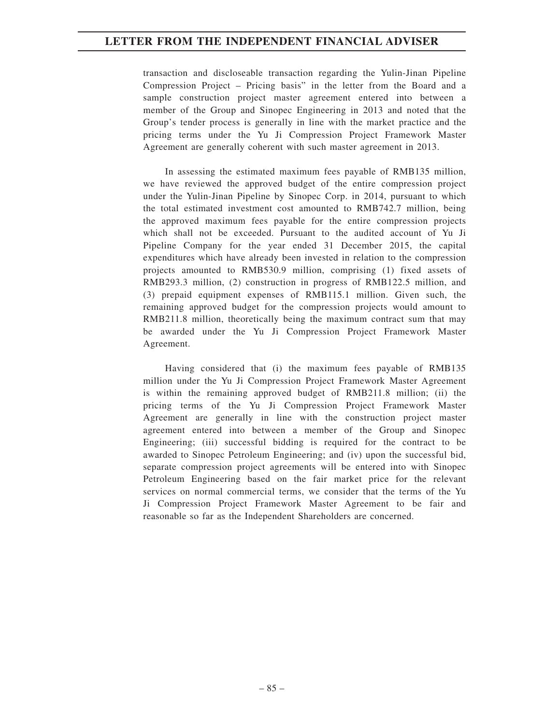transaction and discloseable transaction regarding the Yulin-Jinan Pipeline Compression Project – Pricing basis" in the letter from the Board and a sample construction project master agreement entered into between a member of the Group and Sinopec Engineering in 2013 and noted that the Group's tender process is generally in line with the market practice and the pricing terms under the Yu Ji Compression Project Framework Master Agreement are generally coherent with such master agreement in 2013.

In assessing the estimated maximum fees payable of RMB135 million, we have reviewed the approved budget of the entire compression project under the Yulin-Jinan Pipeline by Sinopec Corp. in 2014, pursuant to which the total estimated investment cost amounted to RMB742.7 million, being the approved maximum fees payable for the entire compression projects which shall not be exceeded. Pursuant to the audited account of Yu Ji Pipeline Company for the year ended 31 December 2015, the capital expenditures which have already been invested in relation to the compression projects amounted to RMB530.9 million, comprising (1) fixed assets of RMB293.3 million, (2) construction in progress of RMB122.5 million, and (3) prepaid equipment expenses of RMB115.1 million. Given such, the remaining approved budget for the compression projects would amount to RMB211.8 million, theoretically being the maximum contract sum that may be awarded under the Yu Ji Compression Project Framework Master Agreement.

Having considered that (i) the maximum fees payable of RMB135 million under the Yu Ji Compression Project Framework Master Agreement is within the remaining approved budget of RMB211.8 million; (ii) the pricing terms of the Yu Ji Compression Project Framework Master Agreement are generally in line with the construction project master agreement entered into between a member of the Group and Sinopec Engineering; (iii) successful bidding is required for the contract to be awarded to Sinopec Petroleum Engineering; and (iv) upon the successful bid, separate compression project agreements will be entered into with Sinopec Petroleum Engineering based on the fair market price for the relevant services on normal commercial terms, we consider that the terms of the Yu Ji Compression Project Framework Master Agreement to be fair and reasonable so far as the Independent Shareholders are concerned.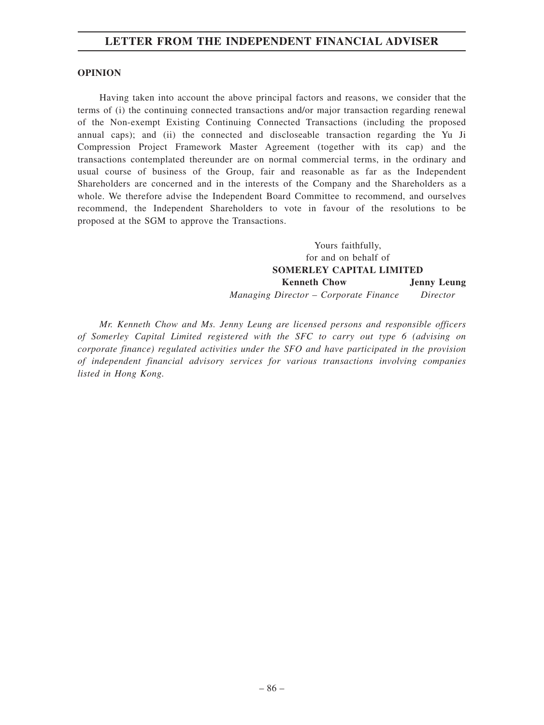### **OPINION**

Having taken into account the above principal factors and reasons, we consider that the terms of (i) the continuing connected transactions and/or major transaction regarding renewal of the Non-exempt Existing Continuing Connected Transactions (including the proposed annual caps); and (ii) the connected and discloseable transaction regarding the Yu Ji Compression Project Framework Master Agreement (together with its cap) and the transactions contemplated thereunder are on normal commercial terms, in the ordinary and usual course of business of the Group, fair and reasonable as far as the Independent Shareholders are concerned and in the interests of the Company and the Shareholders as a whole. We therefore advise the Independent Board Committee to recommend, and ourselves recommend, the Independent Shareholders to vote in favour of the resolutions to be proposed at the SGM to approve the Transactions.

> Yours faithfully, for and on behalf of **SOMERLEY CAPITAL LIMITED Kenneth Chow** *Managing Director – Corporate Finance* **Jenny Leung** *Director*

*Mr. Kenneth Chow and Ms. Jenny Leung are licensed persons and responsible officers of Somerley Capital Limited registered with the SFC to carry out type 6 (advising on corporate finance) regulated activities under the SFO and have participated in the provision of independent financial advisory services for various transactions involving companies listed in Hong Kong.*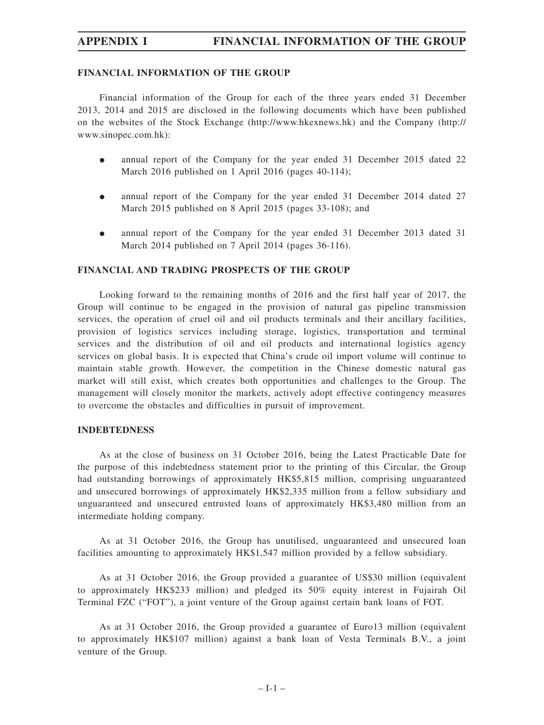# **APPENDIX I FINANCIAL INFORMATION OF THE GROUP**

### **FINANCIAL INFORMATION OF THE GROUP**

Financial information of the Group for each of the three years ended 31 December 2013, 2014 and 2015 are disclosed in the following documents which have been published on the websites of the Stock Exchange (http://www.hkexnews.hk) and the Company (http:// www.sinopec.com.hk):

- $\bullet$  annual report of the Company for the year ended 31 December 2015 dated 22 March 2016 published on 1 April 2016 (pages 40-114);
- $\bullet$  annual report of the Company for the year ended 31 December 2014 dated 27 March 2015 published on 8 April 2015 (pages 33-108); and
- $\bullet$  annual report of the Company for the year ended 31 December 2013 dated 31 March 2014 published on 7 April 2014 (pages 36-116).

### **FINANCIAL AND TRADING PROSPECTS OF THE GROUP**

Looking forward to the remaining months of 2016 and the first half year of 2017, the Group will continue to be engaged in the provision of natural gas pipeline transmission services, the operation of cruel oil and oil products terminals and their ancillary facilities, provision of logistics services including storage, logistics, transportation and terminal services and the distribution of oil and oil products and international logistics agency services on global basis. It is expected that China's crude oil import volume will continue to maintain stable growth. However, the competition in the Chinese domestic natural gas market will still exist, which creates both opportunities and challenges to the Group. The management will closely monitor the markets, actively adopt effective contingency measures to overcome the obstacles and difficulties in pursuit of improvement.

#### **INDEBTEDNESS**

As at the close of business on 31 October 2016, being the Latest Practicable Date for the purpose of this indebtedness statement prior to the printing of this Circular, the Group had outstanding borrowings of approximately HK\$5,815 million, comprising unguaranteed and unsecured borrowings of approximately HK\$2,335 million from a fellow subsidiary and unguaranteed and unsecured entrusted loans of approximately HK\$3,480 million from an intermediate holding company.

As at 31 October 2016, the Group has unutilised, unguaranteed and unsecured loan facilities amounting to approximately HK\$1,547 million provided by a fellow subsidiary.

As at 31 October 2016, the Group provided a guarantee of US\$30 million (equivalent to approximately HK\$233 million) and pledged its 50% equity interest in Fujairah Oil Terminal FZC ("FOT"), a joint venture of the Group against certain bank loans of FOT.

As at 31 October 2016, the Group provided a guarantee of Euro13 million (equivalent to approximately HK\$107 million) against a bank loan of Vesta Terminals B.V., a joint venture of the Group.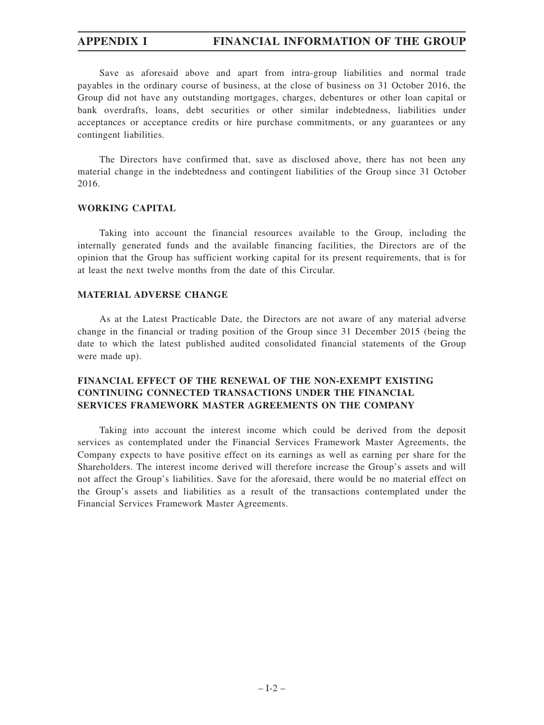# **APPENDIX I FINANCIAL INFORMATION OF THE GROUP**

Save as aforesaid above and apart from intra-group liabilities and normal trade payables in the ordinary course of business, at the close of business on 31 October 2016, the Group did not have any outstanding mortgages, charges, debentures or other loan capital or bank overdrafts, loans, debt securities or other similar indebtedness, liabilities under acceptances or acceptance credits or hire purchase commitments, or any guarantees or any contingent liabilities.

The Directors have confirmed that, save as disclosed above, there has not been any material change in the indebtedness and contingent liabilities of the Group since 31 October 2016.

### **WORKING CAPITAL**

Taking into account the financial resources available to the Group, including the internally generated funds and the available financing facilities, the Directors are of the opinion that the Group has sufficient working capital for its present requirements, that is for at least the next twelve months from the date of this Circular.

### **MATERIAL ADVERSE CHANGE**

As at the Latest Practicable Date, the Directors are not aware of any material adverse change in the financial or trading position of the Group since 31 December 2015 (being the date to which the latest published audited consolidated financial statements of the Group were made up).

# **FINANCIAL EFFECT OF THE RENEWAL OF THE NON-EXEMPT EXISTING CONTINUING CONNECTED TRANSACTIONS UNDER THE FINANCIAL SERVICES FRAMEWORK MASTER AGREEMENTS ON THE COMPANY**

Taking into account the interest income which could be derived from the deposit services as contemplated under the Financial Services Framework Master Agreements, the Company expects to have positive effect on its earnings as well as earning per share for the Shareholders. The interest income derived will therefore increase the Group's assets and will not affect the Group's liabilities. Save for the aforesaid, there would be no material effect on the Group's assets and liabilities as a result of the transactions contemplated under the Financial Services Framework Master Agreements.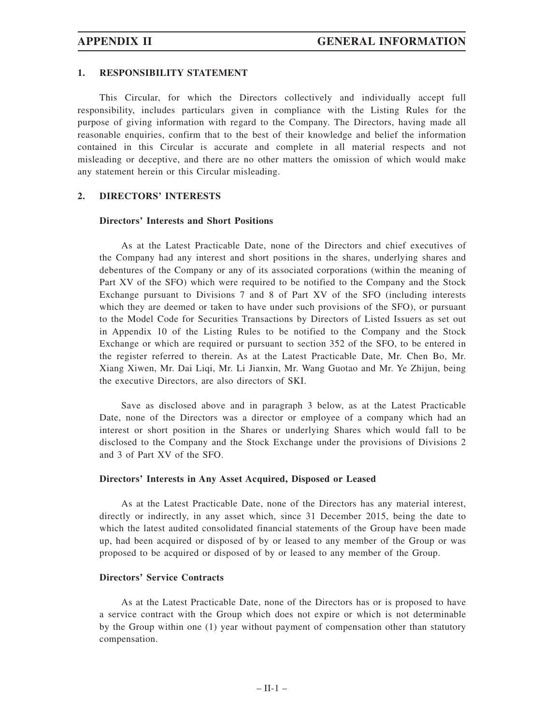### **1. RESPONSIBILITY STATEMENT**

This Circular, for which the Directors collectively and individually accept full responsibility, includes particulars given in compliance with the Listing Rules for the purpose of giving information with regard to the Company. The Directors, having made all reasonable enquiries, confirm that to the best of their knowledge and belief the information contained in this Circular is accurate and complete in all material respects and not misleading or deceptive, and there are no other matters the omission of which would make any statement herein or this Circular misleading.

### **2. DIRECTORS' INTERESTS**

### **Directors' Interests and Short Positions**

As at the Latest Practicable Date, none of the Directors and chief executives of the Company had any interest and short positions in the shares, underlying shares and debentures of the Company or any of its associated corporations (within the meaning of Part XV of the SFO) which were required to be notified to the Company and the Stock Exchange pursuant to Divisions 7 and 8 of Part XV of the SFO (including interests which they are deemed or taken to have under such provisions of the SFO), or pursuant to the Model Code for Securities Transactions by Directors of Listed Issuers as set out in Appendix 10 of the Listing Rules to be notified to the Company and the Stock Exchange or which are required or pursuant to section 352 of the SFO, to be entered in the register referred to therein. As at the Latest Practicable Date, Mr. Chen Bo, Mr. Xiang Xiwen, Mr. Dai Liqi, Mr. Li Jianxin, Mr. Wang Guotao and Mr. Ye Zhijun, being the executive Directors, are also directors of SKI.

Save as disclosed above and in paragraph 3 below, as at the Latest Practicable Date, none of the Directors was a director or employee of a company which had an interest or short position in the Shares or underlying Shares which would fall to be disclosed to the Company and the Stock Exchange under the provisions of Divisions 2 and 3 of Part XV of the SFO.

### **Directors' Interests in Any Asset Acquired, Disposed or Leased**

As at the Latest Practicable Date, none of the Directors has any material interest, directly or indirectly, in any asset which, since 31 December 2015, being the date to which the latest audited consolidated financial statements of the Group have been made up, had been acquired or disposed of by or leased to any member of the Group or was proposed to be acquired or disposed of by or leased to any member of the Group.

### **Directors' Service Contracts**

As at the Latest Practicable Date, none of the Directors has or is proposed to have a service contract with the Group which does not expire or which is not determinable by the Group within one (1) year without payment of compensation other than statutory compensation.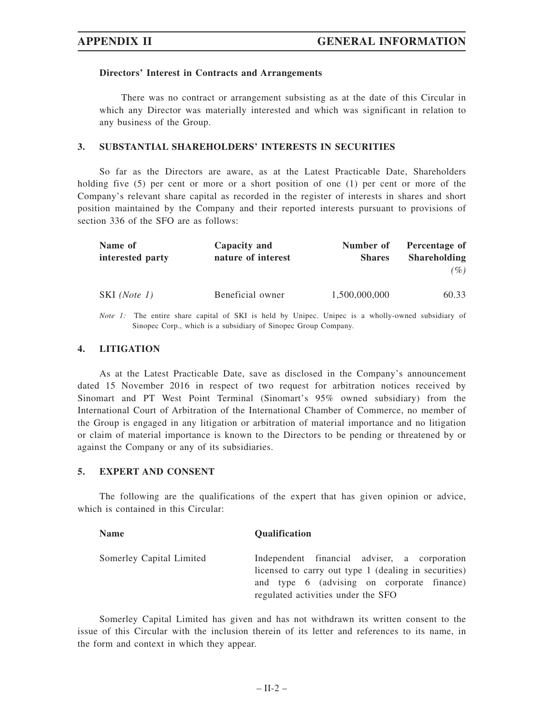### **Directors' Interest in Contracts and Arrangements**

There was no contract or arrangement subsisting as at the date of this Circular in which any Director was materially interested and which was significant in relation to any business of the Group.

### **3. SUBSTANTIAL SHAREHOLDERS' INTERESTS IN SECURITIES**

So far as the Directors are aware, as at the Latest Practicable Date, Shareholders holding five (5) per cent or more or a short position of one (1) per cent or more of the Company's relevant share capital as recorded in the register of interests in shares and short position maintained by the Company and their reported interests pursuant to provisions of section 336 of the SFO are as follows:

| Name of          | Capacity and       | Number of     | Percentage of       |
|------------------|--------------------|---------------|---------------------|
| interested party | nature of interest | <b>Shares</b> | <b>Shareholding</b> |
|                  |                    |               | (%)                 |
| SKI (Note 1)     | Beneficial owner   | 1,500,000,000 | 60.33               |
|                  |                    |               |                     |

*Note 1:* The entire share capital of SKI is held by Unipec. Unipec is a wholly-owned subsidiary of Sinopec Corp., which is a subsidiary of Sinopec Group Company.

### **4. LITIGATION**

As at the Latest Practicable Date, save as disclosed in the Company's announcement dated 15 November 2016 in respect of two request for arbitration notices received by Sinomart and PT West Point Terminal (Sinomart's 95% owned subsidiary) from the International Court of Arbitration of the International Chamber of Commerce, no member of the Group is engaged in any litigation or arbitration of material importance and no litigation or claim of material importance is known to the Directors to be pending or threatened by or against the Company or any of its subsidiaries.

#### **5. EXPERT AND CONSENT**

The following are the qualifications of the expert that has given opinion or advice, which is contained in this Circular:

| <b>Name</b>              | <b>Oualification</b>                                                                                                                                                                     |
|--------------------------|------------------------------------------------------------------------------------------------------------------------------------------------------------------------------------------|
| Somerley Capital Limited | Independent financial adviser, a corporation<br>licensed to carry out type 1 (dealing in securities)<br>and type 6 (advising on corporate finance)<br>regulated activities under the SFO |

Somerley Capital Limited has given and has not withdrawn its written consent to the issue of this Circular with the inclusion therein of its letter and references to its name, in the form and context in which they appear.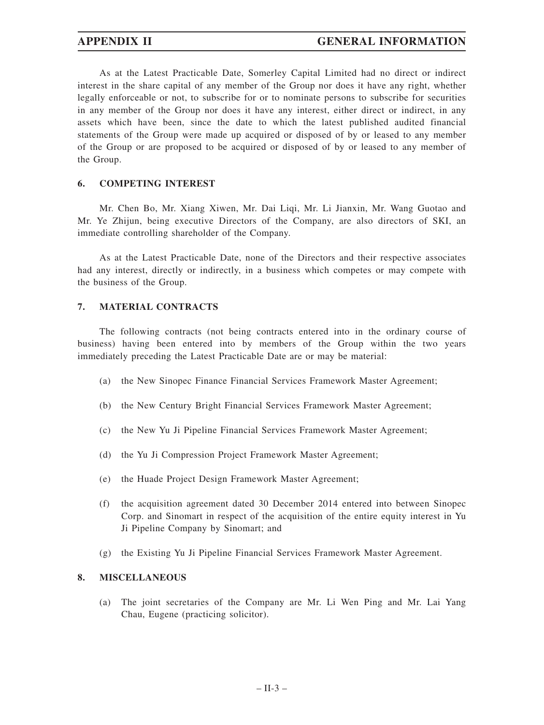As at the Latest Practicable Date, Somerley Capital Limited had no direct or indirect interest in the share capital of any member of the Group nor does it have any right, whether legally enforceable or not, to subscribe for or to nominate persons to subscribe for securities in any member of the Group nor does it have any interest, either direct or indirect, in any assets which have been, since the date to which the latest published audited financial statements of the Group were made up acquired or disposed of by or leased to any member of the Group or are proposed to be acquired or disposed of by or leased to any member of the Group.

### **6. COMPETING INTEREST**

Mr. Chen Bo, Mr. Xiang Xiwen, Mr. Dai Liqi, Mr. Li Jianxin, Mr. Wang Guotao and Mr. Ye Zhijun, being executive Directors of the Company, are also directors of SKI, an immediate controlling shareholder of the Company.

As at the Latest Practicable Date, none of the Directors and their respective associates had any interest, directly or indirectly, in a business which competes or may compete with the business of the Group.

### **7. MATERIAL CONTRACTS**

The following contracts (not being contracts entered into in the ordinary course of business) having been entered into by members of the Group within the two years immediately preceding the Latest Practicable Date are or may be material:

- (a) the New Sinopec Finance Financial Services Framework Master Agreement;
- (b) the New Century Bright Financial Services Framework Master Agreement;
- (c) the New Yu Ji Pipeline Financial Services Framework Master Agreement;
- (d) the Yu Ji Compression Project Framework Master Agreement;
- (e) the Huade Project Design Framework Master Agreement;
- (f) the acquisition agreement dated 30 December 2014 entered into between Sinopec Corp. and Sinomart in respect of the acquisition of the entire equity interest in Yu Ji Pipeline Company by Sinomart; and
- (g) the Existing Yu Ji Pipeline Financial Services Framework Master Agreement.

### **8. MISCELLANEOUS**

(a) The joint secretaries of the Company are Mr. Li Wen Ping and Mr. Lai Yang Chau, Eugene (practicing solicitor).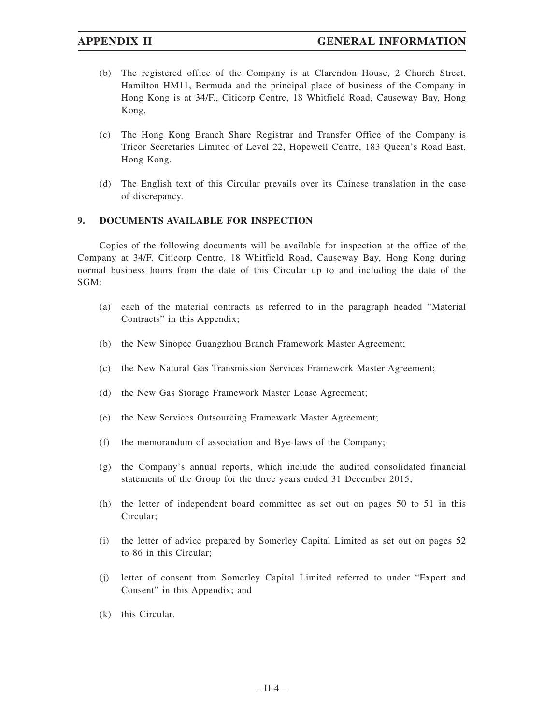- (b) The registered office of the Company is at Clarendon House, 2 Church Street, Hamilton HM11, Bermuda and the principal place of business of the Company in Hong Kong is at 34/F., Citicorp Centre, 18 Whitfield Road, Causeway Bay, Hong Kong.
- (c) The Hong Kong Branch Share Registrar and Transfer Office of the Company is Tricor Secretaries Limited of Level 22, Hopewell Centre, 183 Queen's Road East, Hong Kong.
- (d) The English text of this Circular prevails over its Chinese translation in the case of discrepancy.

## **9. DOCUMENTS AVAILABLE FOR INSPECTION**

Copies of the following documents will be available for inspection at the office of the Company at 34/F, Citicorp Centre, 18 Whitfield Road, Causeway Bay, Hong Kong during normal business hours from the date of this Circular up to and including the date of the SGM:

- (a) each of the material contracts as referred to in the paragraph headed "Material Contracts" in this Appendix;
- (b) the New Sinopec Guangzhou Branch Framework Master Agreement;
- (c) the New Natural Gas Transmission Services Framework Master Agreement;
- (d) the New Gas Storage Framework Master Lease Agreement;
- (e) the New Services Outsourcing Framework Master Agreement;
- (f) the memorandum of association and Bye-laws of the Company;
- (g) the Company's annual reports, which include the audited consolidated financial statements of the Group for the three years ended 31 December 2015;
- (h) the letter of independent board committee as set out on pages 50 to 51 in this Circular;
- (i) the letter of advice prepared by Somerley Capital Limited as set out on pages 52 to 86 in this Circular;
- (j) letter of consent from Somerley Capital Limited referred to under "Expert and Consent" in this Appendix; and
- (k) this Circular.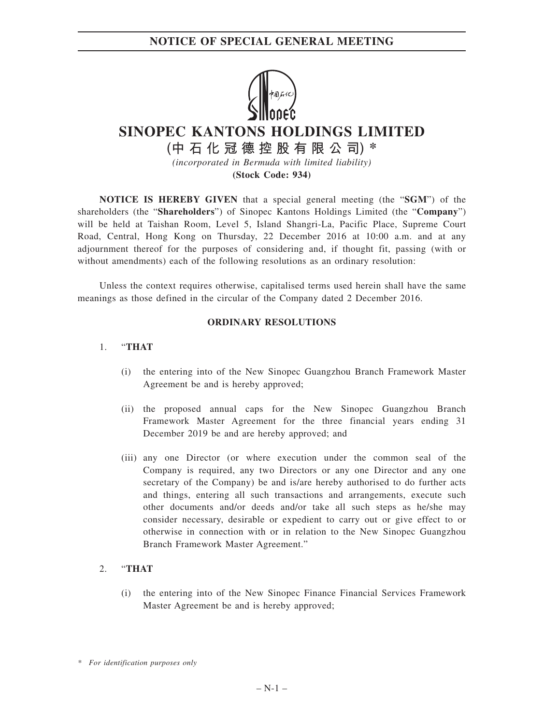# **NOTICE OF SPECIAL GENERAL MEETING**



# **SINOPEC KANTONS HOLDINGS LIMITED**

**(中石化冠德控股有限公司) \*** *(incorporated in Bermuda with limited liability)*

**(Stock Code: 934)**

**NOTICE IS HEREBY GIVEN** that a special general meeting (the "**SGM**") of the shareholders (the "**Shareholders**") of Sinopec Kantons Holdings Limited (the "**Company**") will be held at Taishan Room, Level 5, Island Shangri-La, Pacific Place, Supreme Court Road, Central, Hong Kong on Thursday, 22 December 2016 at 10:00 a.m. and at any adjournment thereof for the purposes of considering and, if thought fit, passing (with or without amendments) each of the following resolutions as an ordinary resolution:

Unless the context requires otherwise, capitalised terms used herein shall have the same meanings as those defined in the circular of the Company dated 2 December 2016.

### **ORDINARY RESOLUTIONS**

### 1. "**THAT**

- (i) the entering into of the New Sinopec Guangzhou Branch Framework Master Agreement be and is hereby approved;
- (ii) the proposed annual caps for the New Sinopec Guangzhou Branch Framework Master Agreement for the three financial years ending 31 December 2019 be and are hereby approved; and
- (iii) any one Director (or where execution under the common seal of the Company is required, any two Directors or any one Director and any one secretary of the Company) be and is/are hereby authorised to do further acts and things, entering all such transactions and arrangements, execute such other documents and/or deeds and/or take all such steps as he/she may consider necessary, desirable or expedient to carry out or give effect to or otherwise in connection with or in relation to the New Sinopec Guangzhou Branch Framework Master Agreement."

## 2. "**THAT**

(i) the entering into of the New Sinopec Finance Financial Services Framework Master Agreement be and is hereby approved;

*<sup>\*</sup> For identification purposes only*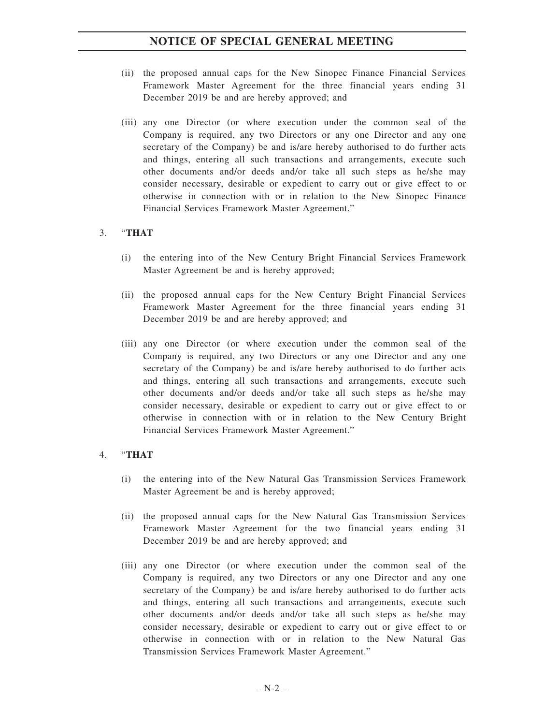# **NOTICE OF SPECIAL GENERAL MEETING**

- (ii) the proposed annual caps for the New Sinopec Finance Financial Services Framework Master Agreement for the three financial years ending 31 December 2019 be and are hereby approved; and
- (iii) any one Director (or where execution under the common seal of the Company is required, any two Directors or any one Director and any one secretary of the Company) be and is/are hereby authorised to do further acts and things, entering all such transactions and arrangements, execute such other documents and/or deeds and/or take all such steps as he/she may consider necessary, desirable or expedient to carry out or give effect to or otherwise in connection with or in relation to the New Sinopec Finance Financial Services Framework Master Agreement."

### 3. "**THAT**

- (i) the entering into of the New Century Bright Financial Services Framework Master Agreement be and is hereby approved;
- (ii) the proposed annual caps for the New Century Bright Financial Services Framework Master Agreement for the three financial years ending 31 December 2019 be and are hereby approved; and
- (iii) any one Director (or where execution under the common seal of the Company is required, any two Directors or any one Director and any one secretary of the Company) be and is/are hereby authorised to do further acts and things, entering all such transactions and arrangements, execute such other documents and/or deeds and/or take all such steps as he/she may consider necessary, desirable or expedient to carry out or give effect to or otherwise in connection with or in relation to the New Century Bright Financial Services Framework Master Agreement."

### 4. "**THAT**

- (i) the entering into of the New Natural Gas Transmission Services Framework Master Agreement be and is hereby approved;
- (ii) the proposed annual caps for the New Natural Gas Transmission Services Framework Master Agreement for the two financial years ending 31 December 2019 be and are hereby approved; and
- (iii) any one Director (or where execution under the common seal of the Company is required, any two Directors or any one Director and any one secretary of the Company) be and is/are hereby authorised to do further acts and things, entering all such transactions and arrangements, execute such other documents and/or deeds and/or take all such steps as he/she may consider necessary, desirable or expedient to carry out or give effect to or otherwise in connection with or in relation to the New Natural Gas Transmission Services Framework Master Agreement."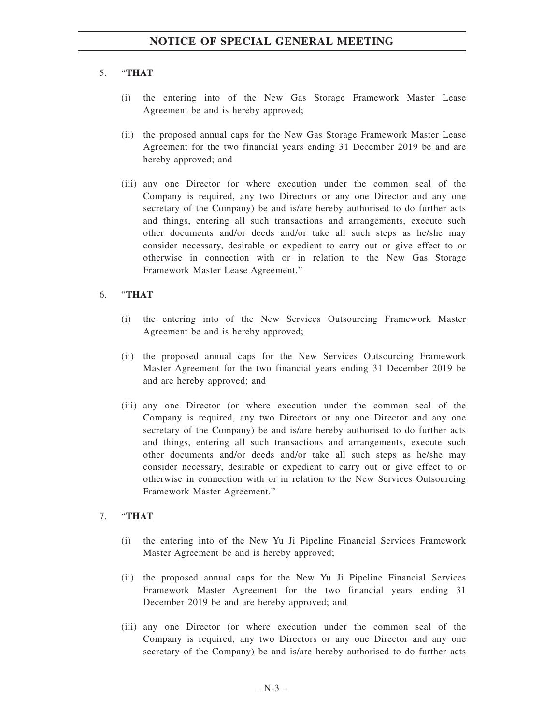# 5. "**THAT**

- (i) the entering into of the New Gas Storage Framework Master Lease Agreement be and is hereby approved;
- (ii) the proposed annual caps for the New Gas Storage Framework Master Lease Agreement for the two financial years ending 31 December 2019 be and are hereby approved; and
- (iii) any one Director (or where execution under the common seal of the Company is required, any two Directors or any one Director and any one secretary of the Company) be and is/are hereby authorised to do further acts and things, entering all such transactions and arrangements, execute such other documents and/or deeds and/or take all such steps as he/she may consider necessary, desirable or expedient to carry out or give effect to or otherwise in connection with or in relation to the New Gas Storage Framework Master Lease Agreement."

## 6. "**THAT**

- (i) the entering into of the New Services Outsourcing Framework Master Agreement be and is hereby approved;
- (ii) the proposed annual caps for the New Services Outsourcing Framework Master Agreement for the two financial years ending 31 December 2019 be and are hereby approved; and
- (iii) any one Director (or where execution under the common seal of the Company is required, any two Directors or any one Director and any one secretary of the Company) be and is/are hereby authorised to do further acts and things, entering all such transactions and arrangements, execute such other documents and/or deeds and/or take all such steps as he/she may consider necessary, desirable or expedient to carry out or give effect to or otherwise in connection with or in relation to the New Services Outsourcing Framework Master Agreement."

## 7. "**THAT**

- (i) the entering into of the New Yu Ji Pipeline Financial Services Framework Master Agreement be and is hereby approved;
- (ii) the proposed annual caps for the New Yu Ji Pipeline Financial Services Framework Master Agreement for the two financial years ending 31 December 2019 be and are hereby approved; and
- (iii) any one Director (or where execution under the common seal of the Company is required, any two Directors or any one Director and any one secretary of the Company) be and is/are hereby authorised to do further acts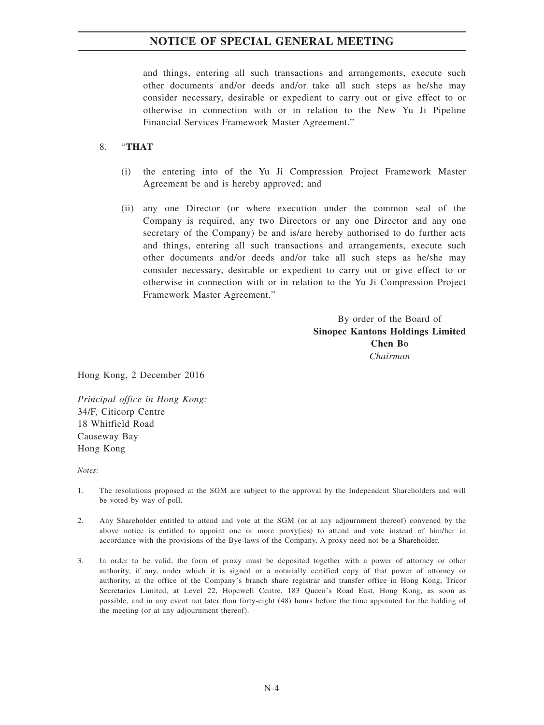# **NOTICE OF SPECIAL GENERAL MEETING**

and things, entering all such transactions and arrangements, execute such other documents and/or deeds and/or take all such steps as he/she may consider necessary, desirable or expedient to carry out or give effect to or otherwise in connection with or in relation to the New Yu Ji Pipeline Financial Services Framework Master Agreement."

## 8. "**THAT**

- (i) the entering into of the Yu Ji Compression Project Framework Master Agreement be and is hereby approved; and
- (ii) any one Director (or where execution under the common seal of the Company is required, any two Directors or any one Director and any one secretary of the Company) be and is/are hereby authorised to do further acts and things, entering all such transactions and arrangements, execute such other documents and/or deeds and/or take all such steps as he/she may consider necessary, desirable or expedient to carry out or give effect to or otherwise in connection with or in relation to the Yu Ji Compression Project Framework Master Agreement."

By order of the Board of **Sinopec Kantons Holdings Limited Chen Bo** *Chairman*

Hong Kong, 2 December 2016

*Principal office in Hong Kong:* 34/F, Citicorp Centre 18 Whitfield Road Causeway Bay Hong Kong

*Notes:*

- 1. The resolutions proposed at the SGM are subject to the approval by the Independent Shareholders and will be voted by way of poll.
- 2. Any Shareholder entitled to attend and vote at the SGM (or at any adjournment thereof) convened by the above notice is entitled to appoint one or more proxy(ies) to attend and vote instead of him/her in accordance with the provisions of the Bye-laws of the Company. A proxy need not be a Shareholder.
- 3. In order to be valid, the form of proxy must be deposited together with a power of attorney or other authority, if any, under which it is signed or a notarially certified copy of that power of attorney or authority, at the office of the Company's branch share registrar and transfer office in Hong Kong, Tricor Secretaries Limited, at Level 22, Hopewell Centre, 183 Queen's Road East, Hong Kong, as soon as possible, and in any event not later than forty-eight (48) hours before the time appointed for the holding of the meeting (or at any adjournment thereof).